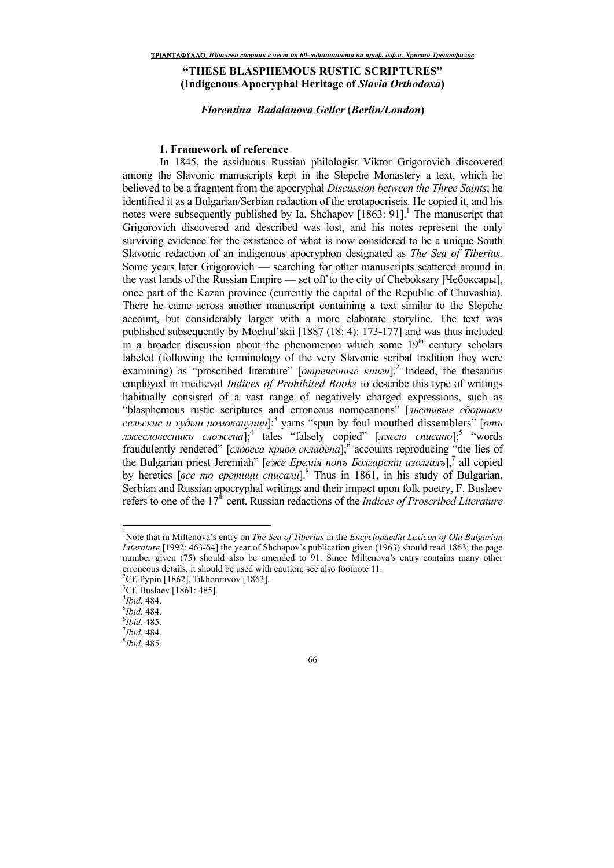# **"THESE BLASPHEMOUS RUSTIC SCRIPTURES" (Indigenous Apocryphal Heritage of** *Slavia Orthodoxa***)**

*Florentina Badalanova Geller* **(***Berlin/London***)**

### **1. Framework of reference**

 In 1845, the assiduous Russian philologist Viktor Grigorovich discovered among the Slavonic manuscripts kept in the Slepche Monastery a text, which he believed to be a fragment from the apocryphal *Discussion between the Three Saints*; he identified it as a Bulgarian/Serbian redaction of the erotapocriseis. He copied it, and his notes were subsequently published by Ia. Shchapov [1863: 91].<sup>1</sup> The manuscript that Grigorovich discovered and described was lost, and his notes represent the only surviving evidence for the existence of what is now considered to be a unique South Slavonic redaction of an indigenous apocryphon designated as *The Sea of Tiberias.*  Some years later Grigorovich — searching for other manuscripts scattered around in the vast lands of the Russian Empire — set off to the city of Cheboksary [Чебоксары], once part of the Kazan province (currently the capital of the Republic of Chuvashia). There he came across another manuscript containing a text similar to the Slepche account, but considerably larger with a more elaborate storyline. The text was published subsequently by Mochul'skii [1887 (18: 4): 173-177] and was thus included in a broader discussion about the phenomenon which some  $19<sup>th</sup>$  century scholars labeled (following the terminology of the very Slavonic scribal tradition they were examining) as "proscribed literature" [*отреченные книги*].<sup>2</sup> Indeed, the thesaurus employed in medieval *Indices of Prohibited Books* to describe this type of writings habitually consisted of a vast range of negatively charged expressions, such as "blasphemous rustic scriptures and erroneous nomocanons" [льстивые сборники *сельские и худыи номоканунци*];<sup>3</sup> yarns "spun by foul mouthed dissemblers" [отъ *лжесловесникъ сложена*];<sup>4</sup> tales "falsely copied" [*лжею списано*];<sup>5</sup> "words fraudulently rendered" [*словеса криво складена*],<sup>6</sup> accounts reproducing "the lies of the Bulgarian priest Jeremiah" [еже Еремія попъ Болгарскіш изолгалъ],<sup>7</sup> all copied by heretics [*все то еретици списали*].<sup>8</sup> Thus in 1861, in his study of Bulgarian, Serbian and Russian apocryphal writings and their impact upon folk poetry, F. Buslaev refers to one of the 17<sup>th</sup> cent. Russian redactions of the *Indices of Proscribed Literature* 

 $\overline{a}$ 

<sup>1</sup>Note that in Miltenova's entry on *The Sea of Tiberias* in the *Encyclopaedia Lexicon of Old Bulgarian Literature* [1992: 463-64] the year of Shchapov's publication given (1963) should read 1863; the page number given (75) should also be amended to 91. Since Miltenova's entry contains many other erroneous details, it should be used with caution; see also footnote 11.

<sup>&</sup>lt;sup>2</sup>Cf. Pypin [1862], Tikhonravov [1863].

<sup>&</sup>lt;sup>3</sup>Cf. Buslaev [1861: 485].

<sup>4</sup> *Ibid.* 484.

<sup>5</sup> *Ibid.* 484.

<sup>6</sup> *Ibid*. 485.

<sup>7</sup> *Ibid.* 484.

<sup>8</sup> *Ibid.* 485.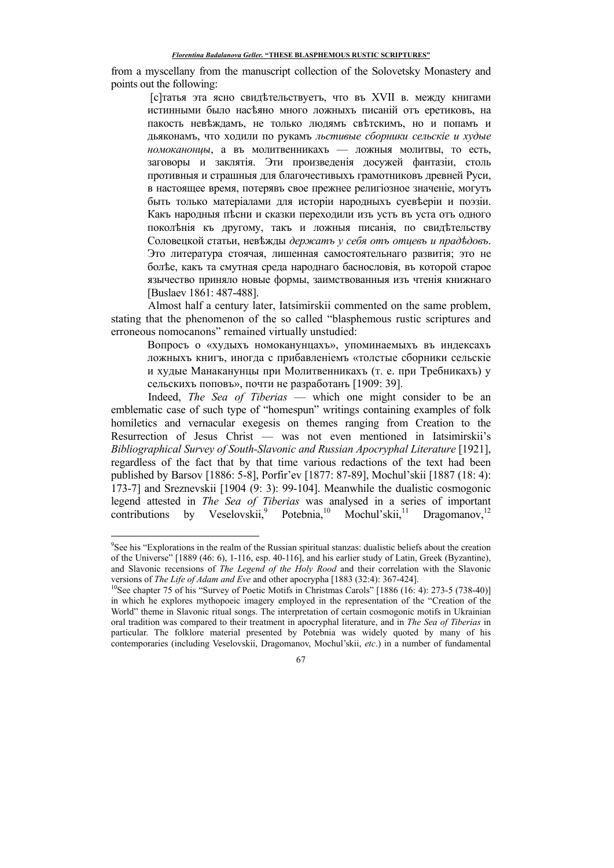from a myscellany from the manuscript collection of the Solovetsky Monastery and points out the following:

[с]татья эта ясно свидетельствуеть, что въ XVII в. между книгами истинными было насеяно много ложныхъ писаній оть еретиковъ, на пакость невеждамъ, не только людямъ светскимъ, но и попамъ и дьяконамъ, что ходили по рукамъ льстивые сборники сельскіе и худые *номоканонцы*, а въ молитвенникахъ — ложныя молитвы, то есть, заговоры и заклятія. Эти произведенія досужей фантазіи, столь противныя и страшныя для благочестивыхъ грамотниковъ древней Руси, в настояшее время, потерявъ свое прежнее религіозное значеніе, могуть быть только матеріалами для исторіи народныхь суеверіи и поэзіи. Какъ народныя песни и сказки переходили изъ усть въ уста отъ одного поколения къ другому, такъ и ложныя писания, по свидетельству Соловецкой статьи, невъжды держать у себя оть отцевь и прадъдовъ. Это литература стоячая, лишенная самостоятельнаго развитія; это не более, какъ та смутная среда народнаго баснословія, въ которой старое язычество приняло новые формы, заимствованныя изъ чтенія книжнаго [Buslaev 1861: 487-488].

 Almost half a century later, Iatsimirskii commented on the same problem, stating that the phenomenon of the so called "blasphemous rustic scriptures and erroneous nomocanons" remained virtually unstudied:

Вопросъ о «худыхъ номоканунцахъ», упоминаемыхъ въ индексахъ ложныхъ книгъ, иногда с прибавленіемъ «толстые сборники сельскіе и худые Манаканунцы при Молитвенникахъ (т. е. при Требникахъ) у сельскихъ поповъ», почти не разработанъ [1909: 39].

Indeed, *The Sea of Tiberias* — which one might consider to be an emblematic case of such type of "homespun" writings containing examples of folk homiletics and vernacular exegesis on themes ranging from Creation to the Resurrection of Jesus Christ — was not even mentioned in Iatsimirskii's *Bibliographical Survey of South-Slavonic and Russian Apocryphal Literature* [1921], regardless of the fact that by that time various redactions of the text had been published by Barsov [1886: 5-8], Porfir'ev [1877: 87-89], Mochul'skii [1887 (18: 4): 173-7] and Sreznevskii [1904 (9: 3): 99-104]. Meanwhile the dualistic cosmogonic legend attested in *The Sea of Tiberias* was analysed in a series of important contributions by Veselovskii,<sup>9</sup> Potebnia,<sup>10</sup> Mochul'skii,<sup>11</sup> Dragomanov,<sup>12</sup>

-

<sup>&</sup>lt;sup>9</sup>See his "Explorations in the realm of the Russian spiritual stanzas: dualistic beliefs about the creation of the Universe" [1889 (46: 6), 1-116, esp. 40-116], and his earlier study of Latin, Greek (Byzantine), and Slavonic recensions of *The Legend of the Holy Rood* and their correlation with the Slavonic versions of *The Life of Adam and Eve* and other apocrypha [1883 (32:4): 367-424].

<sup>&</sup>lt;sup>10</sup>See chapter 75 of his "Survey of Poetic Motifs in Christmas Carols" [1886 (16: 4): 273-5 (738-40)] in which he explores mythopoeic imagery employed in the representation of the "Creation of the World" theme in Slavonic ritual songs. The interpretation of certain cosmogonic motifs in Ukrainian oral tradition was compared to their treatment in apocryphal literature, and in *The Sea of Tiberias* in particular. The folklore material presented by Potebnia was widely quoted by many of his contemporaries (including Veselovskii, Dragomanov, Mochul'skii, *etc*.) in a number of fundamental

<sup>67</sup>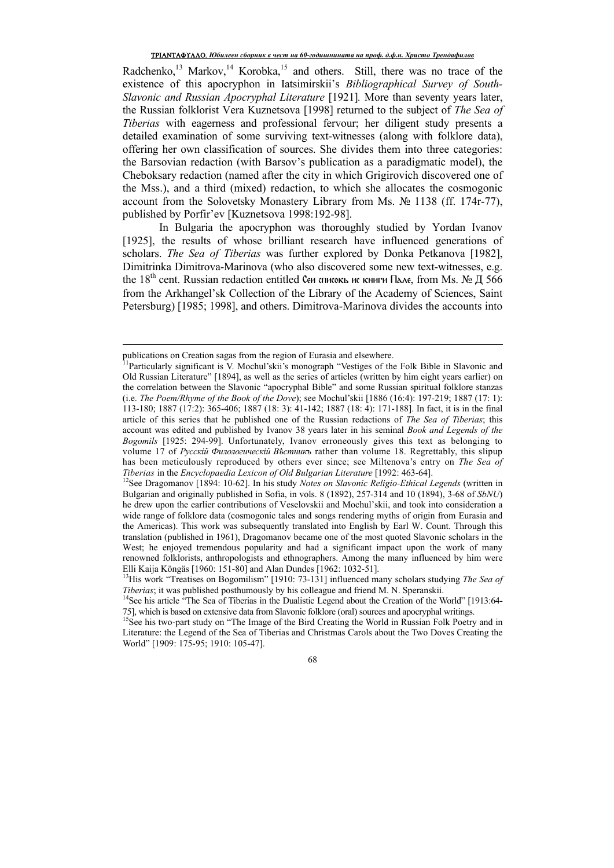Radchenko,<sup>13</sup> Markov,<sup>14</sup> Korobka,<sup>15</sup> and others. Still, there was no trace of the existence of this apocryphon in Iatsimirskii's *Bibliographical Survey of South-Slavonic and Russian Apocryphal Literature* [1921]*.* More than seventy years later, the Russian folklorist Vera Kuznetsova [1998] returned to the subject of *The Sea of Tiberias* with eagerness and professional fervour; her diligent study presents a detailed examination of some surviving text-witnesses (along with folklore data), offering her own classification of sources. She divides them into three categories: the Barsovian redaction (with Barsov's publication as a paradigmatic model), the Cheboksary redaction (named after the city in which Grigirovich discovered one of the Mss.), and a third (mixed) redaction, to which she allocates the cosmogonic account from the Solovetsky Monastery Library from Ms. № 1138 (ff. 174r-77), published by Porfir'ev [Kuznetsova 1998:192-98].

In Bulgaria the apocryphon was thoroughly studied by Yordan Ivanov [1925], the results of whose brilliant research have influenced generations of scholars. *The Sea of Tiberias* was further explored by Donka Petkanova [1982], Dimitrinka Dimitrova-Marinova (who also discovered some new text-witnesses, e.g. the 18<sup>th</sup> cent. Russian redaction entitled Сеи списокь ис книги Пале, from Ms. № Д 566 from the Arkhangel'sk Collection of the Library of the Academy of Sciences, Saint Petersburg) [1985; 1998], and others. Dimitrova-Marinova divides the accounts into

 $\overline{a}$ 

publications on Creation sagas from the region of Eurasia and elsewhere.

<sup>&</sup>lt;sup>1</sup>Particularly significant is V. Mochul'skii's monograph "Vestiges of the Folk Bible in Slavonic and Old Russian Literature" [1894], as well as the series of articles (written by him eight years earlier) on the correlation between the Slavonic "apocryphal Bible" and some Russian spiritual folklore stanzas (i.e. *The Poem/Rhyme of the Book of the Dove*); see Mochul'skii [1886 (16:4): 197-219; 1887 (17: 1): 113-180; 1887 (17:2): 365-406; 1887 (18: 3): 41-142; 1887 (18: 4): 171-188]. In fact, it is in the final article of this series that he published one of the Russian redactions of *The Sea of Tiberias*; this account was edited and published by Ivanov 38 years later in his seminal *Book and Legends of the Bogomils* [1925: 294-99]. Unfortunately, Ivanov erroneously gives this text as belonging to volume 17 of *Ɋɭɫɫɤiɣ Фɢɥɨɥɨɝɢɱɟɫɤiɣ ȼѣɫɬɧɢɤъ* rather than volume 18. Regrettably, this slipup has been meticulously reproduced by others ever since; see Miltenova's entry on *The Sea of Tiberias* in the *Encyclopaedia Lexicon of Old Bulgarian Literature* [1992: 463-64].

<sup>12</sup>See Dragomanov [1894: 10-62]. In his study *Notes on Slavonic Religio-Ethical Legends* (written in Bulgarian and originally published in Sofia, in vols. 8 (1892), 257-314 and 10 (1894), 3-68 of *SbNU*) he drew upon the earlier contributions of Veselovskii and Mochul'skii, and took into consideration a wide range of folklore data (cosmogonic tales and songs rendering myths of origin from Eurasia and the Americas). This work was subsequently translated into English by Earl W. Count. Through this translation (published in 1961), Dragomanov became one of the most quoted Slavonic scholars in the West; he enjoyed tremendous popularity and had a significant impact upon the work of many renowned folklorists, anthropologists and ethnographers. Among the many influenced by him were Elli Kaija Köngäs [1960: 151-80] and Alan Dundes [1962: 1032-51].

<sup>&</sup>lt;sup>13</sup>His work "Treatises on Bogomilism" [1910: 73-131] influenced many scholars studying *The Sea of Tiberias*; it was published posthumously by his colleague and friend M. N. Speranskii.

<sup>&</sup>lt;sup>14</sup>See his article "The Sea of Tiberias in the Dualistic Legend about the Creation of the World" [1913:64-75], which is based on extensive data from Slavonic folklore (oral) sources and apocryphal writings.

<sup>&</sup>lt;sup>15</sup>See his two-part study on "The Image of the Bird Creating the World in Russian Folk Poetry and in Literature: the Legend of the Sea of Tiberias and Christmas Carols about the Two Doves Creating the World" [1909: 175-95; 1910: 105-47].

<sup>68</sup>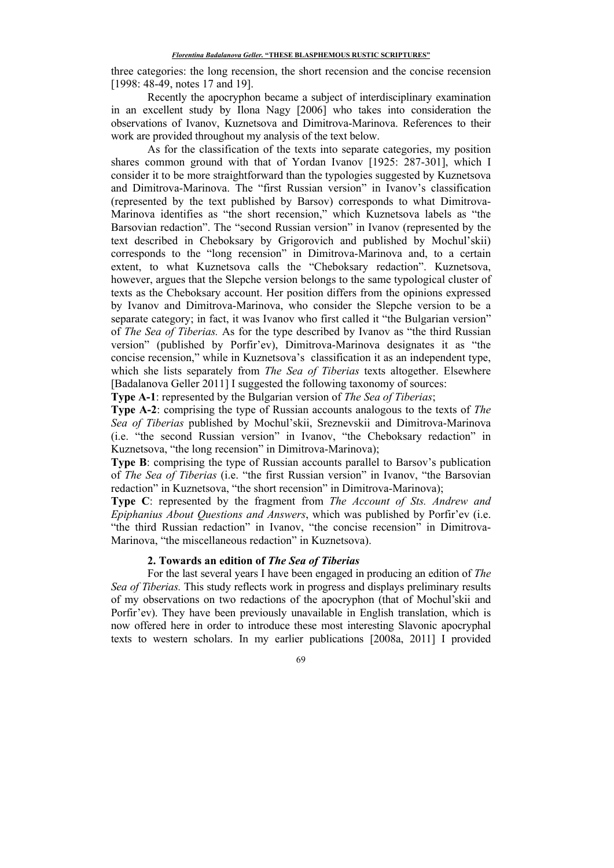three categories: the long recension, the short recension and the concise recension [1998: 48-49, notes 17 and 19].

Recently the apocryphon became a subject of interdisciplinary examination in an excellent study by Ilona Nagy [2006] who takes into consideration the observations of Ivanov, Kuznetsova and Dimitrova-Marinova. References to their work are provided throughout my analysis of the text below.

As for the classification of the texts into separate categories, my position shares common ground with that of Yordan Ivanov [1925: 287-301], which I consider it to be more straightforward than the typologies suggested by Kuznetsova and Dimitrova-Marinova. The "first Russian version" in Ivanov's classification (represented by the text published by Barsov) corresponds to what Dimitrova-Marinova identifies as "the short recension," which Kuznetsova labels as "the Barsovian redaction". The "second Russian version" in Ivanov (represented by the text described in Cheboksary by Grigorovich and published by Mochul'skii) corresponds to the "long recension" in Dimitrova-Marinova and, to a certain extent, to what Kuznetsova calls the "Cheboksary redaction". Kuznetsova, however, argues that the Slepche version belongs to the same typological cluster of texts as the Cheboksary account. Her position differs from the opinions expressed by Ivanov and Dimitrova-Marinova, who consider the Slepche version to be a separate category; in fact, it was Ivanov who first called it "the Bulgarian version" of *The Sea of Tiberias.* As for the type described by Ivanov as "the third Russian version" (published by Porfir'ev), Dimitrova-Marinova designates it as "the concise recension," while in Kuznetsova's classification it as an independent type, which she lists separately from *The Sea of Tiberias* texts altogether. Elsewhere [Badalanova Geller 2011] I suggested the following taxonomy of sources:

**Type A-1**: represented by the Bulgarian version of *The Sea of Tiberias*;

**Type A-2**: comprising the type of Russian accounts analogous to the texts of *The Sea of Tiberias* published by Mochul'skii, Sreznevskii and Dimitrova-Marinova (i.e. "the second Russian version" in Ivanov, "the Cheboksary redaction" in Kuznetsova, "the long recension" in Dimitrova-Marinova);

**Type B:** comprising the type of Russian accounts parallel to Barsov's publication of *The Sea of Tiberias* (i.e. "the first Russian version" in Ivanov, "the Barsovian redaction" in Kuznetsova, "the short recension" in Dimitrova-Marinova);

**Type C**: represented by the fragment from *The Account of Sts. Andrew and Epiphanius About Questions and Answers*, which was published by Porfir'ev (i.e. "the third Russian redaction" in Ivanov, "the concise recension" in Dimitrova-Marinova, "the miscellaneous redaction" in Kuznetsova).

# **2. Towards an edition of** *The Sea of Tiberias*

For the last several years I have been engaged in producing an edition of *The Sea of Tiberias.* This study reflects work in progress and displays preliminary results of my observations on two redactions of the apocryphon (that of Mochul'skii and Porfir'ev). They have been previously unavailable in English translation, which is now offered here in order to introduce these most interesting Slavonic apocryphal texts to western scholars. In my earlier publications [2008a, 2011] I provided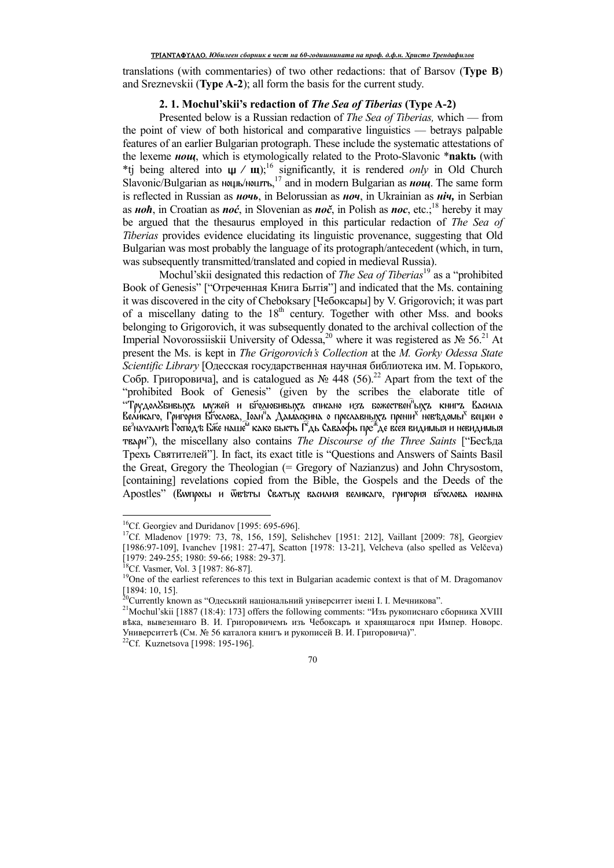translations (with commentaries) of two other redactions: that of Barsov (**Type B**) and Sreznevskii (**Type A-2**); all form the basis for the current study.

## **2. 1. Mochul'skii's redaction of** *The Sea of Tiberias* **(Type A-2)**

Presented below is a Russian redaction of *The Sea of Tiberias,* which — from the point of view of both historical and comparative linguistics — betrays palpable features of an earlier Bulgarian protograph. These include the systematic attestations of the lexeme *<i>H***<sub>OUU</sub>**, which is etymologically related to the Proto-Slavonic \***naktι** (with \*tj being altered into  $\mu$  /  $\mu$ );<sup>16</sup> significantly, it is rendered *only* in Old Church Slavonic/Bulgarian as мирь/милть,<sup>17</sup> and in modern Bulgarian as *нощ*. The same form is reflected in Russian as *<i>Hou*<sub>b</sub>, in Belorussian as *Hou*, in Ukrainian as *Hiu*, in Serbian as *ɧɨћ*, in Croatian as *noć*, in Slovenian as *noč*, in Polish as *noc*, etc.;<sup>18</sup> hereby it may be argued that the thesaurus employed in this particular redaction of *The Sea of Tiberias* provides evidence elucidating its linguistic provenance, suggesting that Old Bulgarian was most probably the language of its protograph/antecedent (which, in turn, was subsequently transmitted/translated and copied in medieval Russia).

Mochul'skii designated this redaction of *The Sea of Tiberias*<sup>19</sup> as a "prohibited Book of Genesis" ["Отреченная Книга Бытія"] and indicated that the Ms. containing it was discovered in the city of Cheboksary [Чебоксары] by V. Grigorovich; it was part of a miscellany dating to the  $18<sup>th</sup>$  century. Together with other Mss. and books belonging to Grigorovich, it was subsequently donated to the archival collection of the Imperial Novorossiiskii University of Odessa,<sup>20</sup> where it was registered as № 56.<sup>21</sup> At present the Ms. is kept in *The Grigorovich's Collection* at the *M. Gorky Odessa State Scientific Library* [Одесская государственная научная библиотека им. М. Горького,  $Co6p.$  Григоровича], and is catalogued as  $N<sub>2</sub>$  448 (56).<sup>22</sup> Apart from the text of the "prohibited Book of Genesis" (given by the scribes the elaborate title of "Трудол&бивыхъ мужей и бгодюбивыхъ списано изъ божествен<sup>¤</sup>ыхъ книгъ Василіа Великаго, Григория Бгослова, Јоан<sup>и</sup>а Дамаскина о преславныхъ прени<sup>х л</sup>евъдомы<sup>х</sup> вещеи о бе $^3$ началнъ Господъ Бже наше $^\omega$  како бысть Г $^2$ дь Саваофь пр $\mathrm{e}^\ast$ де всея видимыя и невидимыя твари"), the miscellany also contains *The Discourse of the Three Saints* ["Бесѣда Трехъ Святителей"]. In fact, its exact title is "Questions and Answers of Saints Basil the Great, Gregory the Theologian (= Gregory of Nazianzus) and John Chrysostom, [containing] revelations copied from the Bible, the Gospels and the Deeds of the Apostles" (Вwпросы и ѿвъты Сватых василия великаго, григория бгослова иоанна

 $\overline{a}$ 

<sup>&</sup>lt;sup>16</sup>Cf. Georgiev and Duridanov [1995: 695-696].

<sup>&</sup>lt;sup>17</sup>Cf. Mladenov [1979: 73, 78, 156, 159], Selishchev [1951: 212], Vaillant [2009: 78], Georgiev [1986:97-109], Ivanchev [1981: 27-47], Scatton [1978: 13-21], Velcheva (also spelled as Velčeva) [1979: 249-255; 1980: 59-66; 1988: 29-37].

<sup>&</sup>lt;sup>18</sup>Cf. Vasmer, Vol. 3 [1987: 86-87].

<sup>&</sup>lt;sup>19</sup>One of the earliest references to this text in Bulgarian academic context is that of M. Dragomanov [1894: 10, 15].

 $^{20}$ Currently known as "Одеський національний університет імені І. І. Мечникова".

<sup>&</sup>lt;sup>21</sup>Mochul'skii [1887 (18:4): 173] offers the following comments: "Изъ рукописнаго сборника XVIII въка, вывезеннаго В. И. Григоровичемъ изъ Чебоксаръ и хранящагося при Импер. Новорс. Университетѣ (См. № 56 каталога книгъ и рукописей В. И. Григоровича)".

<sup>&</sup>lt;sup>22</sup>Cf. Kuznetsova [1998: 195-196].

<sup>70</sup>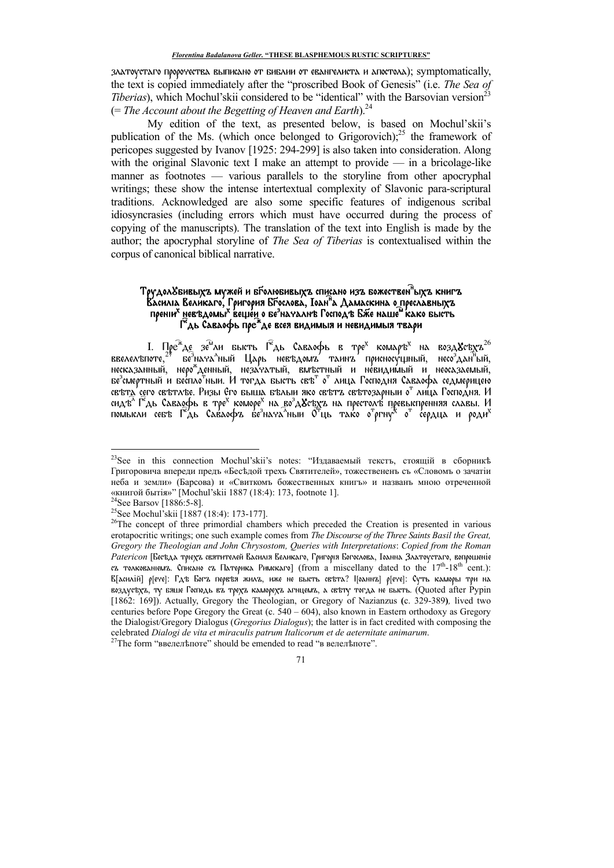златоустаго пророчества выписано от библии от евангелиста и апостола); symptomatically, the text is copied immediately after the "proscribed Book of Genesis" (i.e. The Sea of Tiberias), which Mochul'skii considered to be "identical" with the Barsovian version<sup>23</sup>  $(= The Account about the Begetting of Heaven and Earth).$ <sup>24</sup>

My edition of the text, as presented below, is based on Mochul'skii's publication of the Ms. (which once belonged to Grigorovich); $^{25}$  the framework of pericopes suggested by Ivanov [1925: 294-299] is also taken into consideration. Along with the original Slavonic text I make an attempt to provide - in a bricolage-like manner as footnotes — various parallels to the storyline from other apocryphal writings; these show the intense intertextual complexity of Slavonic para-scriptural traditions. Acknowledged are also some specific features of indigenous scribal idiosyncrasies (including errors which must have occurred during the process of copying of the manuscripts). The translation of the text into English is made by the author; the apocryphal storyline of *The Sea of Tiberias* is contextualised within the corpus of canonical biblical narrative.

# Трудол $S$ бивыхъ мужей и бголюбивыхъ списано изъ божествен"ыхъ книгъ Василіа Великаго, Григория Бґослова, Іоан<sup>я</sup>а Дамаскина о преславныхъ собливать металли. На время с совремя пренимать совремя в пренимать совремя в пренимать совремя в совремя пре<br>Преним невъдомых вещей о бе<sup>з</sup>началить Господъ Бже наше<sup>й</sup> како бысть

I. Пре<sup>ж</sup>де зе<sup>м</sup>ли бысть Г<sup>е</sup>дь Саваофь в тре<sup>х</sup> комаръ<sup>х</sup> на возд $\mathbf{X}^{\text{ck}}$ худ $^{-26}$ ввелелъпоте,  $^{-7}$  бе $^3$ нача<sup>л</sup>ьни Царь невъдомъ таинъ присносущный, несо $^3$ дан $^9$ ый, несказанный, неро $^*$ денный, незачатый, в бе<sup>з</sup>смертный и беспло<sup>т</sup>ныи. И тогда бысть свъ<sup>т</sup> о<sup>т</sup> лица Господня Саваофа седмерицею свътд' сего свътлъе. Ризы Его быша бълыи яко свътъ свътозарныи о<sup>т</sup> лица Господня. И сидъ<sup>л</sup> Г<sup>о</sup>дь Саваофь в тре<sup>х</sup> коморе<sup>х</sup> на во<sup>з</sup>д&съхъ на престолъ превыспренняя славы. И<br>помысли себъ Г<sup>о</sup>дь Саваофъ бе<sup>з</sup>нача<sup>л</sup>ныи О<sup>т</sup>ць тако о<sup>т</sup>ргну<sup>х</sup> о<sup>т</sup> сердца и роди<sup>х</sup>

<sup>&</sup>lt;sup>23</sup>See in this connection Mochul'skii's notes: "Издаваемый тексть, стоящій в сборникъ Григоровича впереди предъ «Беседой трехъ Святителей», тожествененъ съ «Словомъ о зачатіи неба и земли» (Барсова) и «Свиткомъ божественных книгъ» и названъ мною отреченной «книгой бытія»" [Mochul'skii 1887 (18:4): 173, footnote 1].

<sup>&</sup>lt;sup>24</sup>See Barsov [1886:5-8].

<sup>&</sup>lt;sup>25</sup>See Mochul'skii [1887 (18:4): 173-177].

<sup>&</sup>lt;sup>26</sup>The concept of three primordial chambers which preceded the Creation is presented in various erotapocritic writings; one such example comes from The Discourse of the Three Saints Basil the Great, Gregory the Theologian and John Chrysostom, Queries with Interpretations: Copied from the Roman Patericon [Беседа тріехъ святителей Василія Великаго, Григорія Богослова, Іоанна Златоустаго, вопрошеніе съ толкованіемъ. Списано съ Патерика Римскаго] (from a miscellany dated to the 17<sup>th</sup>-18<sup>th</sup> cent.): В[асилій] р[ете]: Гдъ Богъ первъя жилъ, иже не бысть свъта? Поаннъ] р[ете]: Суть каморы три на воздустуть, ту вяше Господь въ трехъ каморехъ агнцемъ, а свъту тогда не высть. (Quoted after Pypin [1862: 169]). Actually, Gregory the Theologian, or Gregory of Nazianzus (c. 329-389), lived two centuries before Pope Gregory the Great (c.  $540 - 604$ ), also known in Eastern orthodoxy as Gregory the Dialogist/Gregory Dialogus (Gregorius Dialogus); the latter is in fact credited with composing the celebrated Dialogi de vita et miraculis patrum Italicorum et de aeternitate animarum.

The form "ввелельноте" should be emended to read "в велельноте".

<sup>71</sup>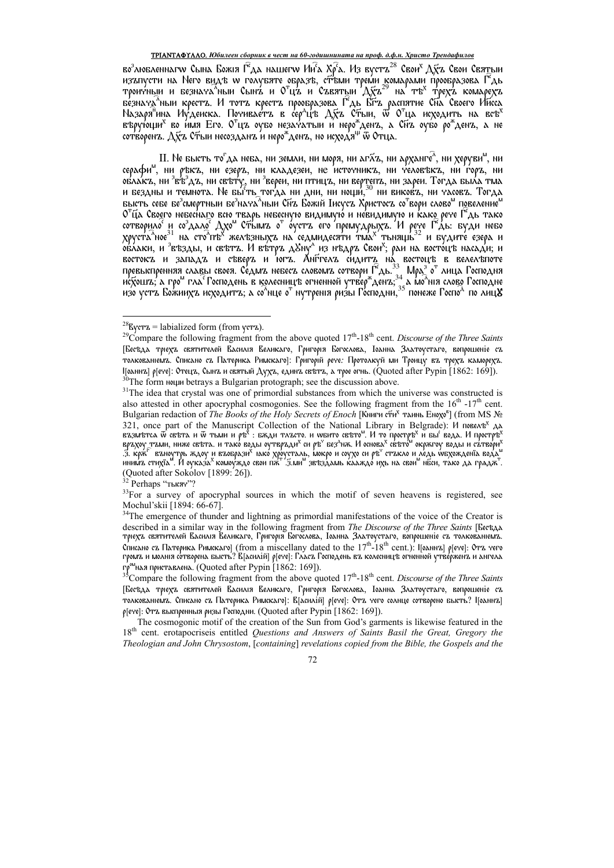## ТРІАНТАФҮЛЛО. Юбилеен сборник в чест на 60-годишнината на проф. д.ф.н. Христо Трендафилов

во<sup>з</sup>любленнагw Сына Божія Г<sup>е</sup>да нашегw Ин<sup>г</sup>а Хр<sup>е</sup>а. Из вустъ<sup>28</sup> Свои<sup>х</sup> Дхъ Свои Свя<u>т</u>ыи изапусти на Него видъ и голубяте образъ, стъми трем комарами пробразова Г<sup>е</sup>дь<br>произвым и безнача<sup>5</sup>ным Сынъ и О<sup>т</sup>цъ и Съвятым Дуб<sup>29</sup> на тъ<sup>х</sup> трехъ комарехъ<br>безнача<sup>5</sup>ным крестъ. И тотъ крестъ прообразова Г<sup>е</sup>дь Бтъ ра върующи<sup>х</sup> во имя Его. О<sup>т</sup>цъ оубо незачатьш и неро\*денъ, а Спъ оубо ро\*денъ, а не<br>сотворенъ. Дхъ Стыи несозданъ и неро\*денъ, но исходя<sup>ш</sup> ѿ Отца.

II. Не бысть то<sup>г</sup>да неба, ни земли, ни моря, ни аг⊼ъ, ни арханге^, ни херуви<sup>м</sup>, ни серафи", ни ръкъ, ни езеръ, ни кладезеи, не источникъ, ни человъкъ, ни горъ, ни облакъ, ни <sup>з</sup>въздъ, ни свъту, ни збереи, ни птицъ, ни вертепъ, ни зареи. Тогда была тма<br>и бездны и темнота. Не бы ть тогда ни дни, ни нощи,<sup>30</sup> ни виковъ, ни часовъ. Тогда бысть себе бе<sup>з</sup>смертный бе<sup>з</sup>нача<sup>л</sup>ный Сид Божій Іисусд Христосд со<sup>т</sup>вори слово<sup>м</sup> повеление<sup>м</sup> высть себе бе смертный бе нача ный сит божи писуста христост со вори слово" повеление"<br>О"Ца Своего небеснаго всю тварь небесную видимую и невидимую и како рече Г°дь тако<br>сотворило<sup>с</sup> и со<sup>3</sup>дало<sup>с</sup> Дхо<sup>м</sup> Стымта о" оустт

<sup>&</sup>lt;sup>28</sup> Ever<sub>z</sub> = labialized form (from yer<sub>z</sub>).

<sup>&</sup>lt;sup>29</sup>Compare the following fragment from the above quoted  $17<sup>th</sup>$ -18<sup>th</sup> cent. Discourse of the Three Saints [Бесъда трієха святителей Василія Великаго, Григорія Богослова, Іоанна Златоустаго, вопрошеніе съ толкованіємъ. Списано съ Патерика Римскаго]: Григорій рече: Протолкуй ми Троицу въ трехъ каморехъ. І[однии] р[ете]: Отеци, Сыни и святый Духи, едини свъти, а трое огнь. (Quoted after Pypin [1862: 169]). <sup>30</sup>The form Notwo betrays a Bulgarian protograph; see the discussion above.

<sup>&</sup>lt;sup>31</sup>The idea that crystal was one of primordial substances from which the universe was constructed is also attested in other apocryphal cosmogonies. See the following fragment from the 16<sup>th</sup> -17<sup>th</sup> cent. Bulgarian redaction of *The Books of the Holy Secrets of Enoch* [Книги сти<sup>х</sup> таинь Енохо<sup>в</sup>] (from MS № 321, once part of the Manuscript Collection of the National Library in Belgrade): И повель<sup>х</sup> да взаитьста w свъта и w тыми и ръ<sup>2</sup>: вжди талето. и wвито свъто<sup>м</sup>. И то простръ<sup>х</sup> и вы вода. И простръ<sup>х</sup> врздую тами, ниж да кряг въноутрь ждоу и въобрази<sup>х</sup> нако хроусталь, мокро и соухо си ръ<sup>с</sup> стъкло и ледь мехождента вода.<br>"Инимъ стихта". И оуказа<sup>х</sup> комоуждо свои пя" .З.ми" звъздамь кааждо ихь на свои" нбси, тако да градя." (Quoted after Sokolov [1899: 26]).<br><sup>32</sup> Perhaps "тысяч"?

<sup>&</sup>lt;sup>33</sup>For a survey of apocryphal sources in which the motif of seven heavens is registered, see Mochul'skii [1894: 66-67].

<sup>&</sup>lt;sup>34</sup>The emergence of thunder and lightning as primordial manifestations of the voice of the Creator is described in a similar way in the following fragment from The Discourse of the Three Saints [Bect]AA трієхъ святителей Василія Великаго, Григорія Богослова, Іоанна Златоустаго, вопрошеніе съ толкованіемъ. Списано съ Патерика Римскаго] (from a miscellany dated to the  $17<sup>th</sup>$ -18<sup>th</sup> cent.). Поаннъ] р[ече]: Отъ чего громъ и молнія сотворена бысть? В[асилій] р[ече]: Гласъ Господень въ колесницъ огненной утве́рженъ и ангела го<sup>ом</sup>ная приставлена. (Quoted after Pypin [1862: 169]).<br><sup>35</sup> Compare the following fragment from the above quoted  $17<sup>th</sup>$ -18<sup>th</sup> cent. *Discourse of the Three Saints* 

<sup>[</sup>Бесъда трієхта святителей Василія Великаго, Григорія Богослова, Іоанна Златоустаго, вопрошеніе съ толкованіємъ. Списано съ Патерика Римскаго]: В[асилій] р[ече]: Отъ чего солнце сотворено бысть? І[оаннъ] p[ете]: Отъ выспренныя ризы Господни. (Quoted after Pypin [1862: 169]).

The cosmogonic motif of the creation of the Sun from God's garments is likewise featured in the 18<sup>th</sup> cent. erotapocriseis entitled Questions and Answers of Saints Basil the Great, Gregory the Theologian and John Chrysostom, [containing] revelations copied from the Bible, the Gospels and the

<sup>72</sup>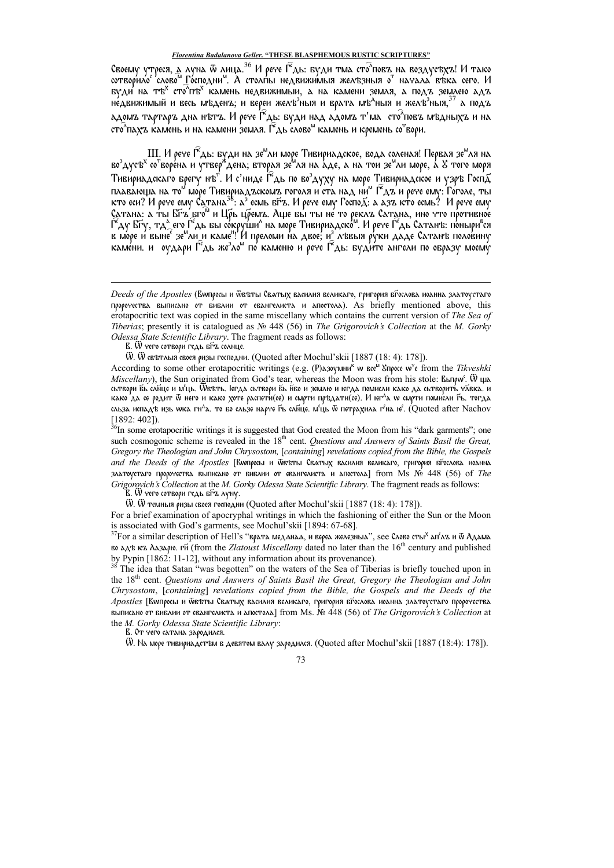Своему утреся, а луна ѿ лица.<sup>36</sup> И рече Г<sup>е</sup>дь: буди тма сто<sup>л</sup>повъ на воздусъхъ! И тако сотворило слово Господни". А столпы недвижимыя железныя о начала въка сего. И буди на тъ<sup>х</sup> сто<sup>л</sup>пъ<sup>х</sup> камень недвижимыи, а на камени земля, а подъ землею адъ не́движимый и весь мъденъ; и вереи желъ<sup>з</sup>ныя и врата мъ<sup>д</sup>ныя и желъ<sup>з</sup>ныя, <sup>з/</sup> а подъ адомъ тартаръ дна нътъ. И рече Г"дь: буди над адомъ т'ма сто^повъ мъдныхъ и на сто<sup>л</sup>пахъ камень и на камени земля. Г<sup>е</sup>дь слово<sup>м</sup> камень и кремень со<sup>т</sup>вори.

Ш. И рече Г<sup>е</sup>дь: буди на зе<sup>м</sup>ли море Тивириадское, вода соленая! Первая зе<sup>м</sup>ля на во<sup>з</sup>дусъ<sup>х</sup> со<sup>т</sup>воре́на и утвер\*дена; вторая зе́<sup>м</sup>ля на а́де, а на тои зе"ли море, а́ S того моря тивириадскаго брегу нъ". И с'ниде Г<sup>е</sup>дь по во<sup>з</sup>духу на море Тивириадское и узръ Госпя<br>плавающа на то<sup>м</sup> море Тивириадъскомъ гоголя и ста над ни<sup>м</sup> Г<sup>е</sup>дъ и рече ему: Гоголе, ты<br>кто еси? И рече ему Сатана<sup>38</sup>: а<sup>3</sup> есмь Сатана: а ты Біта бром и Црь црема. Аще бы ты не то рекла Сатана, ино что противное Геду Біту, тде его Гедь бы сокруши^ на море Тивириадско<sup>м</sup>. И рече Гедь Сатана, ино что противное Геду Біту, тде его Гедь бы сокруши^ на

B. W чего сотвори гедь бы солнце.

 $\ddot{W}$ .  $\ddot{W}$  свътлыя своея ризы господни. (Quoted after Mochul'skii [1887 (18: 4): 178]).

According to some other erotapocritic writings (e.g. (P) дзоумни<sup>к</sup> w все<sup>м</sup> Упросе w<sup>'</sup> e from the Tikveshki Miscellany), the Sun originated from God's tear, whereas the Moon was from his stole: Выпри W цы сьтвори бы сайце и мець. Wетьть. leгда сьтвори бы назвили и негда помисли како да сьтворить убека. и како 'да се родит ѿ него и како хоте распети́(се) и смрти прѣдати(се). И юг^а w смрти поми́сли ѓъ. тогда сльза испадъ изь wka гн<sup>а</sup>а. то бо сльзе нарче Fь сляце. м'ць ѿ петрахила г'на ю'. (Quoted after Nachov  $[1892:402]$ ).

<sup>36</sup>In some erotapocritic writings it is suggested that God created the Moon from his "dark garments"; one such cosmogonic scheme is revealed in the 18<sup>th</sup> cent. Questions and Answers of Saints Basil the Great, Gregory the Theologian and John Chrysostom, [containing] revelations copied from the Bible, the Gospels and the Deeds of the Apostles [Влипросы и Фетты Сватых василия великаго, григория вгослова иоанна златоустаго пророчества выписано от библии от евангелиста и апостола] from Ms Nº 448 (56) of The Grigorovich's Collection at the M. Gorky Odessa State Scientific Library. The fragment reads as follows:

B. W чего сотвори гсдь бFz луну.

Ѿ. Ѿ темныя ризы своея господни (Quoted after Mochul'skii [1887 (18: 4): 178]).

For a brief examination of approximately writings in which the fashioning of either the Sun or the Moon is associated with God's garments, see Mochul'skii [1894: 67-68].

<sup>37</sup>For a similar description of Hell's "врата меданал, и вереа железныа", see Слово сты<sup>х</sup> ап'лъ и ѿ Адама во ддъ къ Лазарю. ги (from the Zlatoust Miscellany dated no later than the 16<sup>th</sup> century and published by Pypin [1862: 11-12], without any information about its provenance).

<sup>38</sup> The idea that Satan "was begotten" on the waters of the Sea of Tiberias is briefly touched upon in the 18<sup>th</sup> cent. Questions and Answers of Saints Basil the Great, Gregory the Theologian and John Chrysostom, [containing] revelations copied from the Bible, the Gospels and the Deeds of the Apostles [Вопросы и Феъты Сватых василия великаго, григория бгослова иоанна златоустаго пророчества выписано от библии от евангелиста и апостола] from Ms. № 448 (56) of The Grigorovich's Collection at the M. Gorky Odessa State Scientific Library:

В. От чего сатана зародился.

W. На море тивириадстъм в девятом валу зародился. (Quoted after Mochul'skii [1887 (18:4): 178]).

Deeds of the Apostles (Вопросы и Фвъты Сватых василия великаго, григория бгослова иоанна златоустаго пророчества выписано от виблии от евангелиста и апостола). As briefly mentioned above, this erotapocritic text was copied in the same miscellany which contains the current version of The Sea of Tiberias; presently it is catalogued as  $N<sub>2</sub>$  448 (56) in The Grigorovich's Collection at the M. Gorky Odessa State Scientific Library. The fragment reads as follows: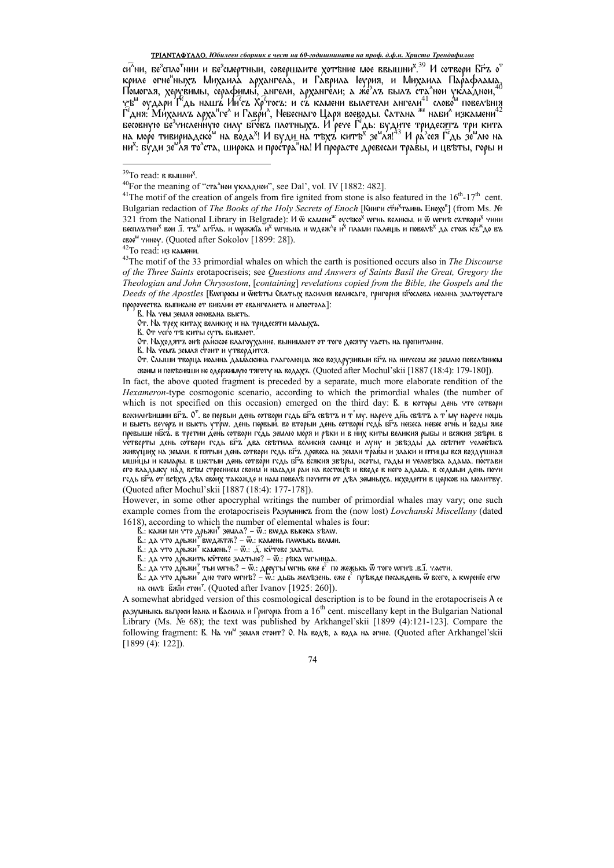## ТРІАНТАФҮЛЛО. Юбилеен сборник в чест на 60-годишнината на проф. д.ф.н. Христо Трендафилов

си<sup>л</sup>ни, бе<sup>з</sup>спло<sup>т</sup>нии и бе<sup>з</sup>смертныи, совершаите хотъние мое ввышни<sup>х 39</sup> И сотвори Бµд о<sup>т</sup> и ни, ве сило ний и ве смортный, совершанте дот вние мое вышит. В тествори в в относите надель критель другитель, а разрил в средне по приделения для пользов. Помогля, дерувимы, серафимы, ангели, архангели, а же<sup>3</sup>лз былз весовную бе<sup>з</sup>численную силу было плотныха. И рече Гадь: будите тридесять три кита<br>на море тивириадско на вода<sup>х</sup>! И буди на тъха китъ<sup>х</sup> зе<sup>м</sup>ля!<sup>43</sup> И ра<sup>з</sup>сея Гадь зе<sup>м</sup>лю на ни<sup>х</sup>: бу́ди зе<sup>м</sup>ля то^ста, широка и прос́тра"на! И прорасте древесаи трав́ы, и цвъты, горы и

 $43$ The motif of the 33 primordial whales on which the earth is positioned occurs also in *The Discourse* of the Three Saints erotapocriseis; see Questions and Answers of Saints Basil the Great, Gregory the Theologian and John Chrysostom, [containing] revelations copied from the Bible, the Gospels and the Deeds of the Apostles [Вwпросы и Ѿвъты Сватых василия великаго, григория бгослова иоанна златоустаго пророчества выписано от библии от евангелиста и апостола]:

0т. Находятъ онъ райское благоухание. вынимают от того десяту часть на пропитание.<br>В. На чемъ земля стоит и утвердится.

своим и повъсивши не одержимую тяготу на водахъ. (Quoted after Mochul'skii [1887 (18:4): 179-180]). In fact, the above quoted fragment is preceded by a separate, much more elaborate rendition of the

*Hexameron*-type cosmogonic scenario, according to which the primordial whales (the number of which is not specified on this occasion) emerged on the third day: R. в которы день что сотвори всесили вишии бґъ. О<sup>т</sup>. во первыи день сотвори гсдь бґъ свътъ и т'му. нарече ді́нь свътъ́ а т'му нарече нощь и бысть вечеръ и бысть утрол. день первый. во вторыи день сотвори гедь быт небеса небес огны и воды яже превыше нбс2. в третии день сотвори гсдь землю моря и ръки и в них киты великия рыбы и всякия звъри. в четверты день сотвори гсдь бга два свътила великия солнце и луну и звъзды да свътит человъкъ живущих на земли. в'пятыи день сотвори гсдь бі́га древеса на земли тр́ав́ы и злаки и птицы вся воздушная мши́цы и комары. в шестыи день сотво́ри гсдь бі́~в всякия звъры, ско́ты, гады и человъка адама. по́стави его владыку на́д всъм строением своим и насади раи на востоцъ и введе в него адама. в седмыи день почи гсдь бі́гз от ́всѣхъ дъл сво́их такожде и нам повел́в почити от дъл земныхъ. исходити в церков на молитву. (Quoted after Mochul'skii [1887 (18:4): 177-178]).

However, in some other apocryphal writings the number of primordial whales may vary; one such example comes from the erotapocriseis Разумникъ from the (now lost) Lovchanski Miscellany (dated 1618), according to which the number of elemental whales is four:

В.: кажи ми что дрьжи<sup>т</sup> земла? - Ф.: вмда высока sълм.

В.: да что дрьжи<sup>т'</sup>вwджтж? - ѿ.: камень плwськь велми.

В.: да что дръжи<sup>т</sup> камень? –  $\ddot{w}$ .: .д. ку̀тове златы.

е... для частовления с совета... от для составлять...<br>В.: для что дръжить кочове златыне? – Ф.: ръка wгыннаа.<br>В.: для что дръжи<sup>т</sup> тьи wгнь? – Ф.: дроугы wгнь еже е<sup>с</sup> по же<u>ж</u>ькь Ф того wгнъ .в.Т. члсти.<br>В.: для что дръж на силъ Бжїн стои<sup>т</sup>. (Quoted after Ivanov [1925: 260]).

A somewhat abridged version of this cosmological description is to be found in the erotapocrise is  $\lambda$  as разумныкь выпроси юдна и Василіа и Григоріа from а  $16^{th}$  cent. miscellany kept in the Bulgarian National Library (Ms. No 68); the text was published by Arkhangel'skii [1899 (4):121-123]. Compare the following fragment: В. На чи<sup>м</sup> земля стоит? О. На водъ, а вода на огню. (Quoted after Arkhangel'skii  $[1899(4): 122]$ ).

<sup>&</sup>lt;sup>39</sup>То read: в вышни<sup>х</sup>.

<sup>&</sup>lt;sup>40</sup>For the meaning of "ста<sup>л</sup>нои укладнои", see Dal', vol. IV [1882: 482].

<sup>&</sup>lt;sup>41</sup>The motif of the creation of angels from fire ignited from stone is also featured in the  $16<sup>th</sup>$ -17<sup>th</sup> cent. Bulgarian redaction of *The Books of the Holy Secrets of Enoch* [Книги сти<sup>х</sup>таинь Енохо<sup>в</sup>] (from Ms. № 321 from the National Library in Belgrade): И ѿ камене<sup>ж</sup> оусъко<sup>х</sup> wгнь великы. и ѿ wгнъ сътвори<sup>х</sup> чини<br>бесплътни<sup>х</sup> вои .i. тъ<sup>м</sup> дгћль. и wрѫжïд и<sup>х</sup> wгнынд и wдеж<sup>д</sup>е и<sup>х</sup> плами палещь и повелъ<sup>х</sup> да стоѫ къ®до въ свое<sup>м</sup> уиноу. (Quoted after Sokolov [1899: 28]).

<sup>&</sup>lt;sup>42</sup>То read: из камени.

В. На чем земля основана бысть.

От. На трех китах великих и на тридесяти малыхъ.

В. От чего тъ киты суть бывают.

От. Слыши творца иоанна дамаскина глаголюща яко воздрузивыи бга на ничесом же землю повелънием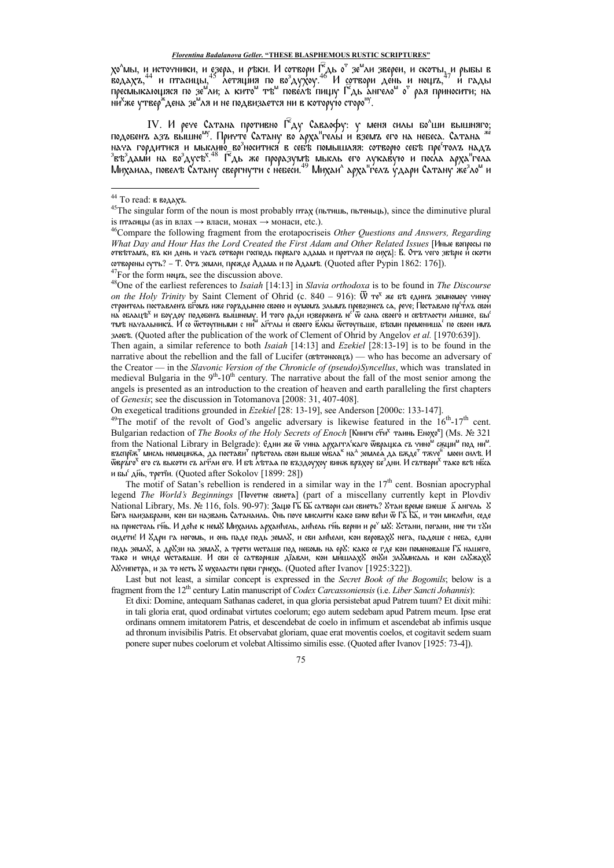хо<sup>л</sup>мы, и источники, и езера, и ръки. И сотвори Г<sup>е</sup>дь о<sup>т</sup> зе<sup>м</sup>ли звереи, и скоты, и рыбы в<br>водахъ,<sup>44</sup> и птасицы,<sup>45</sup> летящия по во<sup>з</sup>духоу.<sup>46</sup> И сотвори день и нощъ,<sup>47</sup> и гады<br>пресмыкающяся по зе<sup>м</sup>ли; а кито<sup>м</sup> тъ ни<sup>х</sup>же утвер<sup>ж</sup>дена зе<sup>м</sup>ля и не подвизается ни в которую сторо<sup>ну</sup>.

IV. И рече Сатана противно Ѓ<sup>е</sup>ду Саваофу: у меня силы бо<sup>л</sup>ши вышняго; подобенъ дзъ вышне<sup>му</sup>. Причте Сатану во арха<sup>н</sup>гелы и вземъ его на небеса. Сатана \* нача гордитися и мыслию возноситися в себ'в помышляя: сотворю себ'в пре<sup>с</sup>толъ надъ аказали на воздусь<sup>х,48</sup> Г<sup>о</sup>дь же проразумы мысль его лукавую и посла арха<sup>н</sup>гела<br>Выздами на воздусь<sup>х,48</sup> Г<sup>о</sup>дь же проразумы мысль его лукавую и посла арха<sup>н</sup>гела<br>Михаила, повель Сатану свергнути с небеси.<sup>49</sup> Михаи^ а

Then again, a similar reference to both *Isaiah* [14:13] and *Ezekiel* [28:13-19] is to be found in the narrative about the rebellion and the fall of Lucifer  $(\alpha\beta\gamma\gamma\gamma)$  who has become an adversary of the Creator — in the Slavonic Version of the Chronicle of (pseudo)Syncellus, which was translated in medieval Bulgaria in the  $9<sup>th</sup>$ -10<sup>th</sup> century. The narrative about the fall of the most senior among the angels is presented as an introduction to the creation of heaven and earth paralleling the first chapters of Genesis; see the discussion in Totomanova [2008: 31, 407-408].

On exegetical traditions grounded in Ezekiel [28: 13-19], see Anderson [2000c: 133-147].

<sup>49</sup>The motif of the revolt of God's angelic adversary is likewise featured in the  $16^{th}$ -17<sup>th</sup> cent. Bulgarian redaction of The Books of the Holy Secrets of Enoch [Книги сти<sup>х</sup> таинь Енохо<sup>в</sup>] (Ms. № 321 from the National Library in Belgrade): Едни же ѿ тина архаггл каго ѿврацка съ тино" сжщи под ни". въспрїж" мисль немощн $\pi$ а, да постави" пръстоль свои выше wбла $^{\kappa}$  на $^{\lambda}$  земле $^{\lambda}$  да б $\pi$ де" т $\pi$ че" моеи силъ. И Ѿвръ́го<sup>х</sup> его съ высоти съ лгћли его. И бъ лътла по въздоухоу винѫ връхоу бе<sup>з</sup>дни. И сътвори<sup>х</sup> тако всъ нбса и вы<sup>е</sup> ды, третіи. (Quoted after Sokolov [1899: 28])

The motif of Satan's rebellion is rendered in a similar way in the 17<sup>th</sup> cent. Bosnian apocryphal legend The World's Beginnings [Почетие свиста] (part of a miscellany currently kept in Plovdiv National Library, Ms. № 116, fols. 90-97): Зацю ГБ ББ сатвори саи свиеть? Утаи време виеше бангель У Бога наизабрани, кои би названь Сатанаиль. Онь поче мислити како бию већи ѿ Га҃ Ба҃, и тои мислећи, седе на приестоль ги́ь. И доће к немУ Михаиль арханћель, анћель ги́ь верни и ре° мУ: Устани, погани, ние ти тУи сидети! И Хдри га ногомь, и онь паде подь землХ, и сви анћели, кои веровахХ нега, падоше с неба, едни подь земл», а др»зи на земл», а трети wcташе под небомь на ер»: како се где кои поменоваше Га нашего, тако и what werabalie. И сви се сатворише діавли, кои мишлах» онуи злушисаль и кои служаху А8 чипетра, и за то неть 8 w холасти први гриехь. (Quoted after Ivanov [1925:322]).

<sup>&</sup>lt;sup>44</sup> То read: в водахъ.

<sup>&</sup>lt;sup>45</sup>The singular form of the noun is most probably птах (пьтишь, пьтеньць), since the diminutive plural із птасицы (as in влах  $\rightarrow$  власи, монах  $\rightarrow$  монаси, etc.).

 $46$ Compare the following fragment from the erotapocriseis Other Questions and Answers, Regarding What Day and Hour Has the Lord Created the First Adam and Other Related Issues [Иные вопросы по отвътамъ, въ ки день и часъ сотвори господь перваго адама и протчая по сихъ]: В. Отъ чего звъріе и́ скоти сотворены суть? - Т. Отъ земли, прежде Адама и по Адамъ. (Quoted after Pypin 1862: 176]).

 $47$ For the form Nours, see the discussion above.

<sup>&</sup>lt;sup>48</sup>One of the earliest references to *Isaiah* [14:13] in *Slavia orthodoxa* is to be found in *The Discourse* on the Holy Trinity by Saint Clement of Ohrid (c.  $840 - 916$ ):  $\overline{W}$  Te<sup>x</sup> же въ единъ земномоу чиноу строитель поставленъ былиз иже горъдынею своею и оумомъ злымъ превознесъ са, рече; Поставлю пр<sup>е</sup>тлъ свои случить научается в подобних вышнему. И того ради извержента не то своего и светалости лишисе, бы<br>тите научаемы в которых вышнему. И того ради извержента не того в свето и светалости лишисе, бы<br>тите научаемникта. И со тос 300 state. (Quoted after the publication of the work of Clement of Ohrid by Angelov et al. [1970:639])

Last but not least, a similar concept is expressed in the Secret Book of the Bogomils; below is a fragment from the  $12<sup>th</sup>$  century Latin manuscript of *Codex Carcassoniensis* (i.e. *Liber Sancti Johannis*):

Et dixi: Domine, antequam Sathanas caderet, in qua gloria persistebat apud Patrem tuum? Et dixit mihi: in tali gloria erat, quod ordinabat virtutes coelorum; ego autem sedebam apud Patrem meum. Ipse erat ordinans omnem imitatorem Patris, et descendebat de coelo in infimum et ascendebat ab infimis usque ad thronum invisibilis Patris. Et observabat gloriam, quae erat moventis coelos, et cogitavit sedem suam ponere super nubes coelorum et volebat Altissimo similis esse. (Quoted after Ivanov [1925: 73-4]).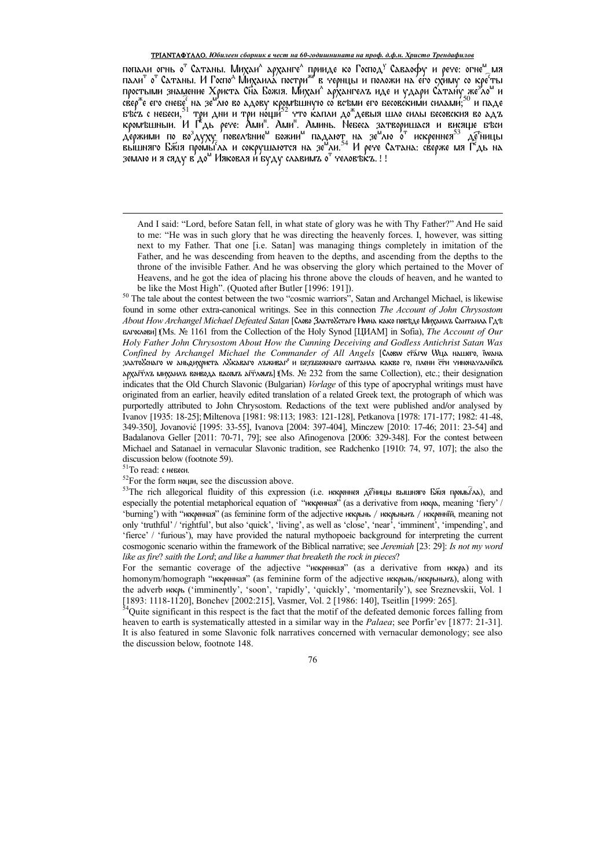### ТРІАНТАФҮЛЛО. Юбилеен сборник в чест на 60-годишнината на проф. д.ф.н. Христо Трендафилов

попали огны от Сатаны. Михаил архангел принде ко Господ' Савдофу и рече: огне<sup>м</sup> мя<br>пали<sup>т</sup> от Сатаны. И Госпо<sup>д</sup> Михаила постри<sup>же</sup> в чернцы и положи на его схиму со кре<sup>с</sup>ты<br>простыми знамение Христа Сна Божія. Михаил а землю и я сяду в'до<sup>м</sup> Ияковля и буду славимъ о<sup>т</sup> человъкъ.!!

And I said: "Lord, before Satan fell, in what state of glory was he with Thy Father?" And He said to me: "He was in such glory that he was directing the heavenly forces. I, however, was sitting next to my Father. That one [i.e. Satan] was managing things completely in imitation of the Father, and he was descending from heaven to the depths, and ascending from the depths to the throne of the invisible Father. And he was observing the glory which pertained to the Mover of Heavens, and he got the idea of placing his throne above the clouds of heaven, and he wanted to be like the Most High". (Quoted after Butler [1996: 191]).

<sup>50</sup> The tale about the contest between the two "cosmic warriors", Satan and Archangel Michael, is likewise found in some other extra-canonical writings. See in this connection The Account of John Chrysostom About How Archangel Michael Defeated Satan [Слово ЗлатоУстаго Инна како повъде Михаилъ Сантаила Гдъ БАГФСАОВИ] (Ms. № 1161 from the Collection of the Holy Synod [ЦИАМ] in Sofia), The Account of Our Holy Father John Chrysostom About How the Cunning Deceiving and Godless Antichrist Satan Was Confined by Archangel Michael the Commander of All Angels [CAOBW CTAIW WILL HALLIETO, IWAHA златобенаго w аньдихриста лбкаваго лъживаг° и безъбожнаго сантаила какво го, плени ети чиноначалнікъ арха́п $\tau$ а михаилъ вои́вода васемъ аг $\tau$ ломъ] (Ms. № 232 from the same Collection), etc.; their designation indicates that the Old Church Slavonic (Bulgarian) Vorlage of this type of apocryphal writings must have originated from an earlier, heavily edited translation of a related Greek text, the protograph of which was purportedly attributed to John Chrysostom. Redactions of the text were published and/or analysed by Ivanov [1935: 18-25]; Miltenova [1981: 98:113; 1983: 121-128], Petkanova [1978: 171-177; 1982: 41-48, 349-350], Jovanović [1995: 33-55], Ivanova [2004: 397-404], Minczew [2010: 17-46; 2011: 23-54] and Badalanova Geller [2011: 70-71, 79]; see also Afinogenova [2006: 329-348]. For the contest between Michael and Satanael in vernacular Slavonic tradition, see Radchenko [1910; 74, 97, 107]; the also the discussion below (footnote 59).

 $51$ То read: с невеси.

 $52$ For the form  $m$   $m\mu$ , see the discussion above.

53The rich allegorical fluidity of this expression (i.e. искреннея детницы вышняго Бжия промытка), and especially the potential metaphorical equation of "икорнная" (as a derivative from икорд, meaning 'fiery' / 'burning') with "искренная" (as feminine form of the adjective искрывь / искрывых / искренній, meaning not only 'truthful' / 'rightful', but also 'quick', 'living', as well as 'close', 'near', 'imminent', 'impending', and 'fierce' / 'furious'), may have provided the natural mythopoeic background for interpreting the current cosmogonic scenario within the framework of the Biblical narrative; see Jeremiah [23: 29]: Is not my word like as fire? saith the Lord; and like a hammer that breaketh the rock in pieces?

For the semantic coverage of the adjective "икоренная" (as a derivative from икора) and its homonym/homograph "икеренная" (as feminine form of the adjective икерьнь/икерьных), along with the adverb иккрь ('imminently', 'soon', 'rapidly', 'quickly', 'momentarily'), see Sreznevskii, Vol. 1 [1893: 1118-1120], Bonchev [2002:215], Vasmer, Vol. 2 [1986: 140], Tseitlin [1999: 265].

<sup>54</sup>Quite significant in this respect is the fact that the motif of the defeated demonic forces falling from heaven to earth is systematically attested in a similar way in the *Palaea*; see Porfir'ev [1877: 21-31]. It is also featured in some Slavonic folk narratives concerned with vernacular demonology; see also the discussion below, footnote 148.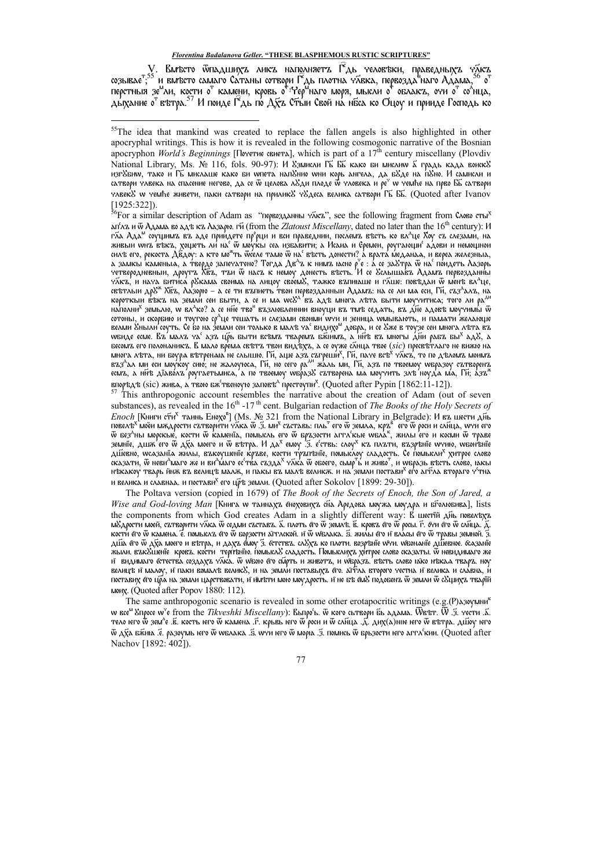. Вмъсто ѿпадшихъ ликъ наполняетъ Г<sup>е</sup>дь человъки, праведныхъ ч⊼къ coзывает.<sup>55</sup> и вм'есто самаго Сатаны сотвори Г<sup>а</sup>дь плотна чабе тельски, прабедных а таке<br>перстныя зе<sup>н</sup>ли, кости о<sup>т</sup> камени, кровь о<sup>т г</sup>ер<sup>и</sup>наго моря, мысли о<sup>т</sup> облакт, оти от со<sup>л</sup>нца,<br>дыхание о<sup>т</sup> вътра.<sup>56</sup> И пои

<sup>57</sup> This anthropogonic account resembles the narrative about the creation of Adam (out of seven substances), as revealed in the  $16<sup>th</sup>$ -17<sup>th</sup> cent. Bulgarian redaction of *The Books of the Holy Secrets of Enoch* [Книги сти<sup>х</sup> таинь Енохо<sup>в</sup>] (Ms. № 321 from the National Library in Belgrade): И въ шести дны *Enoch* [книги сти "тайнь Enoxo ] (ivis. № 321 hom the National Lidiary in Bergrade). И въ шести днь<br>повелъ<sup>х</sup> моёи мждрости сътворити ч⊼ка ѿ .3. ми<sup>х</sup> съставь: пль<sup>т</sup> его ѿ земла, кръ<sup>е</sup> его ѿ роси и сля́ца, wyn его<br>ѿ бе дійевно, wcaзанїа жи́лы, въкоущенїе ќръве, кости тръпънїе, помыс́лоу сладость. Се п́омысли<sup>х</sup> хитрое слово сказати, ѿ неви<sup>л</sup>маго же и ви<sup>л</sup>маго ес<sup>е</sup>тва създа<sup>х</sup> ч⊼ка ѿ обоего, сьмр™ь́ и живо", и wбразь въсть сло́во, юкы н'екакоу тварь йнж въ велиц'е малж, и пакы въ мал'е великж. и на земли постави<sup>х</sup> его агѓла втораго ч<sup>5</sup>тна и велика и славнаа. и постави<sup>х</sup> его цръ земли. (Quoted after Sokolov [1899: 29-30]).

The Poltava version (copied in 1679) of The Book of the Secrets of Enoch, the Son of Jared, a Wise and God-loving Man [Книга w таинахъ еноховихъ сна Аредова моужа моудра и бголюбива], lists the components from which God creates Adam in a slightly different way: В шестій дінь повелеку и медленнией, стительную сами стать для поставили с поставили с поставили с поставили с поставили с поставили с поставили с де кости его ѿ камена. Ё. помысл $\bf{z}$  его ѿ борзости агтлской. и ѿ wbлака. Ѕ. жилы его и власы его ѿ травы земной. Ӡ. ді́lіа е́го ѿ дх҃а моего и вътра, и дахъ е́моу ́з. естствъ. сл№хъ ко плоти. возрънїе w}и. wisonanïe ді́lіевное. &азанїе жыли. взк8шеніе кровз. кости терітвнію. іюмысл8 сладость. Помыслих хитрое слово сказаты. Ї невидимаго же и видимаго естества создаха члюа. Ѿ wboro его смрть и живота, и wbpa3a. въсть слово юко нъкал твара. ноу велицъ и малоу, и паки вомалъ велик», и на земли поставыхъ его. аттла второго честна и велика и славна, и поставих его цра на земли царствовати, и имъти мою моудрость. и не бъ емУ подобенъ ѿ земли ѿ сУщихъ тварїй мму. (Quoted after Popov 1880: 112).

The same anthropogonic scenario is revealed in some other erotapocritic writings (e.g.(P)A30YMNH w все<sup>м</sup> Упросе w'e from the Tikveshki Miscellany): Вьпро<sup>6</sup>ь.  $\ddot{w}$  кого сьтвори бы адама. Wвет. W .3. чести .5. тело него Ф зем^е .Е. кость него Ѿ камена .Г. крьвь него Ѿ роси и Ѿ слица .Д. дих(а)ние него Ѿ вътра. дшоу него Ѿ дха бжию. Е. разоумь него ѿ wблака .5. wyи него ѿ морю. З. помись ѿ брьзости него аггл'кии. (Quoted after Nachov [1892: 402]).

<sup>&</sup>lt;sup>55</sup>The idea that mankind was created to replace the fallen angels is also highlighted in other apocryphal writings. This is how it is revealed in the following cosmogonic narrative of the Bosnian аростурноп World's Beginnings [Почетие свиета], which is part of a 17<sup>th</sup> century miscellany (Plovdiv National Library, Ms. № 116, fols. 90-97): И 83мисли ГБ ББ како ви мислим 5 градь када воиск8 изговать должных должных советствах и советательно советать в советах не советать и предлагать советателя. Не<br>- изговним, тако и ГБ мислаше како би илета напонию ини корь ангела, да боде на поно. И самисли и<br>- сатвори члв члеекУ w чемће живети, паки сатвори на приликУ чУдеса велика сатвори ГБ ББ. (Quoted after Ivanov [1925:322]).<br><sup>56</sup>For a similar description of Adam as "первозданны чиста", see the following fragment from CAOBO сты<sup>к</sup>

дп'яли во для ка для ка для или (from the Zlatoust Miscellany, dated no later than the 16<sup>th</sup> century): И гãа Ада<sup>м</sup> соущимъ въ аде приидете пр<sup>о</sup>рци и вси праведнии, послемъ въсть ко вл<sup>а</sup>це Хоу съ слезами, на живыи wnz въкъ, хощеть ли на ѿ мо́укы сеа избавити; а Исаиа и Єремеи, роугающи адови и немощнои силъ его, рекоста ДЁдоу: а кто мо<sup>ж</sup>ть ѿселе тамо ѿ на' въсть донести? а врата меданаа, и вереа железныа, лись с король с делу с последником с термина в с комина на с с делать для с делу с делу с делу с делу с делу д<br>Учетверодневный, другта Хёта, ттай W наста к немоу донесть въсно р°е : а се за8тра W на поидеть Лазорь<br>Улста, свътлыи др<sup>уж</sup> Хё́z, Ла́зорю – а се ти въпиеть твои первозданныи Адамъ: на се ли ма еси, Гй, съз<sup>л</sup>алъ, на<br>короткыи въкъ на земли сеи быти, а се и ма wcb^ въ адъ многа лъта быти моучитиса; того ли ра<sup>дн</sup> NATIOANIA<sup>X</sup> 3EMbAIO, W BA<sup>A</sup>ICO? A CE NHE TBO<sup>11</sup> B'Z3AIOBAENNIAI BINYLIA B'Z TIM'B CEAATB, B'Z ANE AAOB'B MOY'YHMN W сотоны, и скорбию и тоугою ср<sup>а</sup>це тешать и слезами своими wyn и зеница wмывають, и памати желающе<br>велми Уныли соуть. Се бо на земли сен только в малъ ya' видихо<sup>м</sup> добра, и се Уже в тоузе сен многа лъта въ WEHAE ECME. BZ MAAZ YA<sup>C</sup> A3Z LIPS BITTH BCEMZ TRAPEMZ BRIHMZ, A HITE BZ MHOTSI AHH PABZ BISI<sup>X</sup> AAS, A бесомъ его полонаникъ. В мало врема свътъ твои видъхъ, а се оуже слица твое (sic) пресвътлаго не вижю на многа лета, ни боура вътрената не слышно. Ги, аще азъ съгреши<sup>х</sup>, Ги, паче все<sup>х с</sup>тяткъ, то по дъломъ монмъ въз<sup>л</sup>ал<br>въз<sup>л</sup>ал ми еси моукоу сию; не жалоуюса, Ги, но сего ра<sup>ли</sup> жаль ми, Ги, азъ по твоемоу wбразоу сътворен впоред в (sic) жива, а твою вж<sup>е</sup>твеноую заповъ<sup>д</sup> престоупи<sup>х</sup>. (Quoted after Pypin [1862:11-12]).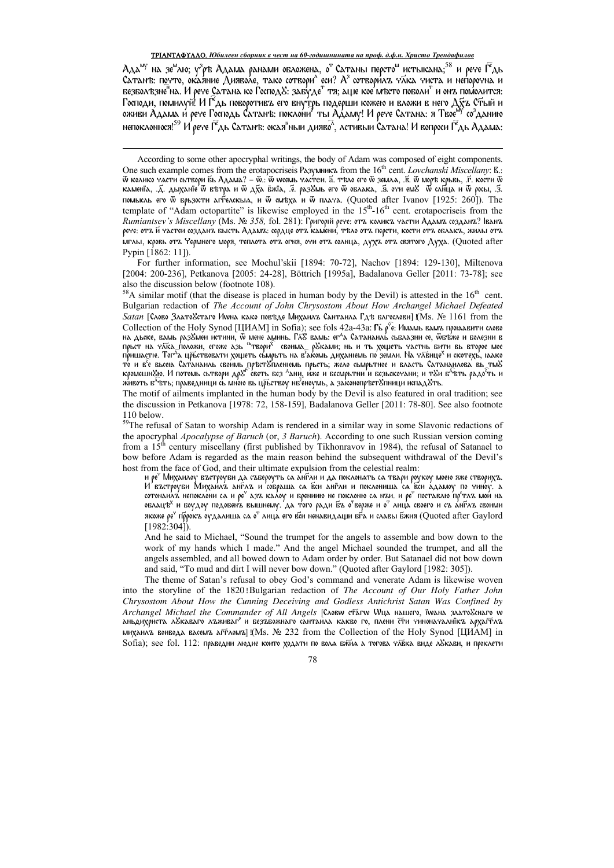Ада<sup>му</sup> на зе<sup>м</sup>лю; у<sup>з</sup>р'в Адама ранами обложена, о<sup>т</sup> Сатаны персто<sup>м</sup> истыкана;<sup>58</sup> и рече Г<sup>е</sup>дь<br>Сатан'в: почто, окаяние Дияволе, тако сотвори^ еси? А<sup>з</sup> сотворилъ чяка чиста и непорочна и<br>безбол'взне<sup>т</sup>на. И рече Сат Господи, помилуй! И Г<sup>о</sup>дь поворотивъ его внутрь подерши кожею и вложи в него Дуъ Стый и<br>оживи Адама и рече Господь Сатанъ: поклони<sup>я</sup> ты Адаму! И рече Сатана: я Твое<sup>му</sup> со<sup>з</sup>данию непоклонюся!<sup>59</sup> И рече Г<sup>е</sup>дь Сатанъ: окая<sup>н</sup>ныи дияво<sup>л</sup>, лстивыи Сатана! И вопроси Г<sup>е</sup>дь Адама:

For further information, see Mochul'skii [1894: 70-72], Nachov [1894: 129-130], Miltenova [2004: 200-236], Petkanova [2005: 24-28], Böttrich [1995a], Badalanova Geller [2011: 73-78]; see also the discussion below (footnote 108).<br><sup>58</sup>A similar motif (that the disease is placed in human body by the Devil) is attested in the  $16<sup>th</sup>$  cent.

Bulgarian redaction of The Account of John Chrysostom About How Archangel Michael Defeated *Satan* [Слово Злато&стаго Иwна како повъде Михаилъ Сантаила Гдъ блгослови] (Ms. № 1161 from the Collection of the Holy Synod [LIHAM] in Sofia); see fols 42a-43a:  $\Gamma_6$   $\rho^c \hat{\epsilon}$ : Имамь вамъ провавити слово на дьске, вамь раз8мен истини, w мене аминь. Глб вамь: ег<sup>д</sup>а Сатанаиль сьблазни се, wбъже и болезни в<br>прьст на члка положи, егоже азь <sup>об</sup>твори<sup>х</sup> своима<sub>...</sub> р8ками; нь и ть хощеть частнь бити вь второе мое<br>пришастіе. Т то и в е вьсею Сатанаиль своимь престелиениемь прьсть, жело сымрьтное и власть Сатанаилова вь тие<br>кромешнею. И потомь сьтвори дре светь без <sup>д</sup>ани, иже и бесмрьтни и безьскочани; и теи б<sup>а</sup>вть радо<sup>с</sup>ть и животь б<sup>д</sup>ъть; праведници сь мною вь цръствоу нб'еноумь, а законопръстУпници испадУть.

The motif of ailments implanted in the human body by the Devil is also featured in oral tradition; see the discussion in Petkanova [1978: 72, 158-159], Badalanova Geller [2011: 78-80]. See also footnote 110 below.

и ре" Михаилоу въстроуби да събероуть са англи и да поклонать са твари роукоу моею яже створихъ. И'въстроуби Михаилъ англъ и собраша са вси англи и поклониша са вси адамоу по чиноу. а cotonaliza heпоклони са и ре<sup>ч</sup> дзъ калоу и брениию не поклоню са нъи. и ре<sup>ч</sup> поставлю пр<sup>е</sup>тлъ мои на облацъ<sup>х</sup> и боудоу подобен'а вышнему. Да того ради ба о<sup>т</sup>верже и о<sup>т</sup> лица своего и са англа своими якоже ре<sup>ч</sup> пррокъ оудалиша са о<sup>т</sup> лица его вси ненавидаци бра и славы бжия (Quoted after Gaylord  $[1982:304]$ 

And he said to Michael, "Sound the trumpet for the angels to assemble and bow down to the work of my hands which I made." And the angel Michael sounded the trumpet, and all the angels assembled, and all bowed down to Adam order by order. But Satanael did not bow down and said, "To mud and dirt I will never bow down." (Quoted after Gaylord [1982: 305]).

The theme of Satan's refusal to obey God's command and venerate Adam is likewise woven into the storyline of the 1820! Bulgarian redaction of The Account of Our Holy Father John Chrysostom About How the Cunning Deceiving and Godless Antichrist Satan Was Confined by Archangel Michael the Commander of All Angels [Crosw etarw Wya нашего, iwana злато8снаго w аньдихриста л&каваго лъживаг° и безъбожнаго сантайла какво го, плени сти чиноначалнїкъ архагтлъ михаилъ воивода васемъ агтломъ] !(Ms. № 232 from the Collection of the Holy Synod [ЦИАМ] in Sofia); see fol. 112: праведни людие които ходати по вола бжил а тогова члека виде л&кави, и проклети

According to some other apocryphal writings, the body of Adam was composed of eight components. One such example comes from the erotapocrise is PA3yMHHKZ from the  $16<sup>th</sup>$  cent. Lovchanski Miscellany: R.: оле заси сланрю сонев ной не стоароснось газумится ной аго го селе бостальм иносенату. б.:<br>В колико части сьтвори бь Адама? – Ф.: Ф webub частеи. б. тьло его Ф земла, .б. Ф моръ крьвь, .б. кости Ф<br>каменїа, .д. дыханїе Ф в помысль его *w* брьзости дгтелскым, и w смехд и w плача. (Quoted after Ivanov [1925: 260]). The template of "Adam octopartite" is likewise employed in the  $15<sup>th</sup>$ -16<sup>th</sup> cent. erotapocriseis from the Rumiantsev's Miscellany (Ms. № 358, fol. 281). Григорій рече: отъ коликъ частіи Адамъ созданъ? Іванъ рече: отд й частеи созданд бысть Адамд: сердце отд камени, тъло отд персти, кости отд облакд, жилы отд ,<br>мглы, кровь отъ Чермного моря, теплота отъ огня, очи отъ солнца, духъ отъ святого Духа. (Quoted after Pypin [1862: 11]).

<sup>&</sup>lt;sup>59</sup>The refusal of Satan to worship Adam is rendered in a similar way in some Slavonic redactions of the apocryphal Apocalypse of Baruch (or, 3 Baruch). According to one such Russian version coming from a  $15<sup>th</sup>$  century miscellany (first published by Tikhonravov in 1984), the refusal of Satanael to bow before Adam is regarded as the main reason behind the subsequent withdrawal of the Devil's host from the face of God, and their ultimate expulsion from the celestial realm: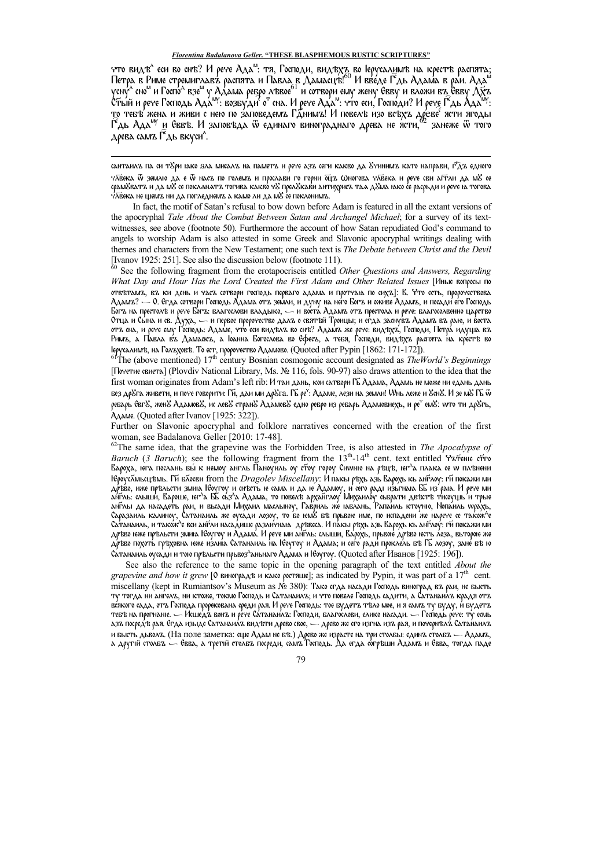что видъ<sup>л</sup> еси во снъ? И рече Ада<sup>м</sup>: тя, Господи, видъхъ во Іерусалимъ на крестъ распята<u>;</u> Петра в Риме стремиглавъ распята и Павла в Дамасцъ! $^{60}$  И введе Г $^{\circ}$ дь Адама в раи. Ада $^{\circ}$ усну<sup>л</sup> сно<sup>м</sup> и Госпо<sup>л</sup> взе<sup>м</sup> у Адама ребро лъвое<sup>61</sup> и сотвори ему жену Евву и вложи въ Евву Дхъ  $\mathsf{C}\tilde{\tau}$ ый и рече Господь Ада<sup>лу</sup>: возбуди<sup>7</sup> о<sup>т</sup> сна. И рече Ада<sup>м</sup>: что еси, Господи? И реч<u>е Г<sup>е</sup>дь Ада<sup>лу</sup>:</u> то тебъ жена и живи с нею по заповедемъ Гднимъ! И повелъ изо всъхъ древе<sup>с</sup> ясти ягоды  $\widehat{\mathsf{I}}$ дь Ада<sup>му</sup> и Еввъ. И заповъда ѿ единаго винограднаго древа не ясти, <sup>62</sup> занеже ѿ того древа самъ Г $\hat{\ }$ дь вкуси $\hat{\ }$ .

сантаилъ па си т $\mathcal S$ ри юко ѕла мисалъ на паметъ и рече азъ сеги какво да  $\mathcal S$ чинимъ като направи, г $\hat\gamma$ дъ едного чλевка ѿ землю да е ѿ насъ по големъ и прослави го горни ощъ ωногова члевека и рече сви агт́ли да м& се срам&ватъ и да м& се покланатъ тогива какво ч& прел&кави антихрисъ таа д&ма њко се расрьди и рече њ тогова чаека не щемъ ни да погледнемъ а камо ли да м $8$  се поклонимъ.

<u>.</u>

In fact, the motif of Satan's refusal to bow down before Adam is featured in all the extant versions of the apocryphal *Tale About the Combat Between Satan and Archangel Michael*; for a survey of its textwitnesses, see above (footnote 50). Furthermore the account of how Satan repudiated God's command to angels to worship Adam is also attested in some Greek and Slavonic apocryphal writings dealing with themes and characters from the New Testament; one such text is *The Debate between Christ and the Devil*  [Ivanov 1925: 251]. See also the discussion below (footnote 111).

<sup>60</sup> See the following fragment from the erotapocriseis entitled *Other Questions and Answers, Regarding What Day and Hour Has the Lord Created the First Adam and Other Related Issues* [Иные вопросы по отвътамъ, въ ки день и часъ сотвори господь перваго адама и протчаю по сихъ]: В. Что есть, пророчествова Адамъ? — О. Егда сотвори Господь Адама отъ земли, и дуну на него Богъ и оживе Адамъ, и посади его Господь Богъ на престолѣ и рече Богъ: благослови владьіко, — и воста Адамъ отъ престола и рече: благосолвенно царство Отца и Сьіна и св. Духа, — и первое пророчество далъ о святѣй Троицьі; и егда заснувъ Адамъ въ раю, и воста отъ сна, и рече ему Господь: Адаме, что еси видълъ во снъ? Адамъ же рече: видъхъ, Господи, Петра идуща въ Римъ, а Павла въ Дамаскъ, а Іоанна Богослова во Сфесъ, а тебя, Господи, видъхъ распята на крестѣ во Іерусалимѣ, на Голъховѣ. То ест, пророчество Адамово. (Quoted after Pypin [1862: 171-172]).

<sup>61</sup>The (above mentioned) 17th century Bosnian cosmogonic account designated as *TheWorld's Beginnings* [Почетие свиета] (Plovdiv National Library, Ms. № 116, fols. 90-97) also draws attention to the idea that the first woman originates from Adam's left rib: И таи дань, кои сатвори Гь҃Адама, Адамь не може ни едань дань без др&га живети, и поче говорити: Гй, даи ми др&га. Гъ̃ ре°: Адаме, ле́зи на земли! Wнь леже и &cн&. И зе м& Гъ́ ѿ ребарь СвгУ, женУ АдамовУ, ис левУ странУ АдамовУ едно ребро из ребарь Адамовиехь, и ре<sup>ч</sup> емУ: wto ти дрУгь, Адаме. (Quoted after Ivanov [1925: 322]).

Further on Slavonic apocryphal and folklore narratives concerned with the creation of the first woman, see Badalanova Geller [2010: 17-48].

<sup>62</sup>The same idea, that the grapevine was the Forbidden Tree, is also attested in *The Apocalypse of Baruch* (*3 Baruch*); see the following fragment from the 13<sup>th</sup>-14<sup>th</sup> cent. text entitled *Чътение ст*го Вароха, юга послань бы̀ к немоу англь Паноуиль оу стоу гороу Сиwню на ръцъ, юг<sup>д</sup>а плака се w плънени Ѥроуслиьсцъмь. Ги҃ блосви from the *Dragolev Miscellany: И* пакы ръхь азь Варохь кь англоу: ги҃покажи ми довео, иже пръльсти змињ Ѥоугоу и снъсть ю сама и да ю Адамоу, и сего раді изьгнаю. Бь из раю. И рече ми<br>англь: слыши, Вароше, юг^а Бь сьз^а Адама, то повелъ арханглоу Михаилоу сьбрати двъстъ тисоущь и трые анѓлы да насадеть раи, и вьсади Михаил маслыноу, Гавриль же наблань, Рапа́иль ктоуню, Нопа́иль wра́хь,<br>Саразаиль калиноу, Сатанаиль же оусади лозоу, то бо юм8 бъ прьвою име, по испадени же нарече се також^е<br>Сатанаиль, и т дрѣво юже прѣльсти змию. Ѥоугоу и Адама. И рече ми ан́їль: слыши, Варохь, прьвою́ дрѣво юєть лоза, вьторою же дръво похоть грѣховна юже излию Сатанаиль на Ѥоугоу и Адама; и сеѓо ради прокле́ль бъ Гъ лозоу, зане бъ ю  $\alpha$ танаиль оусади и тою прѣльсти прьвоз<sup>д</sup>аньнаго Адама и Ѥоугоу. (Quoted after Иванов [1925: 196]).

See also the reference to the same topic in the opening paragraph of the text entitled *About the grapevine and how it grew* [ $\circ$  виноградъ и како ростяше]; as indicated by Pypin, it was part of a 17<sup>th</sup> cent. miscellany (kept in Rumiantsov's Museum as № 380): Тако егда насади Господь виноград въ раи, не бысть ту тогда ни ангелъ, ни ктоже, токмо Господь и Сатанаилъ; и что повеле Господь садити, а Сатанаилъ крадя отъ всякого сада, отъ Господа прорекована среди рая. И рече Господь: тое будетъ тѣло мое, и я самъ ту буду, и будетъ тебъ на прогнание. — Исшед $\lambda$  вонъ и рече Сатанаилъ: Господи, благослови, елико насади. — Господь рече: ту есмь азъ посредъ рая. Егда изыде Сатанаилъ видъти древо свое, — древо же его изгна изъ рая, и почернълъ Сатанаилъ и бысть дьволъ. (На поле заметка: еще Адам не бъ.) Древо же израсте на три столбы: единъ столбъ — Адамъ, а другій столбъ — Евва, а третій столбъ посреди, самъ Господь. Да егда согрѣши Адамъ и Евва, тогда паде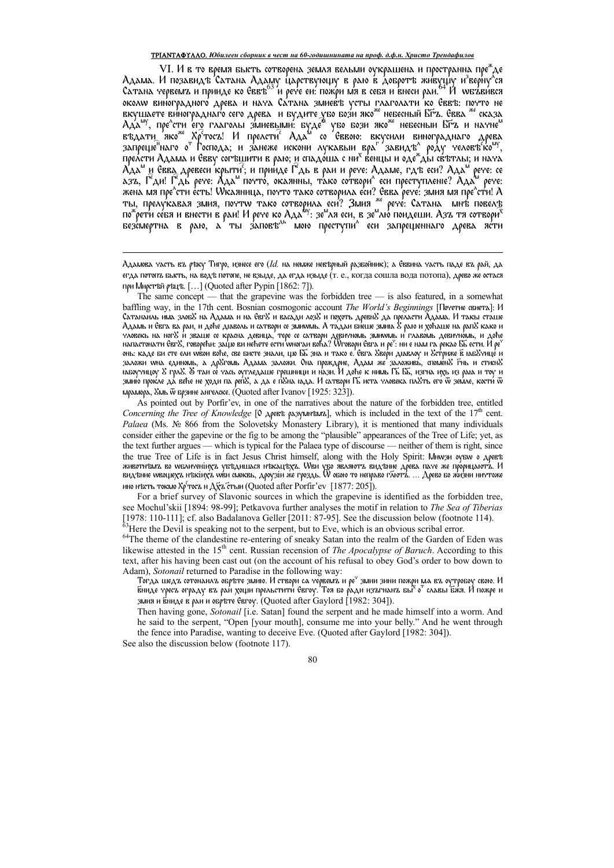### ТРІАНТАФҮЛЛО. Юбилеен сборник в чест на 60-годишнината на проф. д.ф.н. Христо Трендафилов

VI. И в то время бысть сотворена земля вельми оукрашена и пространна пре<sup>а</sup>де Адама. И позавидъ 'Сатана Адаму Царствующу в раю в Добротъ живущу и<sup>з</sup>верну<sup>л</sup>ся<br>Сатана червемъ и прииде ко Еввъ<sup>63</sup> и рече еи: пожри мя в себя и внеси раи. <sup>4</sup> И wбъвився околw виноградного древа и нача Сатана змиевъ усты глаголати ко Еввъ: почто не околи виноградного дреба и ната хатана эмись в ухты тлаголати во ховье. их их не<br>Вкушаете винограднаго сего древа и будите убо бози яко<sup>же</sup> небесный БГа. Евва <sup>же</sup> сказа<br>Ада<sup>му</sup>, пре^сти его глаголы змиевыми: буде™ убо бо прелсти Адама и Евву согъщити в раю; и спадоща с ни<sup>х</sup> венцы и оде\*ды свътлы; и нача А́да" и Евва древеси крыти'; и прииде Г'дь в раи и рече: Адаме, гдъ еси? Ада" рече: се дзъ, Г'ди! Г'дь' рече: Адд<sup>ы</sup> почто́, окаянны, тако сотвори^ еси преступленіе? Ада́<sup>м</sup> рече: жена мя пре<sup>л</sup>ети есть! Wкаяница, почто тако сотворила еси? Евва рече: змия мя пре<sup>л</sup>ети есть! Wкаяница, почто тако сотворила еси? Евва рече: змия мя пре<sup>л</sup>ети! A<br>ты, прелукавая змия, почто тако сотворила еси? Змия <sup>же</sup>

Адамова часть въ ръку Тигро, изнесе его (Id. на немже невърный разбойник); а Сввина часть паде въ рай, да егда потопъ бысть, на водъ потопе, не взыде, да егда изыде (т. е., когда сошла вода потопа), древо же остася при Мирстъй ръцъ. [...] (Quoted after Pypin [1862: 7]).

As pointed out by Porfir'ev, in one of the narratives about the nature of the forbidden tree, entitled Concerning the Tree of Knowledge [O  $\Delta$ pers pasymmisms], which is included in the text of the 17<sup>th</sup> cent. Palaea (Ms.  $N_e$  866 from the Solovetsky Monastery Library), it is mentioned that many individuals consider either the gapevine or the fig to be among the "plausible" appearances of the Tree of Life; yet, as the text further argues — which is typical for the Palaea type of discourse — neither of them is right, since the true Tree of Life is in fact Jesus Christ himself, along with the Holy Spirit: MNW34 oysw o Apert животнують во молитенінуа уб'єдишася некац'єха. Ови убо являють вид'єние дреба паче же прорицають. И<br>Вид'єние мвощехъ н'якінуъ мви смоквь, дроузіи же гроздь. О обою то неправо глютъ. … Древо бо жизни ниттоже ино несть токмо Хр<sup>е</sup>тосъ и Дуъ стыи (Quoted after Porfir'ev [1877: 205]).

For a brief survey of Slavonic sources in which the grapevine is identified as the forbidden tree, see Mochul'skii [1894: 98-99]; Petkavova further analyses the motif in relation to The Sea of Tiberias [1978: 110-111]; cf. also Badalanova Geller [2011: 87-95]. See the discussion below (footnote 114).

 $^{63}$ Here the Devil is speaking not to the serpent, but to Eve, which is an obvious scribal error.

<sup>64</sup>The theme of the clandestine re-entering of sneaky Satan into the realm of the Garden of Eden was likewise attested in the  $15<sup>th</sup>$  cent. Russian recension of *The Apocalypse of Baruch*. According to this text, after his having been cast out (on the account of his refusal to obey God's order to bow down to Adam), Sotonail returned to Paradise in the following way:

змия и вниде в раи и обръте Свгоу. (Quoted after Gaylord [1982: 304]).

Then having gone, Sotonail [i.e. Satan] found the serpent and he made himself into a worm. And he said to the serpent, "Open [your mouth], consume me into your belly." And he went through the fence into Paradise, wanting to deceive Eve. (Quoted after Gaylord [1982: 304]).

See also the discussion below (footnote 117).

The same concept — that the grapevine was the forbidden tree — is also featured, in a somewhat baffling way, in the 17th cent. Bosnian cosmogonic account The World's Beginnings [Почетие свиета]: И Сатананль има злоб8 на Адама и на Евг8 и васади лоз8 и похоть древн8 да преласти Адама. И такы сташе Адамь и Евга ва раи, и доће дюболь и сатвори се змиллмь. А тадаи биеше змию 8 раю и хоћаше на рап8 како и стрения составляется разрешения с постояния с современности с современности с разрешения разрешения на рекоме<br>В напастонати СвгУ, говорећи: защо ви нећете ести унютаи воћа? Штовори Свга и ре<sup>3</sup>: ни е нам га рекао ББ ести. онь: каде би сте ели wвои воће, све бисте знали, що ББ зна и тако е. Свга Увери дювлоу и Устриже в юб8чице и заложи wha единомь, а др8гомь Адама заложи. Она прождрие, Адам же' заложивь, спомен8 гнь и стисн8<br>іабоучицоу 8 грл8. 8 таи се чась оугледаше грешници и нази. И доће к нимь ГБ ББ, изгна ихь из раю и тоу и змию прокле да веће не ходи па репХ, а да е пХна юда. И сатвори ГБ иста чловека плХть его ѿ земле, кости ѿ мрамора, Умь ѿ врзине ангелске. (Quoted after Ivanov [1925: 323]).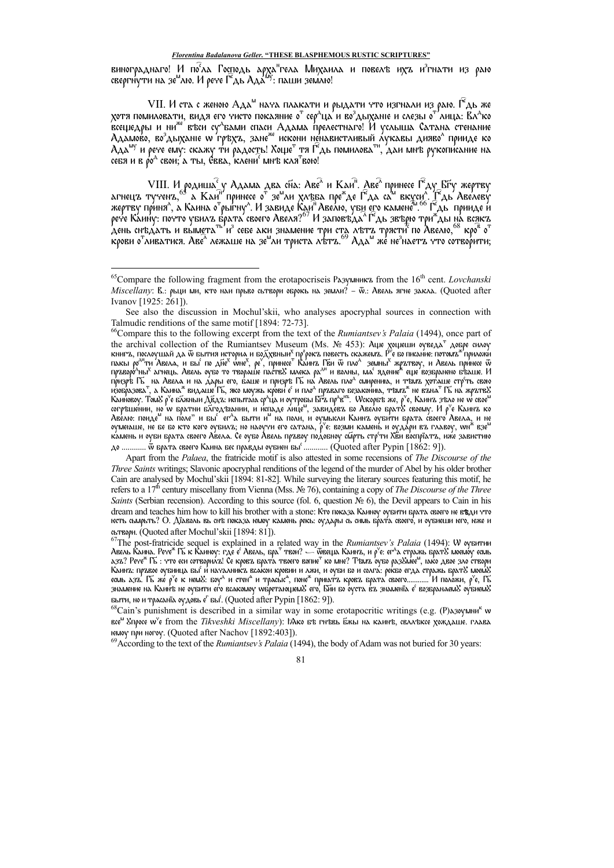винограднаго! И по<sup>с</sup>ла Господь арха<sup>н</sup>гела Михаила и повелъ ихъ и<sup>з</sup>гнати из раю<br>свергнути на зе<sup>м</sup>лю. И рече Г<sup>е</sup>дь Ада<sup>бу</sup>: паши землю!

VII. И ста с женою Ада<sup>м</sup> нача плакати и рыдати что изгнали из раю. Г<sup>е</sup>дь же хотя помиловати, видя его чисто покаяние о $^{\rm T}$  сер $^{\rm A}$ ца $^{\rm Z}$ и во $^{\rm 3}$ дыханіе и слезы о $^{\rm T}$ лица: Вл $^{\rm A}$ ко коещедры и ни<sup>же</sup> въси су<sup>д</sup>балии спаси Адама прелестнаго! И услыша Сатана стенание<br>Адамово, во<sup>з</sup>дыханіе w гръхъ, зане<sup>же</sup> искони ненавистливый лукавы дияво<sup>л</sup> прииде ко<br>Ада<sup>му</sup> и рече ему: скажу ти радость! Хоще<sup>т</sup> тя Г себя и в ро<sup>д</sup> свои; а ты, Свва, клени<sup>с</sup> мнъ кля<sup>т</sup>вою!

VIII. И родиша<sup>с</sup>у Адама два сна: Аве<sup>л</sup> и Каи<sup>п</sup>. Две<sup>л</sup> принесе Г<sup>е</sup>ду Бру жертву<br>агнеца тучена,<sup>63</sup> а Каи<sup>п</sup> принесе о<sup>г</sup> зе<sup>м</sup>ли хлъва пре<sup>ж</sup>де Г<sup>е</sup>да са<sup>м</sup> вкуси<sup>л</sup>. Г<sup>е</sup>дь Авелеву<br>жертву приня<sup>л</sup>, а Каина о<sup>г</sup>рыгну

Apart from the Palaea, the fratricide motif is also attested in some recensions of The Discourse of the Three Saints writings; Slavonic apocryphal renditions of the legend of the murder of Abel by his older brother Cain are analysed by Mochul'skii [1894: 81-82]. While surveying the literary sources featuring this motif, he refers to a  $17<sup>th</sup>$  century miscellany from Vienna (Mss. Nº 76), containing a copy of The Discourse of the Three Saints (Serbian recension). According to this source (fol. 6, question  $N_2$  6), the Devil appears to Cain in his dream and teaches him how to kill his brother with a stone: Кто показа Каиноу оубити брата своего не в вди что юєть сьмрьть? О. Дїдволь вь снъ показа юмоу камень рекь: оудары сь симь брат́а своего́, и оубиеши юго, юже и сьтвори. (Quoted after Mochul'skii [1894: 81]).

 $^{69}$ According to the text of the *Rumiantsev's Palaia* (1494), the body of Adam was not buried for 30 years:

<sup>&</sup>lt;sup>65</sup> Compare the following fragment from the erotapocriseis Разумник from the 16<sup>th</sup> cent. Lovchanski *Miscellany*: В.: рьци ми, кто наи прьво сьтвори оброкь на земли? – Ф.: Авель ягне закла. (Quoted after Ivanov [1925: 261]).

See also the discussion in Mochul'skii, who analyses apocryphal sources in connection with Talmudic renditions of the same motif [1894: 72-73].

<sup>&</sup>lt;sup>66</sup>Compare this to the following excerpt from the text of the Rumiantsev's Palaia (1494), once part of Compare this to the following excerpt from the text of the *Rumiantsev S Palaia* (1494), once part of<br>the archival collection of the Rumiantsev Museum (Ms. Nº 453): Ане хонени «уведа<sup>т</sup> добре силоу<br>книга, послоушай да w камень и оуби брата своего Авела. Се оубо Авель пръвоу подобноу сійрть стр<sup>е</sup>ти Хви воспріатъ, иже завистию до ............ Ѿ брата своего Каина бес правды оубиен бы<sup>с</sup> ............ (Quoted after Pypin [1862: 9]).

 ${}^{67}$ The post-fratricide sequel is explained in a related way in the *Rumiantsev's Palaia* (1494): W суситии тне роз-нансле sequer is explained in a related way in the *Ramianusev 3 1 unita* (1434). W бубитии<br>Авель Каина, Peye<sup>\*</sup> Гы к Каиноу: где е<sup>2</sup> Авель, бра<sup>т</sup> твои? — Фвенда Каинъ, и р'е: ег^а стражь брать? моемоу есмь<br>1373 выти, но и трасаніа оудовь є<sup>г</sup> вы. (Quoted after Pypin [1862: 9]).<br><sup>68</sup>Cain's punishment is described in a similar way in some erotapocritic writings (e.g. (P) азоумни<sup>к</sup> w

все<sup>м</sup> Упросе w<sup>e</sup> from the Tikveshki Miscellany): IAко бъ гиъвь бжы на каинъ, свлаъксе хождаше. глава немоу при ногоу. (Quoted after Nachov [1892:403]).

<sup>81</sup>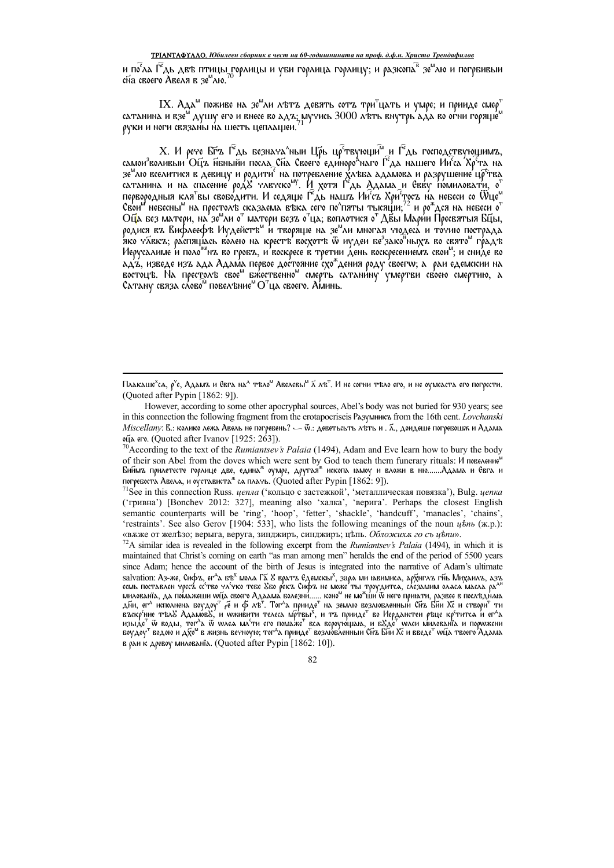## ТРІАНТАФҮЛЛО. Юбилеен сборник в чест на 60-годишнината на проф. д.ф.н. Христо Трендафилов

и по<sup>с</sup>ла Ѓ<sup>е</sup>дь двъ птицы горлицы и уби горлица горлицу; и разкопа<sup>в</sup> зе<sup>ш</sup>лю и погрбивыи<br>сна своего Авеля в зе<sup>ш</sup>лю.<sup>70</sup>

IX.  $A_{A}$ д $^{\omega}$  поживе на зе $^{\omega}$ ли лътъ девять сотъ три $^{\tau}$ цать и умре; и прииде смер $^{\tau}$ сатанина и взе<sup>м</sup> душу его и внесе во ад $\mathbf{z}_i$ мучись 3000 лъть внутрь ада во огни горяще<sup>м</sup> руки и ноги связаны на шесть цеплашеи.

 $X$ . И рече Бѣъ Г $^{\widehat{\alpha}}$ дь безнача $^{\wedge}$ ныи Ц $\widetilde{\rho}$ ь цр $^{\widehat{\alpha}}$ твующи $^{\widehat{\alpha}}$  и Г $^{\widehat{\alpha}}$ дь господствующимъ, самои<sup>з</sup>воливыи Ойъ пбныйи посла Спа Своего единоро<sup>д</sup>наго Ѓ<sup>е</sup>да нашего Ии<sup>с</sup>са Хр<sup>е</sup>та на лечить этипедии странения политий на темпери и постребление хлавно и разрушение цр темпе<br>сатанина и на спасение род улечеко<sup>му</sup>. И хотя Г<sup>е</sup>дь Адама и Свеу помиловати, о<sup>т</sup> первородныя кля вы свободити. И седяще Г<sup>е</sup>дь на стретутельно на совершить и отдыра в располага систему для несей со отдетниками.<br>Свои небесны на престолъ сказаема въка сего по^пяты тысящи;<sup>72</sup> и ро\*дся на небеси о<sup>т</sup><br>Оща без матери, на зе<sup>н</sup>ли о<sup>т</sup> матери безъ о<sup>т</sup>ца; родися ва Вифлеефъ Иудейстъ" и творяще на зе"ли многая чюдеса и точию пострада<br>яко члека; распящась волею на крестъ восхотъ w иудеи бе<sup>з</sup>зако ныхъ во свято" градъ Иерусалиме и поло<sup>же</sup>нъ во гробъ, и воскресе в третии День воскресениемъ свои<sup>м</sup>; и сниде во ад'а́, изведе изъ ада Адам́а первое достояние схо\*дения роду своегw; а раи едемскии на востоцъ. На престолъ свое<sup>м</sup> бжественно<sup>м</sup> смерть сатанину умертви своею смертию, а Сатану связа слово<sup>м</sup> повелъние<sup>м</sup> О<sup>т</sup>ца своего. Аминь.

<sup>70</sup>According to the text of the *Rumiantsev's Palaia* (1494), Adam and Eve learn how to bury the body of their son Abel from the doves which were sent by God to teach them funerary rituals: И повеление" Биймъ прилетесте горлице две, едина<sup>ж</sup> оумре, другая<sup>ж</sup> ископа юмоу и вложи в ню.......Адама и Евга и погребоста Авела, и оустависта<sup>ж</sup> са плачь. (Quoted after Pypin [1862: 9]).

Плакаше<sup>х</sup>са, р<sup>ч</sup>е, Адамъ и Евга на<sup>д</sup> тъло<sup>м</sup> Авелевы<sup>м</sup> ⊼ лъ<sup>т</sup>. И не согни тъло его, и не оумеаста его погрести. (Quoted after Pypin [1862: 9]).

However, according to some other apocryphal sources, Abel's body was not buried for 930 years; see in this connection the following fragment from the erotapocrise is PA3YWHHKZ from the 16th cent. Lovchanski  $Miscellany$ : В.: колико лежа Авель не погребень? — Ѿ.: деветьсьть лъть и . ⊼., доидеше погребошѫ и Адама оца его. (Quoted after Ivanov [1925: 263]).

<sup>&</sup>lt;sup>71</sup>See in this connection Russ. *цепла* ('кольцо с застежкой', 'металлическая повязка'), Bulg. *цепка* ('гривна') [Bonchev 2012: 327], meaning also 'халка', 'верига'. Perhaps the closest English semantic counterparts will be 'ring', 'hoop', 'fetter', 'shackle', 'handcuff', 'manacles', 'chains', 'restraints'. See also Gerov [1904: 533], who lists the following meanings of the noun *ubnb* (*w.p.*): «вжже от железо; верыга, веруга, зинджиръ, синджиръ; цепь. Обложих го съ цепи».

 $^{72}$ A similar idea is revealed in the following excerpt from the *Rumiantsev's Palaia* (1494), in which it is maintained that Christ's coming on earth "as man among men" heralds the end of the period of 5500 years since Adam; hence the account of the birth of Jesus is integrated into the narrative of Adam's ultimate salvation: Аз-же, Сифъ, ег<sup>л</sup>а бъ<sup>х</sup> мола Га́ 8 вратъ Едемскы<sup>х</sup>, зара ми навимиса, архиглъ гн̃ь Михаилъ, азъ Salvation. A3-же, снорь, ег-а бъе мола та 6 брат в сдемскът, зара ми набимила, ардига в тив миданла, азъ<br>есмь поставлен чреса ество чл<br/>чество дадама болезни...... коно<sup>м</sup> не може ты троудитса, слезамим оллса масла ра боудоу" водою и дхо<sup>м</sup> в жизнь вечноую; тог<sup>д</sup>а прииде<sup>т</sup> возлю́бленный Си́ъ Би́и Хс́ и введе<sup>т</sup> wúа твоего ддама в раи к древоу милованіа. (Quoted after Pypin [1862: 10]).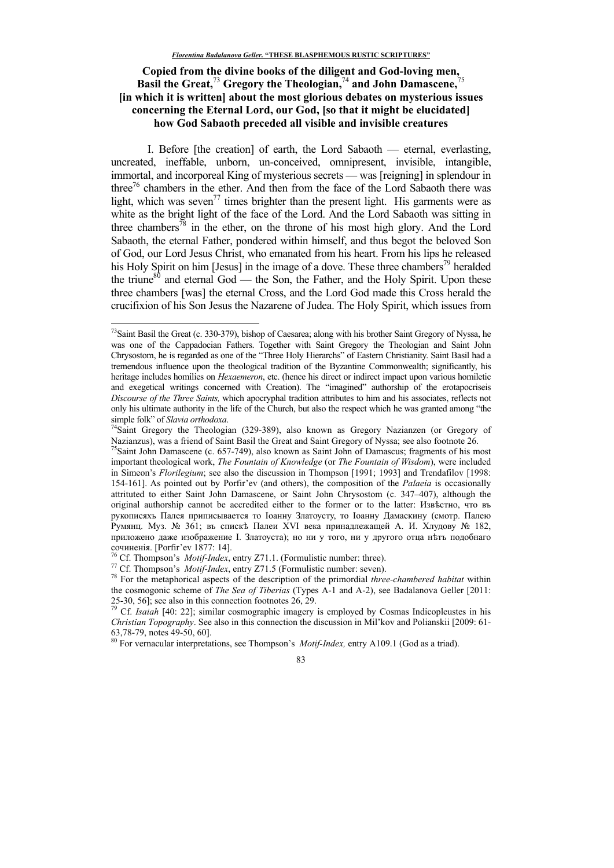# Copied from the divine books of the diligent and God-loving men, **Basil the Great,**<sup>73</sup> **Gregory the Theologian,**<sup>74</sup> **and John Damascene,**<sup>75</sup> **[in which it is written] about the most glorious debates on mysterious issues concerning the Eternal Lord, our God, [so that it might be elucidated] how God Sabaoth preceded all visible and invisible creatures**

I. Before [the creation] of earth, the Lord Sabaoth — eternal, everlasting, uncreated, ineffable, unborn, un-conceived, omnipresent, invisible, intangible, immortal, and incorporeal King of mysterious secrets — was [reigning] in splendour in three<sup>76</sup> chambers in the ether. And then from the face of the Lord Sabaoth there was light, which was seven<sup>77</sup> times brighter than the present light. His garments were as white as the bright light of the face of the Lord. And the Lord Sabaoth was sitting in three chambers<sup>78</sup> in the ether, on the throne of his most high glory. And the Lord Sabaoth, the eternal Father, pondered within himself, and thus begot the beloved Son of God, our Lord Jesus Christ, who emanated from his heart. From his lips he released his Holy Spirit on him [Jesus] in the image of a dove. These three chambers<sup>79</sup> heralded the triune<sup>80</sup> and eternal God — the Son, the Father, and the Holy Spirit. Upon these three chambers [was] the eternal Cross, and the Lord God made this Cross herald the crucifixion of his Son Jesus the Nazarene of Judea. The Holy Spirit, which issues from

<u>.</u>

<sup>77</sup> Cf. Thompson's *Motif-Index*, entry Z71.5 (Formulistic number: seven).

<sup>80</sup> For vernacular interpretations, see Thompson's *Motif-Index,* entry A109.1 (God as a triad).



<sup>&</sup>lt;sup>73</sup>Saint Basil the Great (c. 330-379), bishop of Caesarea; along with his brother Saint Gregory of Nyssa, he was one of the Cappadocian Fathers. Together with Saint Gregory the Theologian and Saint John Chrysostom, he is regarded as one of the "Three Holy Hierarchs" of Eastern Christianity. Saint Basil had a tremendous influence upon the theological tradition of the Byzantine Commonwealth; significantly, his heritage includes homilies on *Hexaemeron*, etc. (hence his direct or indirect impact upon various homiletic and exegetical writings concerned with Creation). The "imagined" authorship of the erotapocriseis *Discourse of the Three Saints,* which apocryphal tradition attributes to him and his associates, reflects not only his ultimate authority in the life of the Church, but also the respect which he was granted among "the simple folk" of *Slavia orthodoxa*.

<sup>74</sup>Saint Gregory the Theologian (329-389), also known as Gregory Nazianzen (or Gregory of Nazianzus), was a friend of Saint Basil the Great and Saint Gregory of Nyssa; see also footnote 26.

<sup>&</sup>lt;sup>75</sup>Saint John Damascene (c. 657-749), also known as Saint John of Damascus; fragments of his most important theological work, *The Fountain of Knowledge* (or *The Fountain of Wisdom*), were included in Simeon's *Florilegium*; see also the discussion in Thompson [1991; 1993] and Trendafilov [1998: 154-161]. As pointed out by Porfir'ev (and others), the composition of the *Palaeia* is occasionally attrituted to either Saint John Damascene, or Saint John Chrysostom (c. 347–407), although the original authorship cannot be accredited either to the former or to the latter: Известно, что въ рукописяхь Палея приписывается то Іоанну Златоусту, то Іоанну Дамаскину (смотр. Палею Румянц. Муз. № 361; въ спискѣ Палеи XVI века принадлежащей А. И. Хлудову № 182, приложено даже изображение I. Златоуста); но ни у того, ни у другого отца негъ подобнаго сочиненія. [Porfir'ev 1877: 14].

<sup>76</sup> Cf. Thompson's *Motif-Index*, entry Z71.1. (Formulistic number: three).

<sup>78</sup> For the metaphorical aspects of the description of the primordial *three-chambered habitat* within the cosmogonic scheme of *The Sea of Tiberias* (Types A-1 and A-2), see Badalanova Geller [2011: 25-30, 56]; see also in this connection footnotes 26, 29.

<sup>79</sup> Cf. *Isaiah* [40: 22]; similar cosmographic imagery is employed by Cosmas Indicopleustes in his *Christian Topography*. See also in this connection the discussion in Mil'kov and Polianskii [2009: 61- 63,78-79, notes 49-50, 60].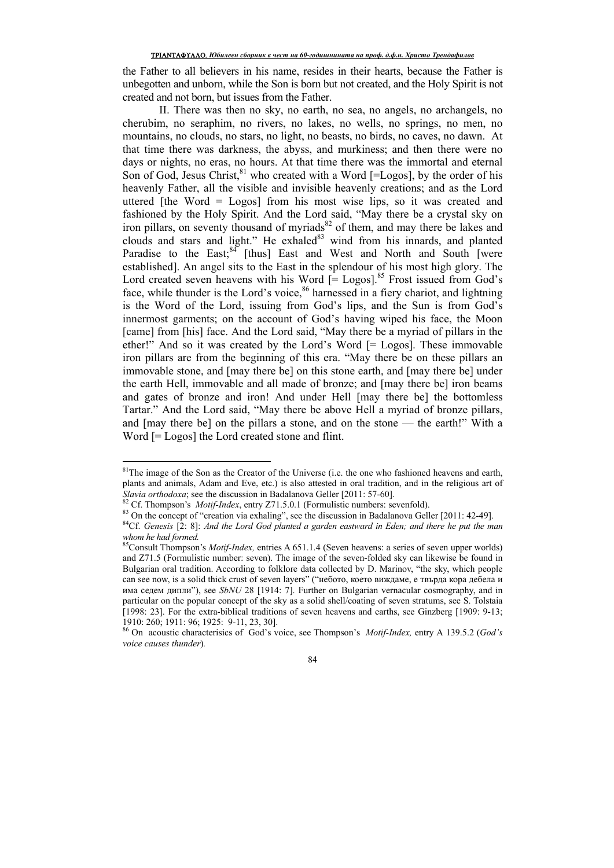the Father to all believers in his name, resides in their hearts, because the Father is unbegotten and unborn, while the Son is born but not created, and the Holy Spirit is not created and not born, but issues from the Father.

II. There was then no sky, no earth, no sea, no angels, no archangels, no cherubim, no seraphim, no rivers, no lakes, no wells, no springs, no men, no mountains, no clouds, no stars, no light, no beasts, no birds, no caves, no dawn. At that time there was darkness, the abyss, and murkiness; and then there were no days or nights, no eras, no hours. At that time there was the immortal and eternal Son of God, Jesus Christ,  $81$  who created with a Word [=Logos], by the order of his heavenly Father, all the visible and invisible heavenly creations; and as the Lord uttered [the Word  $=$  Logos] from his most wise lips, so it was created and fashioned by the Holy Spirit. And the Lord said, "May there be a crystal sky on iron pillars, on seventy thousand of myriads<sup>82</sup> of them, and may there be lakes and clouds and stars and light." He exhaled<sup>83</sup> wind from his innards, and planted Paradise to the East; $84$  [thus] East and West and North and South [were established]. An angel sits to the East in the splendour of his most high glory. The Lord created seven heavens with his Word  $\int$  Logos].<sup>85</sup> Frost issued from God's face, while thunder is the Lord's voice,  $86$  harnessed in a fiery chariot, and lightning is the Word of the Lord, issuing from God's lips, and the Sun is from God's innermost garments; on the account of God's having wiped his face, the Moon [came] from [his] face. And the Lord said, "May there be a myriad of pillars in the ether!" And so it was created by the Lord's Word [= Logos]. These immovable iron pillars are from the beginning of this era. "May there be on these pillars an immovable stone, and [may there be] on this stone earth, and [may there be] under the earth Hell, immovable and all made of bronze; and [may there be] iron beams and gates of bronze and iron! And under Hell [may there be] the bottomless Tartar." And the Lord said, "May there be above Hell a myriad of bronze pillars, and [may there be] on the pillars a stone, and on the stone — the earth!" With a Word [= Logos] the Lord created stone and flint.

 $\overline{a}$ 

<sup>&</sup>lt;sup>81</sup>The image of the Son as the Creator of the Universe (i.e. the one who fashioned heavens and earth, plants and animals, Adam and Eve, etc.) is also attested in oral tradition, and in the religious art of *Slavia orthodoxa*; see the discussion in Badalanova Geller [2011: 57-60].

<sup>82</sup> Cf. Thompson's *Motif-Index*, entry Z71.5.0.1 (Formulistic numbers: sevenfold).

<sup>&</sup>lt;sup>83</sup> On the concept of "creation via exhaling", see the discussion in Badalanova Geller [2011: 42-49].

<sup>84</sup>Cf. *Genesis* [2: 8]: *And the Lord God planted a garden eastward in Eden; and there he put the man whom he had formed.* 

<sup>85</sup>Consult Thompson's *Motif-Index,* entries A 651.1.4 (Seven heavens: a series of seven upper worlds) and Z71.5 (Formulistic number: seven). The image of the seven-folded sky can likewise be found in Bulgarian oral tradition. According to folklore data collected by D. Marinov, "the sky, which people can see now, is a solid thick crust of seven layers" ("небото, което виждаме, е твърда кора дебела и има седем дипли"), see *SbNU* 28 [1914: 7]. Further on Bulgarian vernacular cosmography, and in particular on the popular concept of the sky as a solid shell/coating of seven stratums, see S. Tolstaia [1998: 23]. For the extra-biblical traditions of seven heavens and earths, see Ginzberg [1909: 9-13; 1910: 260; 1911: 96; 1925: 9-11, 23, 30].

<sup>86</sup> On acoustic characterisics of God's voice, see Thompson's *Motif-Index,* entry A 139.5.2 (*God's voice causes thunder*)*.* 

<sup>84</sup>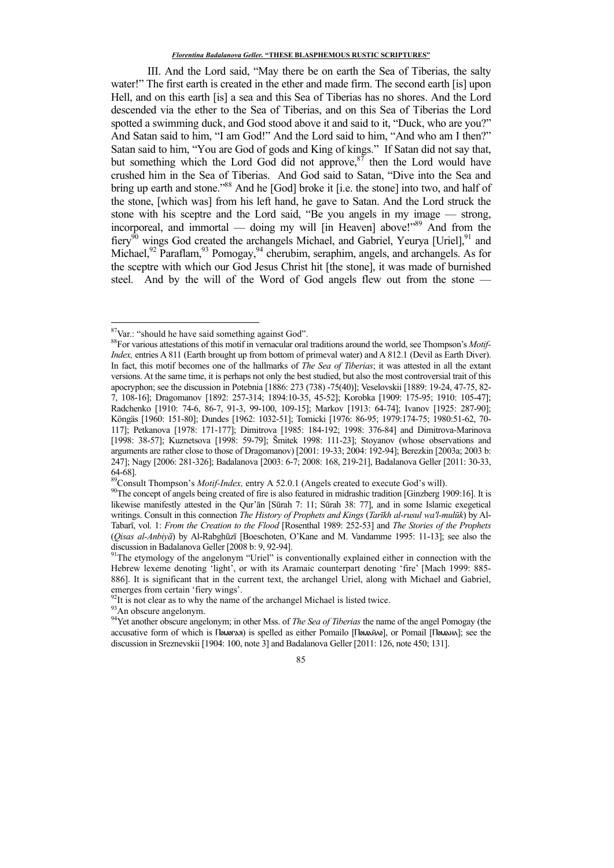III. And the Lord said, "May there be on earth the Sea of Tiberias, the salty water!" The first earth is created in the ether and made firm. The second earth [is] upon Hell, and on this earth [is] a sea and this Sea of Tiberias has no shores. And the Lord descended via the ether to the Sea of Tiberias, and on this Sea of Tiberias the Lord spotted a swimming duck, and God stood above it and said to it, "Duck, who are you?" And Satan said to him, "I am God!" And the Lord said to him, "And who am I then?" Satan said to him, "You are God of gods and King of kings." If Satan did not say that, but something which the Lord God did not approve, $8^{87}$  then the Lord would have crushed him in the Sea of Tiberias. And God said to Satan, "Dive into the Sea and bring up earth and stone."<sup>88</sup> And he [God] broke it [i.e. the stone] into two, and half of the stone, [which was] from his left hand, he gave to Satan. And the Lord struck the stone with his sceptre and the Lord said, "Be you angels in my image — strong, incorporeal, and immortal — doing my will [in Heaven] above!"89 And from the fiery<sup>90</sup> wings God created the archangels Michael, and Gabriel, Yeurya [Uriel],<sup>91</sup> and Michael,<sup>92</sup> Paraflam,<sup>93</sup> Pomogay,<sup>94</sup> cherubim, seraphim, angels, and archangels. As for the sceptre with which our God Jesus Christ hit [the stone], it was made of burnished steel. And by the will of the Word of God angels flew out from the stone —

<u>.</u>

<sup>&</sup>lt;sup>87</sup>Var.: "should he have said something against God".

<sup>88</sup>For various attestations of this motif in vernacular oral traditions around the world, see Thompson's *Motif-Index,* entries A 811 (Earth brought up from bottom of primeval water) and A 812.1 (Devil as Earth Diver). In fact, this motif becomes one of the hallmarks of *The Sea of Tiberias*; it was attested in all the extant versions. At the same time, it is perhaps not only the best studied, but also the most controversial trait of this apocryphon; see the discussion in Potebnia [1886: 273 (738) -75(40)]; Veselovskii [1889: 19-24, 47-75, 82- 7, 108-16]; Dragomanov [1892: 257-314; 1894:10-35, 45-52]; Korobka [1909: 175-95; 1910: 105-47]; Radchenko [1910: 74-6, 86-7, 91-3, 99-100, 109-15]; Markov [1913: 64-74]; Ivanov [1925: 287-90]; Köngäs [1960: 151-80]; Dundes [1962: 1032-51]; Tomicki [1976: 86-95; 1979:174-75; 1980:51-62, 70- 117]; Petkanova [1978: 171-177]; Dimitrova [1985: 184-192; 1998: 376-84] and Dimitrova-Marinova [1998: 38-57]; Kuznetsova [1998: 59-79]; Šmitek 1998: 111-23]; Stoyanov (whose observations and arguments are rather close to those of Dragomanov) [2001: 19-33; 2004: 192-94]; Berezkin [2003a; 2003 b: 247]; Nagy [2006: 281-326]; Badalanova [2003: 6-7; 2008: 168, 219-21], Badalanova Geller [2011: 30-33, 64-68].

<sup>89</sup>Consult Thompson's *Motif-Index,* entry A 52.0.1 (Angels created to execute God's will).

<sup>90</sup>The concept of angels being created of fire is also featured in midrashic tradition [Ginzberg 1909:16]. It is likewise manifestly attested in the Qur'ān [Sūrah 7: 11; Sūrah 38: 77], and in some Islamic exegetical writings. Consult in this connection *The History of Prophets and Kings* (*Tarīkh al-rusul wa'l-mulūk*) by Al-Tabarī, vol. 1: *From the Creation to the Flood* [Rosenthal 1989: 252-53] and *The Stories of the Prophets*  (*Qisas al-Anbiyā*) by Al-Rabghūzī [Boeschoten, O'Kane and M. Vandamme 1995: 11-13]; see also the discussion in Badalanova Geller [2008 b: 9, 92-94].

<sup>&</sup>lt;sup>91</sup>The etymology of the angelonym "Uriel" is conventionally explained either in connection with the Hebrew lexeme denoting 'light', or with its Aramaic counterpart denoting 'fire' [Mach 1999: 885-886]. It is significant that in the current text, the archangel Uriel, along with Michael and Gabriel, emerges from certain 'fiery wings'.

 $92$ It is not clear as to why the name of the archangel Michael is listed twice.

<sup>&</sup>lt;sup>93</sup>An obscure angelonym.

<sup>94</sup>Yet another obscure angelonym; in other Mss. of *The Sea of Tiberias* the name of the angel Pomogay (the accusative form of which is Помогая) is spelled as either Pomailo [Помайло], or Pomail [Помаил]; see the discussion in Sreznevskii [1904: 100, note 3] and Badalanova Geller [2011: 126, note 450; 131].

<sup>85</sup>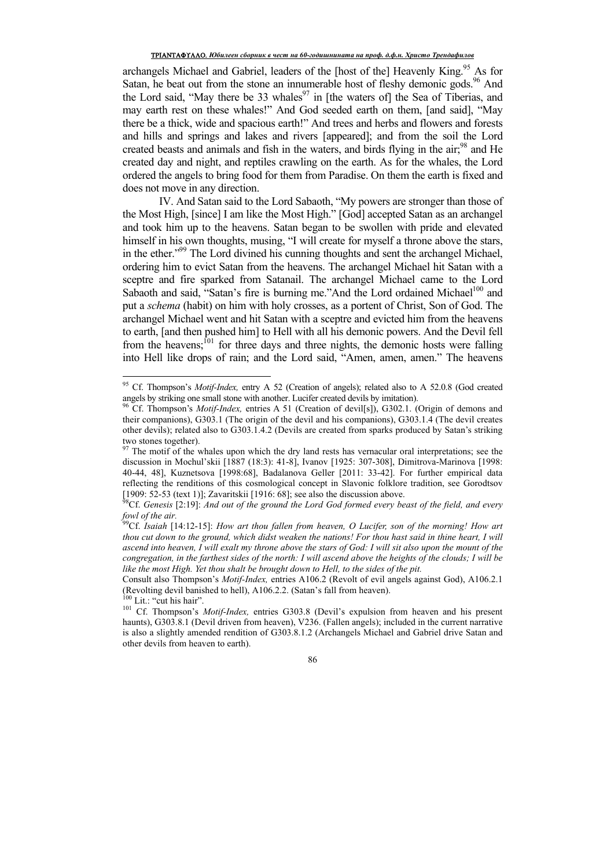archangels Michael and Gabriel, leaders of the [host of the] Heavenly King.<sup>95</sup> As for Satan, he beat out from the stone an innumerable host of fleshy demonic gods.<sup>96</sup> And the Lord said, "May there be 33 whales<sup>97</sup> in [the waters of] the Sea of Tiberias, and may earth rest on these whales!" And God seeded earth on them, [and said], "May there be a thick, wide and spacious earth!" And trees and herbs and flowers and forests and hills and springs and lakes and rivers [appeared]; and from the soil the Lord created beasts and animals and fish in the waters, and birds flying in the  $air<sub>1</sub><sup>98</sup>$  and He created day and night, and reptiles crawling on the earth. As for the whales, the Lord ordered the angels to bring food for them from Paradise. On them the earth is fixed and does not move in any direction.

IV. And Satan said to the Lord Sabaoth, "My powers are stronger than those of the Most High, [since] I am like the Most High." [God] accepted Satan as an archangel and took him up to the heavens. Satan began to be swollen with pride and elevated himself in his own thoughts, musing, "I will create for myself a throne above the stars, in the ether."<sup>99</sup> The Lord divined his cunning thoughts and sent the archangel Michael, ordering him to evict Satan from the heavens. The archangel Michael hit Satan with a sceptre and fire sparked from Satanail. The archangel Michael came to the Lord Sabaoth and said, "Satan's fire is burning me."And the Lord ordained Michael<sup>100</sup> and put a *schema* (habit) on him with holy crosses, as a portent of Christ, Son of God. The archangel Michael went and hit Satan with a sceptre and evicted him from the heavens to earth, [and then pushed him] to Hell with all his demonic powers. And the Devil fell from the heavens;<sup>101</sup> for three days and three nights, the demonic hosts were falling into Hell like drops of rain; and the Lord said, "Amen, amen, amen." The heavens

 $\overline{a}$ 

<sup>95</sup> Cf. Thompson's *Motif-Index,* entry A 52 (Creation of angels); related also to A 52.0.8 (God created angels by striking one small stone with another. Lucifer created devils by imitation).

<sup>96</sup> Cf. Thompson's *Motif-Index,* entries A 51 (Creation of devil[s]), G302.1. (Origin of demons and their companions), G303.1 (The origin of the devil and his companions), G303.1.4 (The devil creates other devils); related also to G303.1.4.2 (Devils are created from sparks produced by Satan's striking two stones together).

 $97$  The motif of the whales upon which the dry land rests has vernacular oral interpretations; see the discussion in Mochul'skii [1887 (18:3): 41-8], Ivanov [1925: 307-308], Dimitrova-Marinova [1998: 40-44, 48], Kuznetsova [1998:68], Badalanova Geller [2011: 33-42]. For further empirical data reflecting the renditions of this cosmological concept in Slavonic folklore tradition, see Gorodtsov [1909: 52-53 (text 1)]; Zavaritskii [1916: 68]; see also the discussion above.

<sup>98</sup>Cf. *Genesis* [2:19]: *And out of the ground the Lord God formed every beast of the field, and every fowl of the air.* 

<sup>99</sup>Cf. *Isaiah* [14:12-15]: *How art thou fallen from heaven, O Lucifer, son of the morning! How art thou cut down to the ground, which didst weaken the nations! For thou hast said in thine heart, I will ascend into heaven, I will exalt my throne above the stars of God: I will sit also upon the mount of the congregation, in the farthest sides of the north: I will ascend above the heights of the clouds; I will be*  like the most High. Yet thou shalt be brought down to Hell, to the sides of the pit.

Consult also Thompson's *Motif-Index,* entries A106.2 (Revolt of evil angels against God), A106.2.1 (Revolting devil banished to hell), A106.2.2. (Satan's fall from heaven). Lit.: "cut his hair".

<sup>101</sup> Cf. Thompson's *Motif-Index*, entries G303.8 (Devil's expulsion from heaven and his present haunts), G303.8.1 (Devil driven from heaven), V236. (Fallen angels); included in the current narrative is also a slightly amended rendition of G303.8.1.2 (Archangels Michael and Gabriel drive Satan and other devils from heaven to earth).

<sup>86</sup>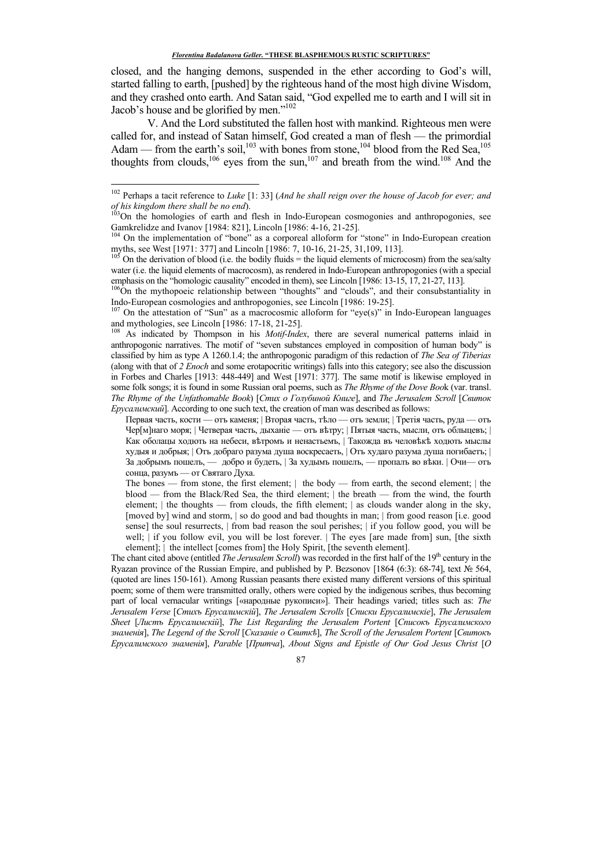closed, and the hanging demons, suspended in the ether according to God's will, started falling to earth, [pushed] by the righteous hand of the most high divine Wisdom, and they crashed onto earth. And Satan said, "God expelled me to earth and I will sit in Jacob's house and be glorified by men."<sup>102</sup>

V. And the Lord substituted the fallen host with mankind. Righteous men were called for, and instead of Satan himself, God created a man of flesh — the primordial Adam — from the earth's soil,<sup>103</sup> with bones from stone,<sup>104</sup> blood from the Red Sea,<sup>105</sup> thoughts from clouds,<sup>106</sup> eyes from the sun,<sup>107</sup> and breath from the wind.<sup>108</sup> And the

-

On the attestation of "Sun" as a macrocosmic alloform for "eye(s)" in Indo-European languages and mythologies, see Lincoln [1986: 17-18, 21-25].

<sup>108</sup> As indicated by Thompson in his *Motif-Index*, there are several numerical patterns inlaid in anthropogonic narratives. The motif of "seven substances employed in composition of human body" is classified by him as type A 1260.1.4; the anthropogonic paradigm of this redaction of *The Sea of Tiberias* (along with that of *2 Enoch* and some erotapocritic writings) falls into this category; see also the discussion in Forbes and Charles [1913: 448-449] and West [1971: 377]. The same motif is likewise employed in some folk songs; it is found in some Russian oral poems, such as *The Rhyme of the Dove Boo*k (var. transl. *The Rhyme of the Unfathomable Book*) [*Стих о Голубиной Книге*], and *The Jerusalem Scroll* [*Свиток Ерусалимский*]. According to one such text, the creation of man was described as follows:

Первая часть, кости — отъ каменя; | Вторая часть, тѣло — отъ земли; | Третія часть, руда — отъ Чер[м]наго моря; | Четверая часть, дыханіе — оть ветру; | Пятыя часть, мысли, оть обльщевь; | Как оболацы ходють на небеси, вътромъ и ненастьемъ, | Такожда въ человъкъ ходють мыслы худыя и добрыя; | Оть добраго разума душа воскресаеть, | Оть худаго разума душа погибаеть; | За добрымъ пошелъ, — добро и будеть, | За худымъ пошелъ, — пропалъ во веки. | Очи— отъ сонца, разумъ — от Святаго Духа.

The bones — from stone, the first element; | the body — from earth, the second element; | the blood — from the Black/Red Sea, the third element; | the breath — from the wind, the fourth element; | the thoughts — from clouds, the fifth element; | as clouds wander along in the sky, [moved by] wind and storm, | so do good and bad thoughts in man; | from good reason [i.e. good sense] the soul resurrects, | from bad reason the soul perishes; | if you follow good, you will be well; | if you follow evil, you will be lost forever. | The eyes [are made from] sun, [the sixth element];  $\vert$  the intellect [comes from] the Holy Spirit, [the seventh element].

The chant cited above (entitled *The Jerusalem Scroll*) was recorded in the first half of the 19<sup>th</sup> century in the Ryazan province of the Russian Empire, and published by P. Bezsonov [1864 (6:3): 68-74], text № 564, (quoted are lines 150-161). Among Russian peasants there existed many different versions of this spiritual poem; some of them were transmitted orally, others were copied by the indigenous scribes, thus becoming part of local vernacular writings [«народные рукописи»]. Their headings varied; titles such as: *The Jerusalem Verse* [Стихъ *Ерусалимскій*], *The Jerusalem Scrolls* [Списки *Ерусалимскіе*], The Jerusalem *Sheet* [*Листъ Ерусалимскій*], *The List Regarding the Jerusalem Portent* [Списокъ *Ерусалимского знаменія*], *The Legend of the Scroll* [*Сказаніе о Свиткѣ*], *The Scroll of the Jerusalem Portent* [*Свитокъ Ерусалимского знаменія*], *Parable* [*Притча*], *About Signs and Epistle of Our God Jesus Christ* [*O* 

<sup>102</sup> Perhaps a tacit reference to *Luke* [1: 33] (*And he shall reign over the house of Jacob for ever; and of his kingdom there shall be no end*).

<sup>&</sup>lt;sup>103</sup>On the homologies of earth and flesh in Indo-European cosmogonies and anthropogonies, see Gamkrelidze and Ivanov [1984: 821], Lincoln [1986: 4-16, 21-25].

<sup>&</sup>lt;sup>104</sup> On the implementation of "bone" as a corporeal alloform for "stone" in Indo-European creation myths, see West [1971: 377] and Lincoln [1986: 7, 10-16, 21-25, 31,109, 113].

 $105$  On the derivation of blood (i.e. the bodily fluids = the liquid elements of microcosm) from the sea/salty water (i.e. the liquid elements of macrocosm), as rendered in Indo-European anthropogonies (with a special emphasis on the "homologic causality" encoded in them), see Lincoln [1986: 13-15, 17, 21-27, 113].

<sup>&</sup>lt;sup>106</sup>On the mythopoeic relationship between "thoughts" and "clouds", and their consubstantiality in Indo-European cosmologies and anthropogonies, see Lincoln [1986: 19-25].

<sup>87</sup>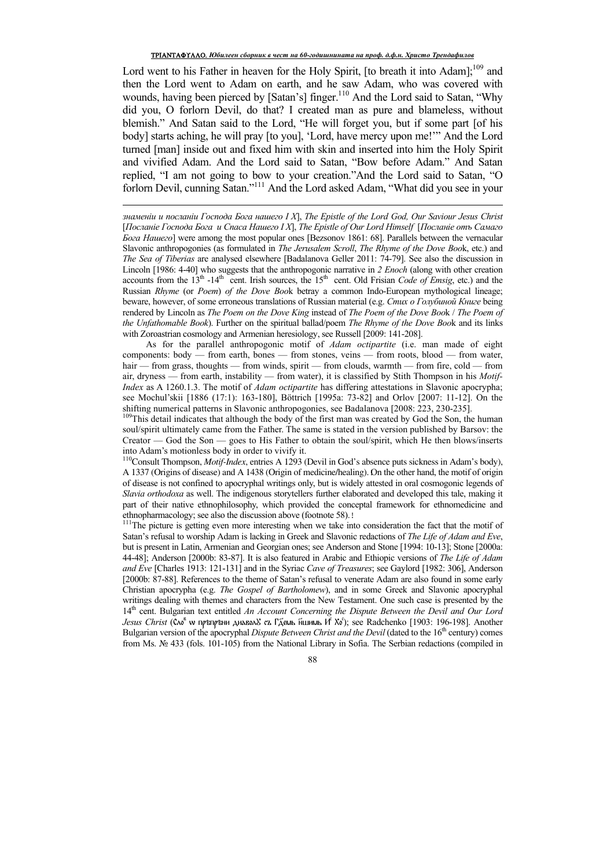Lord went to his Father in heaven for the Holy Spirit, [to breath it into Adam];<sup>109</sup> and then the Lord went to Adam on earth, and he saw Adam, who was covered with wounds, having been pierced by [Satan's] finger.<sup>110</sup> And the Lord said to Satan, "Why did you, O forlorn Devil, do that? I created man as pure and blameless, without blemish." And Satan said to the Lord, "He will forget you, but if some part [of his body] starts aching, he will pray [to you], 'Lord, have mercy upon me!'" And the Lord turned [man] inside out and fixed him with skin and inserted into him the Holy Spirit and vivified Adam. And the Lord said to Satan, "Bow before Adam." And Satan replied, "I am not going to bow to your creation."And the Lord said to Satan, "O forlorn Devil, cunning Satan."<sup>111</sup> And the Lord asked Adam, "What did you see in your

*ɡɧаɦɟɧiɢ ɢ ɩɨɫɥаɧiɢ Ƚɨɫɩɨɞа Ȼɨɝа ɧаɲɟɝɨ I Х*], *The Epistle of the Lord God, Our Saviour Jesus Christ* [Посланіе Господа Бога и Спаса Нашего I X], The Epistle of Our Lord Himself [Посланіе отъ Самаго *<i>Goza Hauezo*] were among the most popular ones [Bezsonov 1861: 68]. Parallels between the vernacular Slavonic anthropogonies (as formulated in *The Jerusalem Scroll*, *The Rhyme of the Dove Boo*k, etc.) and *The Sea of Tiberias* are analysed elsewhere [Badalanova Geller 2011: 74-79]. See also the discussion in Lincoln [1986: 4-40] who suggests that the anthropogonic narrative in *2 Enoch* (along with other creation accounts from the  $13<sup>th</sup>$  -14<sup>th</sup> cent. Irish sources, the 15<sup>th</sup> cent. Old Frisian *Code of Emsig*, etc.) and the Russian *Rhyme* (or *Poem*) *of the Dove Boo*k betray a common Indo-European mythological lineage; beware, however, of some erroneous translations of Russian material (e.g. *Cmμχ ο Γοπνόμηοῦ Κημε* being rendered by Lincoln as *The Poem on the Dove King* instead of *The Poem of the Dove Boo*k / *The Poem of the Unfathomable Book*). Further on the spiritual ballad/poem *The Rhyme of the Dove Boo*k and its links with Zoroastrian cosmology and Armenian heresiology, see Russell [2009: 141-208].

 $\overline{a}$ 

As for the parallel anthropogonic motif of *Adam octipartite* (i.e. man made of eight components: body — from earth, bones — from stones, veins — from roots, blood — from water, hair — from grass, thoughts — from winds, spirit — from clouds, warmth — from fire, cold — from air, dryness — from earth, instability — from water), it is classified by Stith Thompson in his *Motif-Index* as A 1260.1.3. The motif of *Adam octipartite* has differing attestations in Slavonic apocrypha; see Mochul'skii [1886 (17:1): 163-180], Böttrich [1995a: 73-82] and Orlov [2007: 11-12]. On the shifting numerical patterns in Slavonic anthropogonies, see Badalanova [2008: 223, 230-235].

<sup>109</sup>This detail indicates that although the body of the first man was created by God the Son, the human soul/spirit ultimately came from the Father. The same is stated in the version published by Barsov: the Creator — God the Son — goes to His Father to obtain the soul/spirit, which He then blows/inserts into Adam's motionless body in order to vivify it.

<sup>110</sup>Consult Thompson, *Motif-Index*, entries A 1293 (Devil in God's absence puts sickness in Adam's body), A 1337 (Origins of disease) and A 1438 (Origin of medicine/healing). On the other hand, the motif of origin of disease is not confined to apocryphal writings only, but is widely attested in oral cosmogonic legends of *Slavia orthodoxa* as well. The indigenous storytellers further elaborated and developed this tale, making it part of their native ethnophilosophy, which provided the conceptal framework for ethnomedicine and ethnopharmacology; see also the discussion above (footnote 58).!

<sup>111</sup>The picture is getting even more interesting when we take into consideration the fact that the motif of Satan's refusal to worship Adam is lacking in Greek and Slavonic redactions of *The Life of Adam and Eve*, but is present in Latin, Armenian and Georgian ones; see Anderson and Stone [1994: 10-13]; Stone [2000a: 44-48]; Anderson [2000b: 83-87]. It is also featured in Arabic and Ethiopic versions of *The Life of Adam and Eve* [Charles 1913: 121-131] and in the Syriac *Cave of Treasures*; see Gaylord [1982: 306], Anderson [2000b: 87-88]. References to the theme of Satan's refusal to venerate Adam are also found in some early Christian apocrypha (e.g. *The Gospel of Bartholomew*), and in some Greek and Slavonic apocryphal writings dealing with themes and characters from the New Testament. One such case is presented by the 14th cent. Bulgarian text entitled *An Account Concerning the Dispute Between the Devil and Our Lord*  Jesus Christ (Сло<sup>в</sup> w прѣпрѣни диавол& съ Гд́емь н҃шимь И° Хо́'); see Radchenko [1903: 196-198]. Another Bulgarian version of the apocryphal *Dispute Between Christ and the Devil* (dated to the 16<sup>th</sup> century) comes from Ms. № 433 (fols. 101-105) from the National Library in Sofia. The Serbian redactions (compiled in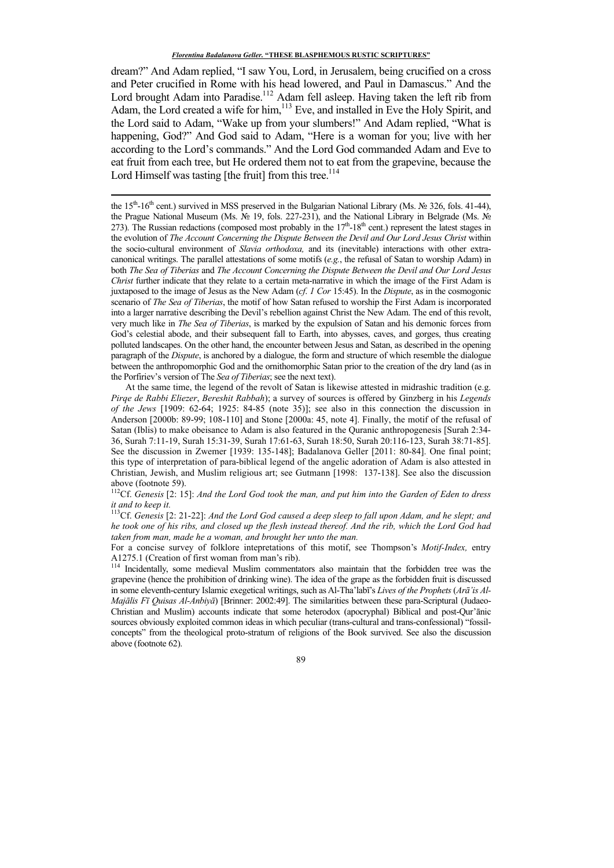dream?" And Adam replied, "I saw You, Lord, in Jerusalem, being crucified on a cross and Peter crucified in Rome with his head lowered, and Paul in Damascus." And the Lord brought Adam into Paradise.<sup>112</sup> Adam fell asleep. Having taken the left rib from Adam, the Lord created a wife for him,<sup>113</sup> Eve, and installed in Eve the Holy Spirit, and the Lord said to Adam, "Wake up from your slumbers!" And Adam replied, "What is happening, God?" And God said to Adam, "Here is a woman for you; live with her according to the Lord's commands." And the Lord God commanded Adam and Eve to eat fruit from each tree, but He ordered them not to eat from the grapevine, because the Lord Himself was tasting [the fruit] from this tree.<sup>114</sup>

<u>.</u>

<sup>112</sup>Cf. *Genesis* [2: 15]: *And the Lord God took the man, and put him into the Garden of Eden to dress it and to keep it.* 

<sup>113</sup>Cf. *Genesis* [2: 21-22]: *And the Lord God caused a deep sleep to fall upon Adam, and he slept; and he took one of his ribs, and closed up the flesh instead thereof. And the rib, which the Lord God had taken from man, made he a woman, and brought her unto the man.* 

For a concise survey of folklore intepretations of this motif, see Thompson's *Motif-Index,* entry A1275.1 (Creation of first woman from man's rib).

<sup>114</sup> Incidentally, some medieval Muslim commentators also maintain that the forbidden tree was the grapevine (hence the prohibition of drinking wine). The idea of the grape as the forbidden fruit is discussed in some eleventh-century Islamic exegetical writings, such as Al-Tha'labī's *Lives of the Prophets* (*Arā'is Al-Majālis Fī Quisas Al-Anbiyā*) [Brinner: 2002:49]. The similarities between these para-Scriptural (Judaeo-Christian and Muslim) accounts indicate that some heterodox (apocryphal) Biblical and post-Qur'ānic sources obviously exploited common ideas in which peculiar (trans-cultural and trans-confessional) "fossilconcepts" from the theological proto-stratum of religions of the Book survived. See also the discussion above (footnote 62).

the 15<sup>th</sup>-16<sup>th</sup> cent.) survived in MSS preserved in the Bulgarian National Library (Ms. № 326, fols. 41-44), the Prague National Museum (Ms. № 19, fols. 227-231), and the National Library in Belgrade (Ms. № 273). The Russian redactions (composed most probably in the  $17<sup>th</sup>$ -18<sup>th</sup> cent.) represent the latest stages in the evolution of *The Account Concerning the Dispute Between the Devil and Our Lord Jesus Christ* within the socio-cultural environment of *Slavia orthodoxa,* and its (inevitable) interactions with other extracanonical writings. The parallel attestations of some motifs (*e.g.*, the refusal of Satan to worship Adam) in both *The Sea of Tiberias* and *The Account Concerning the Dispute Between the Devil and Our Lord Jesus Christ* further indicate that they relate to a certain meta-narrative in which the image of the First Adam is juxtaposed to the image of Jesus as the New Adam (*cf*. *1 Cor* 15:45). In the *Dispute*, as in the cosmogonic scenario of *The Sea of Tiberias*, the motif of how Satan refused to worship the First Adam is incorporated into a larger narrative describing the Devil's rebellion against Christ the New Adam. The end of this revolt, very much like in *The Sea of Tiberias*, is marked by the expulsion of Satan and his demonic forces from God's celestial abode, and their subsequent fall to Earth, into abysses, caves, and gorges, thus creating polluted landscapes. On the other hand, the encounter between Jesus and Satan, as described in the opening paragraph of the *Dispute*, is anchored by a dialogue, the form and structure of which resemble the dialogue between the anthropomorphic God and the ornithomorphic Satan prior to the creation of the dry land (as in the Porfiriev's version of The *Sea of Tiberias*; see the next text).

At the same time, the legend of the revolt of Satan is likewise attested in midrashic tradition (e.g. *Pirqe de Rabbi Eliezer*, *Bereshit Rabbah*); a survey of sources is offered by Ginzberg in his *Legends of the Jews* [1909: 62-64; 1925: 84-85 (note 35)]; see also in this connection the discussion in Anderson [2000b: 89-99; 108-110] and Stone [2000a: 45, note 4]. Finally, the motif of the refusal of Satan (Iblis) to make obeisance to Adam is also featured in the Quranic anthropogenesis [Surah 2:34- 36, Surah 7:11-19, Surah 15:31-39, Surah 17:61-63, Surah 18:50, Surah 20:116-123, Surah 38:71-85]. See the discussion in Zwemer [1939: 135-148]; Badalanova Geller [2011: 80-84]. One final point; this type of interpretation of para-biblical legend of the angelic adoration of Adam is also attested in Christian, Jewish, and Muslim religious art; see Gutmann [1998: 137-138]. See also the discussion above (footnote 59).

<sup>89</sup>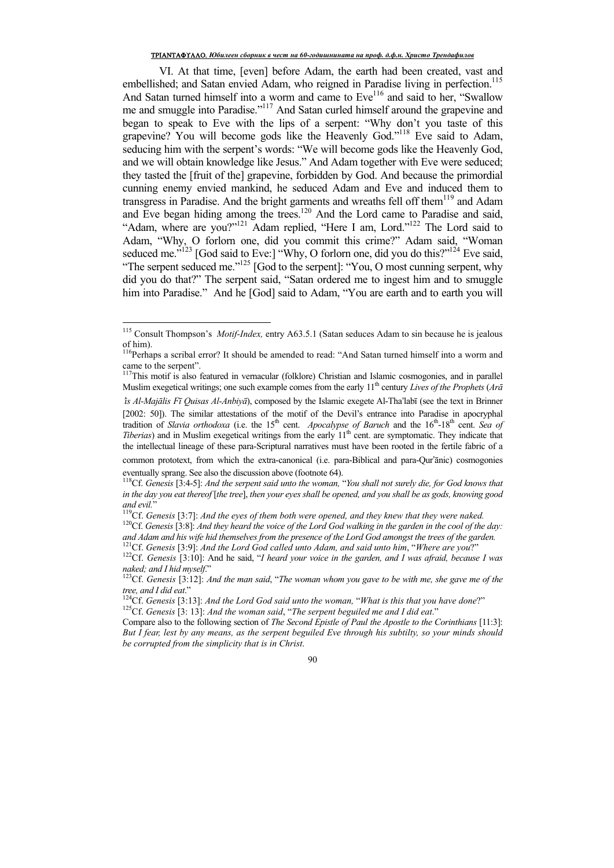## TPIANTAФYAAO. *Юбилеен сборник в чест на 60-годишнината на проф. д.ф.н. Христо Трендафилов*

VI. At that time, [even] before Adam, the earth had been created, vast and embellished; and Satan envied Adam, who reigned in Paradise living in perfection.<sup>115</sup> And Satan turned himself into a worm and came to Eve<sup>116</sup> and said to her, "Swallow me and smuggle into Paradise."<sup>117</sup> And Satan curled himself around the grapevine and began to speak to Eve with the lips of a serpent: "Why don't you taste of this grapevine? You will become gods like the Heavenly God."<sup>118</sup> Eve said to Adam, seducing him with the serpent's words: "We will become gods like the Heavenly God, and we will obtain knowledge like Jesus." And Adam together with Eve were seduced; they tasted the [fruit of the] grapevine, forbidden by God. And because the primordial cunning enemy envied mankind, he seduced Adam and Eve and induced them to transgress in Paradise. And the bright garments and wreaths fell off them<sup>119</sup> and Adam and Eve began hiding among the trees.<sup>120</sup> And the Lord came to Paradise and said, "Adam, where are you?"<sup>121</sup> Adam replied, "Here I am, Lord."<sup>122</sup> The Lord said to Adam, "Why, O forlorn one, did you commit this crime?" Adam said, "Woman seduced me."<sup>123</sup> [God said to Eve:] "Why, O forlorn one, did you do this?"<sup>124</sup> Eve said, "The serpent seduced me."<sup>125</sup> [God to the serpent]: "You, O most cunning serpent, why did you do that?" The serpent said, "Satan ordered me to ingest him and to smuggle him into Paradise." And he [God] said to Adam. "You are earth and to earth you will

 $\overline{a}$ 

<sup>115</sup> Consult Thompson's *Motif-Index,* entry A63.5.1 (Satan seduces Adam to sin because he is jealous of him).

<sup>&</sup>lt;sup>116</sup>Perhaps a scribal error? It should be amended to read: "And Satan turned himself into a worm and came to the serpent". came to the serpent".<br><sup>117</sup>This motif is also featured in vernacular (folklore) Christian and Islamic cosmogonies, and in parallel

Muslim exegetical writings; one such example comes from the early 11<sup>th</sup> century *Lives of the Prophets* (*Arā* 

<sup>ಬ</sup>*is Al-Majālis Fī Quisas Al-Anbiyā*), composed by the Islamic exegete Al-Thaಫlabī (see the text in Brinner [2002: 50]). The similar attestations of the motif of the Devil's entrance into Paradise in apocryphal tradition of *Slavia orthodoxa* (i.e. the 15<sup>th</sup> cent. *Apocalypse of Baruch* and the 16<sup>th</sup>-18<sup>th</sup> cent. *Sea of Tiberias*) and in Muslim exegetical writings from the early 11<sup>th</sup> cent. are symptomatic. They indicate that the intellectual lineage of these para-Scriptural narratives must have been rooted in the fertile fabric of a

common prototext, from which the extra-canonical (i.e. para-Biblical and para-Our'ānic) cosmogonies eventually sprang. See also the discussion above (footnote 64).

<sup>118</sup>Cf. *Genesis* [3:4-5]: *And the serpent said unto the woman,* "*You shall not surely die, for God knows that in the day you eat thereof* [*the tree*], *then your eyes shall be opened, and you shall be as gods, knowing good and evil.*"

<sup>119</sup>Cf. *Genesis* [3:7]: *And the eyes of them both were opened, and they knew that they were naked.*

<sup>120</sup>Cf. *Genesis* [3:8]: *And they heard the voice of the Lord God walking in the garden in the cool of the day: and Adam and his wife hid themselves from the presence of the Lord God amongst the trees of the garden.* <sup>121</sup>Cf. *Genesis* [3:9]: *And the Lord God called unto Adam, and said unto him*, "*Where are you*?"

<sup>122</sup>Cf. *Genesis* [3:10]: And he said, "*I heard your voice in the garden, and I was afraid, because I was naked; and I hid myself*."

<sup>123</sup>Cf. *Genesis* [3:12]: *And the man said*, "*The woman whom you gave to be with me, she gave me of the tree, and I did eat*."

<sup>124</sup>Cf. *Genesis* [3:13]: *And the Lord God said unto the woman,* "*What is this that you have done*?" <sup>125</sup>Cf. *Genesis* [3: 13]: *And the woman said*, "*The serpent beguiled me and I did eat*."

Compare also to the following section of *The Second Epistle of Paul the Apostle to the Corinthians* [11:3]: *But I fear, lest by any means, as the serpent beguiled Eve through his subtilty, so your minds should be corrupted from the simplicity that is in Christ*.

<sup>90</sup>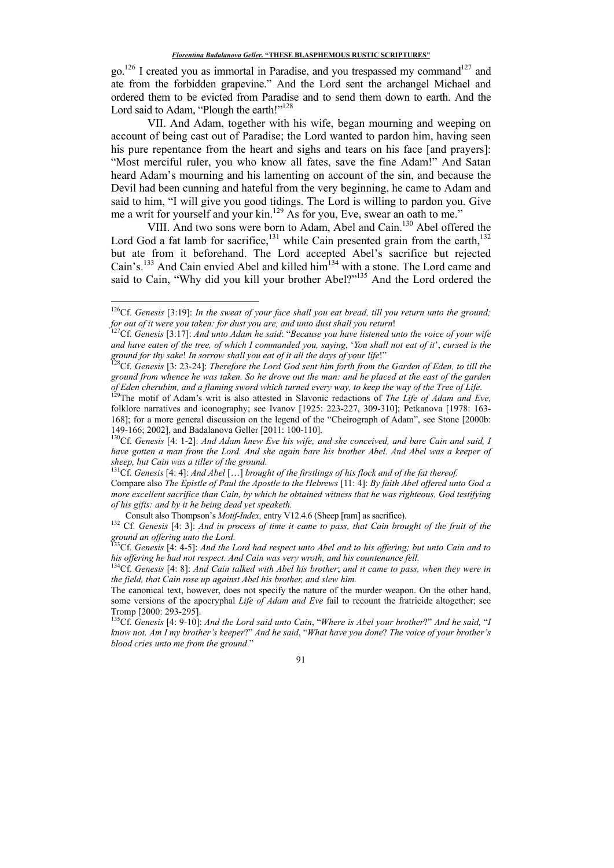$\text{go.}^{126}$  I created you as immortal in Paradise, and you trespassed my command<sup>127</sup> and ate from the forbidden grapevine." And the Lord sent the archangel Michael and ordered them to be evicted from Paradise and to send them down to earth. And the Lord said to Adam, "Plough the earth!"<sup>128</sup>

VII. And Adam, together with his wife, began mourning and weeping on account of being cast out of Paradise; the Lord wanted to pardon him, having seen his pure repentance from the heart and sighs and tears on his face [and prayers]: "Most merciful ruler, you who know all fates, save the fine Adam!" And Satan heard Adam's mourning and his lamenting on account of the sin, and because the Devil had been cunning and hateful from the very beginning, he came to Adam and said to him, "I will give you good tidings. The Lord is willing to pardon you. Give me a writ for yourself and your kin.<sup>129</sup> As for you, Eve, swear an oath to me."

VIII. And two sons were born to Adam, Abel and Cain.<sup>130</sup> Abel offered the Lord God a fat lamb for sacrifice,<sup>131</sup> while Cain presented grain from the earth,<sup>132</sup> but ate from it beforehand. The Lord accepted Abel's sacrifice but rejected Cain's.<sup>133</sup> And Cain envied Abel and killed him<sup>134</sup> with a stone. The Lord came and said to Cain, "Why did you kill your brother Abel?"<sup>135</sup> And the Lord ordered the

<u>.</u>

<sup>126</sup>Cf. *Genesis* [3:19]: *In the sweat of your face shall you eat bread, till you return unto the ground; for out of it were you taken: for dust you are, and unto dust shall you return*!

<sup>127</sup>Cf. *Genesis* [3:17]: *And unto Adam he said*: "*Because you have listened unto the voice of your wife and have eaten of the tree, of which I commanded you, saying*, '*You shall not eat of it*', *cursed is the ground for thy sake*! *In sorrow shall you eat of it all the days of your life*!"

<sup>128</sup>Cf. *Genesis* [3: 23-24]: *Therefore the Lord God sent him forth from the Garden of Eden, to till the ground from whence he was taken. So he drove out the man: and he placed at the east of the garden of Eden cherubim, and a flaming sword which turned every way, to keep the way of the Tree of Life*.

<sup>&</sup>lt;sup>129</sup>The motif of Adam's writ is also attested in Slavonic redactions of *The Life of Adam and Eve*, folklore narratives and iconography; see Ivanov [1925: 223-227, 309-310]; Petkanova [1978: 163- 168]; for a more general discussion on the legend of the "Cheirograph of Adam", see Stone [2000b: 149-166; 2002], and Badalanova Geller [2011: 100-110].

<sup>130</sup>Cf. *Genesis* [4: 1-2]: *And Adam knew Eve his wife; and she conceived, and bare Cain and said, I have gotten a man from the Lord. And she again bare his brother Abel. And Abel was a keeper of sheep, but Cain was a tiller of the ground.*

<sup>131</sup>Cf. *Genesis* [4: 4]: *And Abel* […] *brought of the firstlings of his flock and of the fat thereof.*

Compare also *The Epistle of Paul the Apostle to the Hebrews* [11: 4]: *By faith Abel offered unto God a more excellent sacrifice than Cain, by which he obtained witness that he was righteous, God testifying of his gifts: and by it he being dead yet speaketh.* 

Consult also Thompson's *Motif-Index,* entry V12.4.6 (Sheep [ram] as sacrifice).

<sup>132</sup> Cf. *Genesis* [4: 3]: *And in process of time it came to pass, that Cain brought of the fruit of the ground an offering unto the Lord.*

<sup>133</sup>Cf. *Genesis* [4: 4-5]: *And the Lord had respect unto Abel and to his offering; but unto Cain and to his offering he had not respect. And Cain was very wroth, and his countenance fell.*

<sup>134</sup>Cf. *Genesis* [4: 8]: *And Cain talked with Abel his brother*; *and it came to pass, when they were in the field, that Cain rose up against Abel his brother, and slew him.*

The canonical text, however, does not specify the nature of the murder weapon. On the other hand, some versions of the apocryphal *Life of Adam and Eve* fail to recount the fratricide altogether; see Tromp [2000: 293-295].

<sup>135</sup>Cf. *Genesis* [4: 9-10]: *And the Lord said unto Cain*, "*Where is Abel your brother*?" *And he said,* "*I know not. Am I my brother's keeper*?" *And he said*, "*What have you done*? *The voice of your brother's blood cries unto me from the ground*."

<sup>91</sup>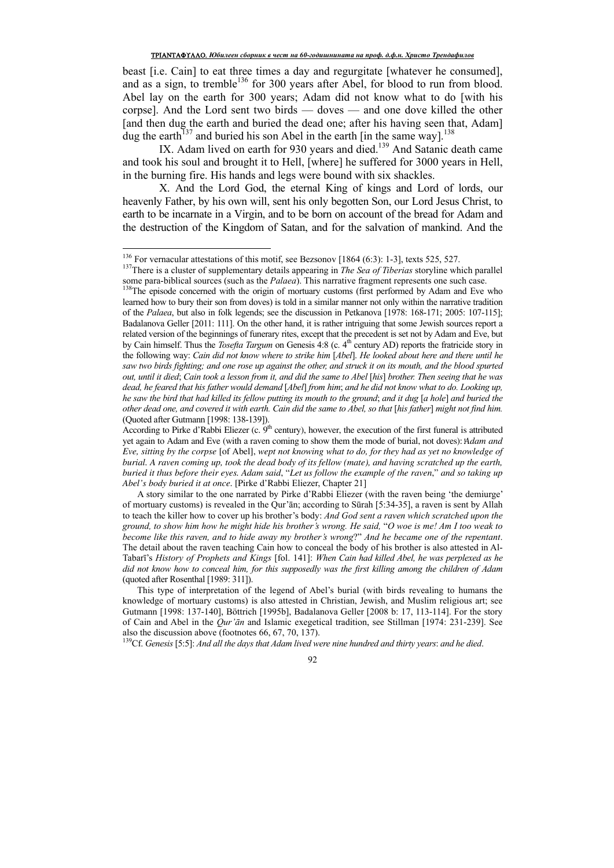beast [i.e. Cain] to eat three times a day and regurgitate [whatever he consumed], and as a sign, to tremble<sup>136</sup> for 300 years after Abel, for blood to run from blood. Abel lay on the earth for 300 years; Adam did not know what to do [with his corpse]. And the Lord sent two birds — doves — and one dove killed the other [and then dug the earth and buried the dead one; after his having seen that, Adam] dug the earth<sup>137</sup> and buried his son Abel in the earth [in the same way].<sup>138</sup>

IX. Adam lived on earth for 930 years and died.<sup>139</sup> And Satanic death came and took his soul and brought it to Hell, [where] he suffered for 3000 years in Hell, in the burning fire. His hands and legs were bound with six shackles.

X. And the Lord God, the eternal King of kings and Lord of lords, our heavenly Father, by his own will, sent his only begotten Son, our Lord Jesus Christ, to earth to be incarnate in a Virgin, and to be born on account of the bread for Adam and the destruction of the Kingdom of Satan, and for the salvation of mankind. And the

 $\overline{a}$ 

<sup>139</sup>Cf. *Genesis* [5:5]: *And all the days that Adam lived were nine hundred and thirty years*: *and he died*.

<sup>&</sup>lt;sup>136</sup> For vernacular attestations of this motif, see Bezsonov [1864 (6:3): 1-3], texts 525, 527.

<sup>&</sup>lt;sup>137</sup>There is a cluster of supplementary details appearing in *The Sea of Tiberias* storyline which parallel some para-biblical sources (such as the *Palaea*). This narrative fragment represents one such case.

<sup>&</sup>lt;sup>138</sup>The episode concerned with the origin of mortuary customs (first performed by Adam and Eve who learned how to bury their son from doves) is told in a similar manner not only within the narrative tradition of the *Palaea*, but also in folk legends; see the discussion in Petkanova [1978: 168-171; 2005: 107-115]; Badalanova Geller [2011: 111]. On the other hand, it is rather intriguing that some Jewish sources report a related version of the beginnings of funerary rites, except that the precedent is set not by Adam and Eve, but by Cain himself. Thus the *Tosefta Targum* on Genesis 4:8 (c. 4<sup>th</sup> century AD) reports the fratricide story in the following way: *Cain did not know where to strike him* [*Abel*]. *He looked about here and there until he*  saw two birds fighting; and one rose up against the other, and struck it on its mouth, and the blood spurted *out, until it died*; *Cain took a lesson from it, and did the same to Abel* [*his*] *brother. Then seeing that he was dead, he feared that his father would demand* [*Abel*] *from him*; *and he did not know what to do. Looking up, he saw the bird that had killed its fellow putting its mouth to the ground*; *and it dug* [*a hole*] *and buried the other dead one, and covered it with earth. Cain did the same to Abel, so that* [*his father*] *might not find him.* (Quoted after Gutmann [1998: 138-139]).

According to Pirke d'Rabbi Eliezer (c.  $9<sup>th</sup>$  century), however, the execution of the first funeral is attributed yet again to Adam and Eve (with a raven coming to show them the mode of burial, not doves): *Adam and Eve, sitting by the corpse* [of Abel], *wept not knowing what to do, for they had as yet no knowledge of burial. A raven coming up, took the dead body of its fellow (mate), and having scratched up the earth, buried it thus before their eyes. Adam said*, "*Let us follow the example of the raven*," *and so taking up Abel's body buried it at once*. [Pirke d'Rabbi Eliezer, Chapter 21]

A story similar to the one narrated by Pirke d'Rabbi Eliezer (with the raven being 'the demiurge' of mortuary customs) is revealed in the Qur'ān; according to Sūrah [5:34-35], a raven is sent by Allah to teach the killer how to cover up his brother's body: *And God sent a raven which scratched upon the ground, to show him how he might hide his brother's wrong. He said,* "*O woe is me! Am I too weak to become like this raven, and to hide away my brother's wrong*?" *And he became one of the repentant*. The detail about the raven teaching Cain how to conceal the body of his brother is also attested in Al-Tabarī's *History of Prophets and Kings* [fol. 141]: *When Cain had killed Abel, he was perplexed as he did not know how to conceal him, for this supposedly was the first killing among the children of Adam* (quoted after Rosenthal [1989: 311]).

This type of interpretation of the legend of Abel's burial (with birds revealing to humans the knowledge of mortuary customs) is also attested in Christian, Jewish, and Muslim religious art; see Gutmann [1998: 137-140], Böttrich [1995b], Badalanova Geller [2008 b: 17, 113-114]. For the story of Cain and Abel in the *Qur'ān* and Islamic exegetical tradition, see Stillman [1974: 231-239]. See also the discussion above (footnotes 66, 67, 70, 137).

<sup>92</sup>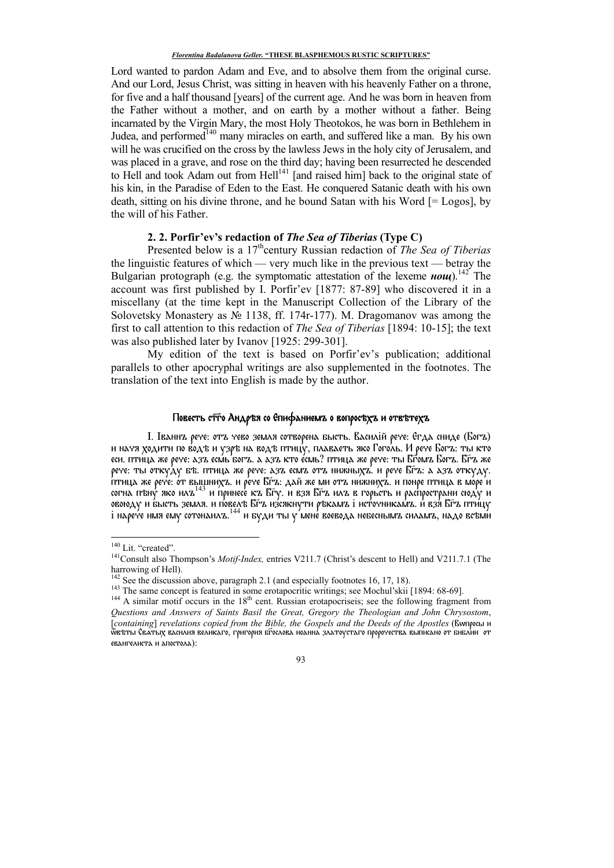Lord wanted to pardon Adam and Eve, and to absolve them from the original curse. And our Lord, Jesus Christ, was sitting in heaven with his heavenly Father on a throne, for five and a half thousand [years] of the current age. And he was born in heaven from the Father without a mother, and on earth by a mother without a father. Being incarnated by the Virgin Mary, the most Holy Theotokos, he was born in Bethlehem in Judea, and performed<sup>140</sup> many miracles on earth, and suffered like a man. By his own will he was crucified on the cross by the lawless Jews in the holy city of Jerusalem, and was placed in a grave, and rose on the third day; having been resurrected he descended to Hell and took Adam out from  $\text{Hell}^{141}$  [and raised him] back to the original state of his kin, in the Paradise of Eden to the East. He conquered Satanic death with his own death, sitting on his divine throne, and he bound Satan with his Word [= Logos], by the will of his Father.

## **2. 2. Porfir'ev's redaction of** *The Sea of Tiberias* **(Type C)**

Presented below is a 17<sup>th</sup>century Russian redaction of *The Sea of Tiberias* the linguistic features of which — very much like in the previous text — betray the Bulgarian protograph (e.g. the symptomatic attestation of the lexeme  $\mu \omega \mu$ ).<sup>142</sup> The account was first published by I. Porfir'ev [1877: 87-89] who discovered it in a miscellany (at the time kept in the Manuscript Collection of the Library of the Solovetsky Monastery as № 1138, ff. 174r-177). M. Dragomanov was among the first to call attention to this redaction of *The Sea of Tiberias* [1894: 10-15]; the text was also published later by Ivanov [1925: 299-301].

My edition of the text is based on Porfir'ev's publication; additional parallels to other apocryphal writings are also supplemented in the footnotes. The translation of the text into English is made by the author.

# Повесть стыго Андръя со Епифаниемъ о вопросъхъ и отвътехъ

I. Iваннъ рече: отъ чево земля сотворена бысть. Василiй рече: Егда сниде (Богъ) и начя ходити по водѣ и узрѣ на водѣ птицу, плаваеть яко Гоголь. И рече Богъ: ты кто еси. птица же рече: азъ есмь богъ. а азъ кто есмь? птица же рече: ты Бѣомъ Богъ. Бѣъ же рече: ты откуду бъ. птица же рече: азъ есмъ отъ нижныхъ. и рече Бґъ: а азъ откуду. птица же рече: от вышнихъ. и рече Б͠гъ: дай же ми отъ нижнихъ. и понре птица в море и согна пъну яко илъ<sup>143</sup> и принесе къ Бґу. и взя Бґъ илъ в горьсть и распространи сюду и овоюду и бысть земля. и повелъ Бѓъ изсякнути ръкамъ i источникамъ. и взя Бѓъ птицу .<br>1 нарече имя ему сотонаилъ.<sup>144</sup> и буди ты у мене воевода небеснымъ силамъ, надо всъми

<u>.</u>

<sup>&</sup>lt;sup>140</sup> Lit. "created".

<sup>&</sup>lt;sup>141</sup>Consult also Thompson's *Motif-Index*, entries V211.7 (Christ's descent to Hell) and V211.7.1 (The harrowing of Hell).

<sup>&</sup>lt;sup>2</sup> See the discussion above, paragraph 2.1 (and especially footnotes 16, 17, 18).

<sup>&</sup>lt;sup>143</sup> The same concept is featured in some erotapocritic writings; see Mochul'skii [1894: 68-69].

 $144$  A similar motif occurs in the  $18<sup>th</sup>$  cent. Russian erotapocriseis; see the following fragment from *Questions and Answers of Saints Basil the Great, Gregory the Theologian and John Chrysostom*, [*containing*] *revelations copied from the Bible, the Gospels and the Deeds of the Apostles* (Вулросы и ѿвѣты Свѧтых василия великаго, григория бг҃ослова иоанна златоустаго пророчества выписано от библии от евангелиста и апостола):

<sup>93</sup>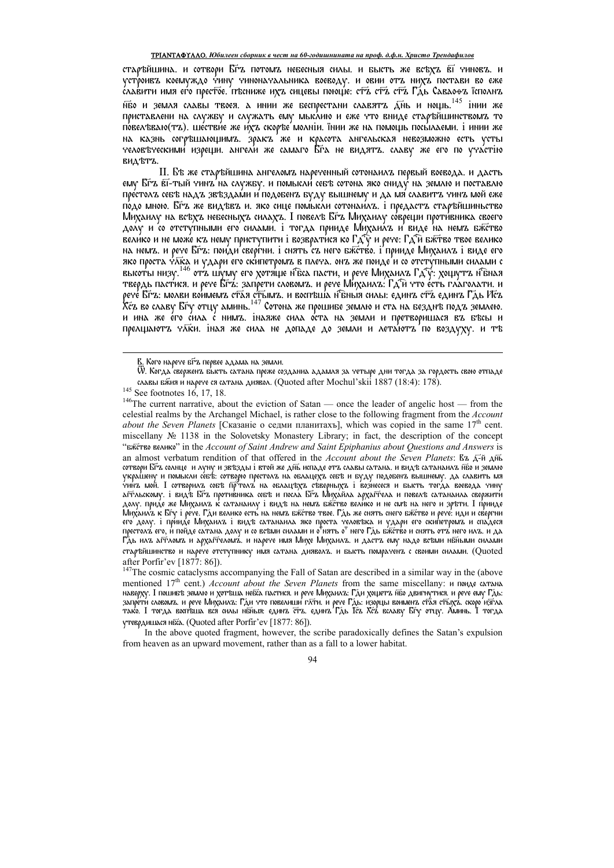### ТРІАНТАФҮЛЛО. Юбилеен сборник в чест на 60-годишнината на проф. д.ф.н. Христо Трендафилов

старъйшина. и сотвори Бгъ потомъ небесныя силы. и бысть же всъхъ ві чиновъ. и устроивъ коемуждо чину чиноначальника воеводу. и овии отъ нихъ постави во еже славити имя его престое. пъсниже ихъ сицевы поюще: стъ стъ стъ Гдь Саваофъ їсполнъ нбо и земля славы твоея. А инии же беспрестани славятъ Днь и нощь.<sup>145</sup> інии же приставлени на службу и служать ему мыслию и еже что вниде старъйшинствомъ то по́вел⁄бваю(тъ). шестви́е же и́хъ скоръе́ молніи. їнии же на помощь посы́лаеми. і инии же на казнь согръшающимъ. зракъ же и красота ангельская невозможно есть усты человъческими изреши. ангели же самаго Бѓа не видятъ. славу же его по участію видътъ.

II. Бъ же старъйшина ангеломъ нареченный сотонаилъ первый воевода. и дасть ему Бґз вї-тый чинз'на службу. и помысли́ себъ сотона яко сниду́ на землю и поставлю престолъ себъ надъ звъздами и подобенъ буду вышнему и да мя славитъ чинъ мой еже по́до мною. Бґд же видъвъ и. яко сице помысли сотонаилъ. і предастъ старъйшиньство Михаилу на всъхъ небесныхъ силахъ. І повелъ Бґъ Михаилу соврещи противника своего долу и со отступными его силами. і тогда прииде Михаилъ и виде на немъ бжетво велико и не може къ нему приступити і возвратися ко Гд у и рече: Гд и бжтво твое велико на немъ. и рече Бґъ: пои́ди́ сверѓни. і снять съ него бжство. і прииде Михаилъ і виде его яко проста чака и удари его скипетромъ в плеча. онъ же поиде'и со отступными силами с<br>высоты низу. <sup>146</sup> отъ шуму его хотяще нъса пасти, и рече Михаилъ Гд у: хощутъ нъная твердь пастися. и рече Бґх. запрети словомъ. и рече Михаилъ: Гдћ что есть глаголати. и рече Бґъ: молви воимемъ стая стымъ. и воспъща нънка силы: единъ стъ единъ Гдь Исъ<br>Хсъ во славу Бґу отцу аминь.<sup>147</sup> Сотона же прошибе землю и ста на безднъ подъ землею. и ина же е́го с́ила с нимъ. інаяже сила о́ста на земли и претворишася въ бъсы и прелщаютъ чаки. іная же сила не допаде до земли и летаютъ по воздуху. и тъ

after Porfir'ev [1877: 86]).  $\frac{1}{2}$ <br><sup>147</sup>The cosmic cataclysms accompanying the Fall of Satan are described in a similar way in the (above mentioned 17<sup>th</sup> cent.) Account about the Seven Planets from the same miscellany: и поиде сатана непитоней 17 сент.) жес*онна изона не белей таннев т*оги не бане нибестно, и воды контроля и рече ему Гдб.<br>запрети словомъ, и рече Михаилъ: Гди что повелиши глти, и рече Гдб. изорцы воименъ стая стълхъ, скоро изгла<br>тако. утеврдишася ніба. (Quoted after Porfir'ev [1877: 86]).

In the above quoted fragment, however, the scribe paradoxically defines the Satan's expulsion from heaven as an upward movement, rather than as a fall to a lower habitat.

В. Кого нарече бых первее адама на земли.

Ѿ. Когда'сверженъ бысть сатана преже созданиа адамля за четыре дни тогда за гордость свою отпаде славы вжия и нарече ся сатана диявол. (Quoted after Mochul'skii 1887 (18:4): 178).

<sup>&</sup>lt;sup>145</sup> See footnotes 16, 17, 18.

 $146$ The current narrative, about the eviction of Satan — once the leader of angelic host — from the celestial realms by the Archangel Michael, is rather close to the following fragment from the Account about the Seven Planets [Сказаніе о седми планитахъ], which was copied in the same  $17<sup>th</sup>$  cent. miscellany  $N_2$  1138 in the Solovetsky Monastery Library; in fact, the description of the concept "вжётво велико" in the Account of Saint Andrew and Saint Epiphanius about Questions and Answers is an almost verbatum rendition of that offered in the Account about the Seven Planets: Bz  $\overline{A}$ - $\overline{B}$  A $\overline{B}$ сотвори Бѓъ солнце и луну и звъзды і втой же днъ испаде отъ славы сатана. и видъ сатанаилъ нбо и землю украшену и помысли себъ: сотворю престолъ на облацехъ себъ и буду подобенъ вышнему. да славить мя<br>чинъ мой. І сотворилъ собъ пр<sup>о</sup>толъ на облацъхъ съверныхъ і вознесеся и бысть тогда воевода чину<br>агѓльскому. і видъ Бѓъ пр долу. приде же Михаилъ с сатананау і видъ на немъ бати дани муден сва на побило аленница бърнити.<br>Долу. приде же Михаилъ к сатананау і видъ на немъ бжство велико и не смъ на него и зръти. І прииде его долу. і прииде Михаилъ і видъ сатанаила яко проста человъка и удари его скипетромъ и спадеся престолъ́ его, и́ пойде сатана долу и со всъми силами и о†нять о" него Гдь бжетво и снять отъ́ него илъ. и да Г"дь илъ агтломъ и архагтеломъ́. и нарече имя Михе Михаилъ. и дастъ ему надо всъми нбными силами старъйшинство и нарече отступнику имя сатана дияволъ. и бысть помраченъ с своими силами. (Quoted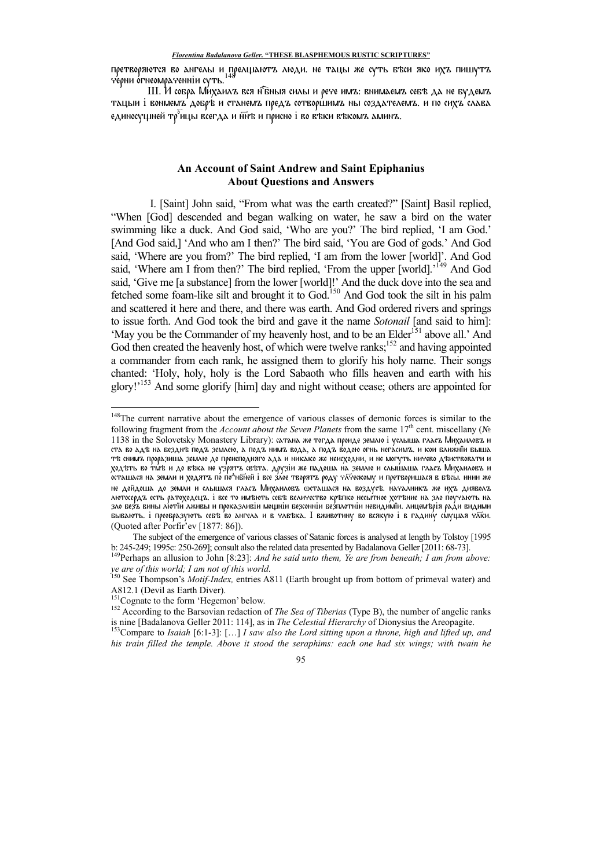претворяются во ангелы и прелщаютъ люди. не тацы же суть бъси яко ихъ пишутъ черни огнеомраченніи суть.<sup>148</sup>

III. И собра Михаилъ вся н<sup>г</sup>бныя силы и рече имъ: внимаемъ себъ да не будемъ тацыи i вонмемъ добрѣ и станемъ предъ сотворшимъ ны создателемъ. и по сихъ слава единосущней тр $^{\circ}$ ицы всегда и н $\overline{w}$ в и присно i во въки въкомъ аминъ.

# **An Account of Saint Andrew and Saint Epiphanius About Questions and Answers**

 I. [Saint] John said, "From what was the earth created?" [Saint] Basil replied, "When [God] descended and began walking on water, he saw a bird on the water swimming like a duck. And God said, 'Who are you?' The bird replied, 'I am God.' [And God said,] 'And who am I then?' The bird said, 'You are God of gods.' And God said, 'Where are you from?' The bird replied, 'I am from the lower [world]'. And God said, 'Where am I from then?' The bird replied, 'From the upper [world].'<sup>149</sup> And God said, 'Give me [a substance] from the lower [world]!' And the duck dove into the sea and fetched some foam-like silt and brought it to God.<sup>150</sup> And God took the silt in his palm and scattered it here and there, and there was earth. And God ordered rivers and springs to issue forth. And God took the bird and gave it the name *Sotonail* [and said to him]: 'May you be the Commander of my heavenly host, and to be an Elder<sup>151</sup> above all.' And God then created the heavenly host, of which were twelve ranks;<sup>152</sup> and having appointed a commander from each rank, he assigned them to glorify his holy name. Their songs chanted: 'Holy, holy, holy is the Lord Sabaoth who fills heaven and earth with his glory!'<sup>153</sup> And some glorify [him] day and night without cease; others are appointed for

<u>.</u>

<sup>&</sup>lt;sup>148</sup>The current narrative about the emergence of various classes of demonic forces is similar to the following fragment from the *Account about the Seven Planets* from the same  $17<sup>th</sup>$  cent. miscellany ( $\mathcal{N}_2$ ) 1138 in the Solovetsky Monastery Library): сатана же тогда проиде землю i услыша гласъ Михаиловъ и ста во адѣ на безднѣ подъ землею, а подъ нимъ вода, а подъ водою огнь негасимъ. и кои ближнїи быша тъ снимъ проразиша землю до преисподняго ада и никако же неисходни, и не могуть ничево дъиствовати и ходъть во титъ и до въка не узрятъ свъта. друзiи же падоша на землю и слышаша гласъ Михаиловъ и , . . .<br>осташася на земли и ходятъ по по<sup>л</sup>нбней i все злое творятъ роду чл̄ческому и претворишася в бъсы. инии же не дойдоша до земли и слышася гласъ Михаиловъ оосташася на воздусъ. началникъ же ихъ дияволъ лютосердъ есть ратоходецъ. i все то имѣють себѣ величество крѣпко несытное хотѣние на зло поучають на зло безъ вины лютїи лживы и проказливiи мощнiи безсоннiи безплотнiи невидимїи. лицемѣрiя ради видими бывають. i преобразують себъ во ангела и в члеъка. I вживотину во всякую i в гадину смущая члки. (Quoted after Porfir'ev [1877: 86]).

The subject of the emergence of various classes of Satanic forces is analysed at length by Tolstoy [1995 b: 245-249; 1995c: 250-269]; consult also the related data presented by Badalanova Geller [2011: 68-73].

<sup>&</sup>lt;sup>149</sup>Perhaps an allusion to John [8:23]: *And he said unto them, Ye are from beneath; I am from above: ye are of this world; I am not of this world*.

<sup>150</sup> See Thompson's *Motif-Index,* entries A811 (Earth brought up from bottom of primeval water) and A812.1 (Devil as Earth Diver).

<sup>&</sup>lt;sup>151</sup>Cognate to the form 'Hegemon' below.

<sup>152</sup> According to the Barsovian redaction of *The Sea of Tiberias* (Type B), the number of angelic ranks is nine [Badalanova Geller 2011: 114], as in *The Celestial Hierarchy* of Dionysius the Areopagite.

<sup>153</sup>Compare to *Isaiah* [6:1-3]: […] *I saw also the Lord sitting upon a throne, high and lifted up, and his train filled the temple. Above it stood the seraphims: each one had six wings; with twain he* 

<sup>95</sup>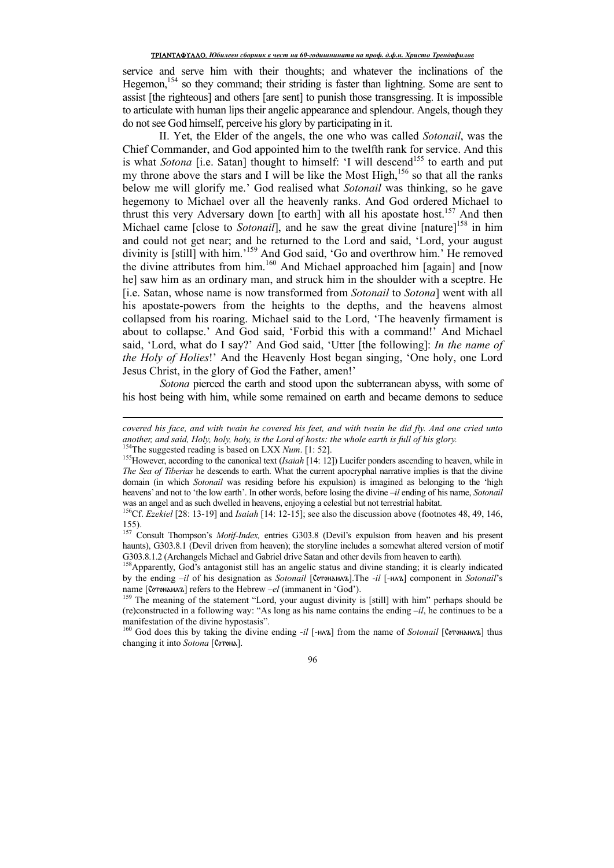service and serve him with their thoughts; and whatever the inclinations of the Hegemon,<sup>154</sup> so they command; their striding is faster than lightning. Some are sent to assist [the righteous] and others [are sent] to punish those transgressing. It is impossible to articulate with human lips their angelic appearance and splendour. Angels, though they do not see God himself, perceive his glory by participating in it.

II. Yet, the Elder of the angels, the one who was called *Sotonail*, was the Chief Commander, and God appointed him to the twelfth rank for service. And this is what *Sotona* [i.e. Satan] thought to himself: 'I will descend<sup>155</sup> to earth and put my throne above the stars and I will be like the Most High,<sup>156</sup> so that all the ranks below me will glorify me.' God realised what *Sotonail* was thinking, so he gave hegemony to Michael over all the heavenly ranks. And God ordered Michael to thrust this very Adversary down [to earth] with all his apostate host.<sup>157</sup> And then Michael came [close to *Sotonail*], and he saw the great divine [nature]<sup>158</sup> in him and could not get near; and he returned to the Lord and said, 'Lord, your august divinity is [still] with him.<sup>159</sup> And God said, 'Go and overthrow him.' He removed the divine attributes from him.<sup>160</sup> And Michael approached him [again] and [now he] saw him as an ordinary man, and struck him in the shoulder with a sceptre. He [i.e. Satan, whose name is now transformed from *Sotonail* to *Sotona*] went with all his apostate-powers from the heights to the depths, and the heavens almost collapsed from his roaring. Michael said to the Lord, 'The heavenly firmament is about to collapse.' And God said, 'Forbid this with a command!' And Michael said, 'Lord, what do I say?' And God said, 'Utter [the following]: *In the name of the Holy of Holies*!' And the Heavenly Host began singing, 'One holy, one Lord Jesus Christ, in the glory of God the Father, amen!'

*Sotona* pierced the earth and stood upon the subterranean abyss, with some of his host being with him, while some remained on earth and became demons to seduce

 $\overline{a}$ 

*covered his face, and with twain he covered his feet, and with twain he did fly. And one cried unto another, and said, Holy, holy, holy, is the Lord of hosts: the whole earth is full of his glory.*  <sup>154</sup>The suggested reading is based on LXX *Num*. [1: 52].

<sup>155</sup>However, according to the canonical text (*Isaiah* [14: 12]) Lucifer ponders ascending to heaven, while in *The Sea of Tiberias* he descends to earth. What the current apocryphal narrative implies is that the divine domain (in which *Sotonail* was residing before his expulsion) is imagined as belonging to the 'high heavens' and not to 'the low earth'. In other words, before losing the divine –*il* ending of his name, *Sotonail*  was an angel and as such dwelled in heavens, enjoying a celestial but not terrestrial habitat.

<sup>&</sup>lt;sup>156</sup>Cf. *Ezekiel* [28: 13-19] and *Isaiah* [14: 12-15]; see also the discussion above (footnotes 48, 49, 146, 155).

<sup>157</sup> Consult Thompson's *Motif-Index,* entries G303.8 (Devil's expulsion from heaven and his present haunts), G303.8.1 (Devil driven from heaven); the storyline includes a somewhat altered version of motif G303.8.1.2 (Archangels Michael and Gabriel drive Satan and other devils from heaven to earth).

<sup>158</sup> Apparently, God's antagonist still has an angelic status and divine standing; it is clearly indicated by the ending –*il* of his designation as *Sotonail* [Сотонаилъ].The -*il* [-илъ] component in *Sotonail*'s name [Сотонаилъ] refers to the Hebrew *–el* (immanent in 'God').

<sup>&</sup>lt;sup>159</sup> The meaning of the statement "Lord, your august divinity is [still] with him" perhaps should be (re)constructed in a following way: "As long as his name contains the ending *–il*, he continues to be a manifestation of the divine hypostasis".

<sup>160</sup> God does this by taking the divine ending -*il* [-илъ] from the name of *Sotonail* [Сотонаилъ] thus changing it into *Sotona* [Сотона].

<sup>96</sup>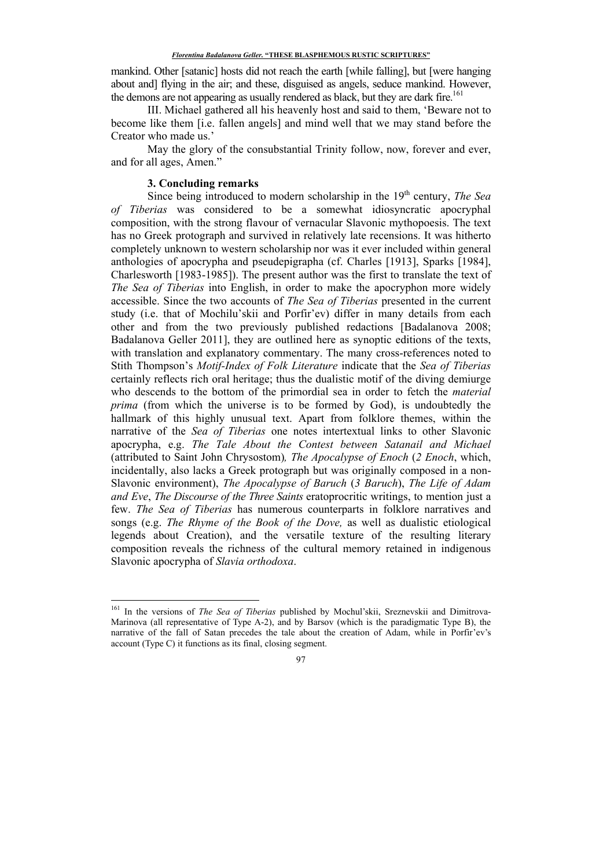mankind. Other [satanic] hosts did not reach the earth [while falling], but [were hanging about and] flying in the air; and these, disguised as angels, seduce mankind. However, the demons are not appearing as usually rendered as black, but they are dark fire.<sup>161</sup>

III. Michael gathered all his heavenly host and said to them, 'Beware not to become like them [i.e. fallen angels] and mind well that we may stand before the Creator who made us.'

May the glory of the consubstantial Trinity follow, now, forever and ever, and for all ages, Amen."

# **3. Concluding remarks**

<u>.</u>

Since being introduced to modern scholarship in the 19<sup>th</sup> century, *The Sea of Tiberias* was considered to be a somewhat idiosyncratic apocryphal composition, with the strong flavour of vernacular Slavonic mythopoesis. The text has no Greek protograph and survived in relatively late recensions. It was hitherto completely unknown to western scholarship nor was it ever included within general anthologies of apocrypha and pseudepigrapha (cf. Charles [1913], Sparks [1984], Charlesworth [1983-1985]). The present author was the first to translate the text of *The Sea of Tiberias* into English, in order to make the apocryphon more widely accessible. Since the two accounts of *The Sea of Tiberias* presented in the current study (i.e. that of Mochilu'skii and Porfir'ev) differ in many details from each other and from the two previously published redactions [Badalanova 2008; Badalanova Geller 2011], they are outlined here as synoptic editions of the texts, with translation and explanatory commentary. The many cross-references noted to Stith Thompson's *Motif-Index of Folk Literature* indicate that the *Sea of Tiberias* certainly reflects rich oral heritage; thus the dualistic motif of the diving demiurge who descends to the bottom of the primordial sea in order to fetch the *material prima* (from which the universe is to be formed by God), is undoubtedly the hallmark of this highly unusual text. Apart from folklore themes, within the narrative of the *Sea of Tiberias* one notes intertextual links to other Slavonic apocrypha, e.g. *The Tale About the Contest between Satanail and Michael* (attributed to Saint John Chrysostom)*, The Apocalypse of Enoch* (*2 Enoch*, which, incidentally, also lacks a Greek protograph but was originally composed in a non-Slavonic environment), *The Apocalypse of Baruch* (*3 Baruch*), *The Life of Adam and Eve*, *The Discourse of the Three Saints* eratoprocritic writings, to mention just a few. *The Sea of Tiberias* has numerous counterparts in folklore narratives and songs (e.g. *The Rhyme of the Book of the Dove,* as well as dualistic etiological legends about Creation), and the versatile texture of the resulting literary composition reveals the richness of the cultural memory retained in indigenous Slavonic apocrypha of *Slavia orthodoxa*.

<sup>161</sup> In the versions of *The Sea of Tiberias* published by Mochul'skii, Sreznevskii and Dimitrova-Marinova (all representative of Type A-2), and by Barsov (which is the paradigmatic Type B), the narrative of the fall of Satan precedes the tale about the creation of Adam, while in Porfir'ev's account (Type C) it functions as its final, closing segment.

<sup>97</sup>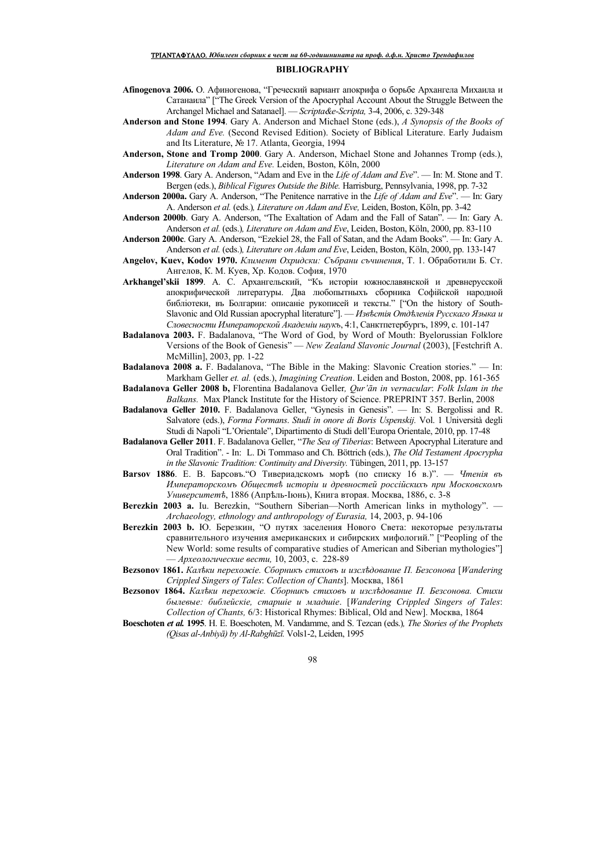#### **BIBLIOGRAPHY**

- **Afinogenova 2006.** О. Афиногенова, "Греческий вариант апокрифа о борьбе Архангела Михаила и Сатанаила" ["The Greek Version of the Apocryphal Account About the Struggle Between the Archangel Michael and Satanael]. - Scripta&e-Scripta, 3-4, 2006, c. 329-348
- Anderson and Stone 1994. Gary A. Anderson and Michael Stone (eds.), A Synopsis of the Books of Adam and Eve. (Second Revised Edition). Society of Biblical Literature. Early Judaism and Its Literature, № 17. Atlanta, Georgia, 1994
- Anderson, Stone and Tromp 2000. Gary A. Anderson, Michael Stone and Johannes Tromp (eds.). Literature on Adam and Eve. Leiden, Boston, Köln, 2000
- Anderson 1998. Gary A. Anderson, "Adam and Eve in the Life of Adam and Eve". In: M. Stone and T. Bergen (eds.), *Biblical Figures Outside the Bible*. Harrisburg, Pennsylvania, 1998, pp. 7-32
- Anderson 2000a. Gary A. Anderson, "The Penitence narrative in the Life of Adam and Eve". In: Gary A. Anderson et al. (eds.), Literature on Adam and Eve, Leiden, Boston, Köln, pp. 3-42
- Anderson 2000b. Gary A. Anderson, "The Exaltation of Adam and the Fall of Satan". In: Gary A. Anderson et al. (eds.), Literature on Adam and Eve, Leiden, Boston, Köln, 2000, pp. 83-110
- Anderson 2000c. Gary A. Anderson, "Ezekiel 28, the Fall of Satan, and the Adam Books". In: Gary A. Anderson et al. (eds.), Literature on Adam and Eve, Leiden, Boston, Köln, 2000, pp. 133-147
- Angelov, Kuev, Kodov 1970. Климент Охридски: Събрани съчинения, Т. 1. Обработили Б. Ст. Ангелов, К. М. Куев, Хр. Кодов. София, 1970
- Arkhangel'skii 1899. A. C. Архангельский, "Къ исторіи южнославянской и древнерусской апокрифической литературы. Два любопытныхъ сборника Софійской народной библіотеки, въ Болгарии: описаніе рукописей и тексты." ["On the history of South-Slavonic and Old Russian apocryphal literature"]. - Известія Отделенія Русскаго Языка и Словесности Императорской Академіи наукъ, 4:1, Санктпетербургъ, 1899, с. 101-147
- **Badalanova 2003.** F. Badalanova, "The Word of God, by Word of Mouth: Byelorussian Folklore<br>Versions of the Book of Genesis" New Zealand Slavonic Journal (2003), [Festchrift A. McMillin], 2003, pp. 1-22
- Badalanova 2008 a. F. Badalanova, "The Bible in the Making: Slavonic Creation stories." In: Markham Geller et. al. (eds.), Imagining Creation. Leiden and Boston, 2008, pp. 161-365
- Badalanova Geller 2008 b, Florentina Badalanova Geller, Qur'ān in vernacular: Folk Islam in the Balkans. Max Planck Institute for the History of Science. PREPRINT 357. Berlin, 2008
- Badalanova Geller 2010. F. Badalanova Geller, "Gynesis in Genesis". In: S. Bergolissi and R. Salvatore (eds.), Forma Formans. Studi in onore di Boris Uspenskij. Vol. 1 Università degli Studi di Napoli "L'Orientale", Dipartimento di Studi dell'Europa Orientale, 2010, pp. 17-48
- Badalanova Geller 2011. F. Badalanova Geller, "The Sea of Tiberias: Between Apocryphal Literature and Oral Tradition". - In: L. Di Tommaso and Ch. Böttrich (eds.), The Old Testament Apocrypha in the Slavonic Tradition: Continuity and Diversity. Tübingen, 2011, pp. 13-157
- Barsov 1886. E. B. Барсовъ. О Тивериадскомъ моръ (по списку 16 в.)". Чтенія въ Императорскомъ Обществе исторіи и древностей россійскихъ при Московскомъ Университетъ, 1886 (Апрель-Іюнь), Книга вторая. Москва, 1886, с. 3-8
- Berezkin 2003 a. Iu. Berezkin, "Southern Siberian-North American links in mythology". -Archaeology, ethnology and anthropology of Eurasia, 14, 2003, p. 94-106
- Berezkin 2003 b. Ю. Березкин, "О путях заселения Нового Света: некоторые результаты сравнительного изучения американских и сибирских мифологий." ["Peopling of the New World: some results of comparative studies of American and Siberian mythologies" — Археологические вести, 10, 2003, с. 228-89
- Веzsonov 1861, Калеки перехожіе. Сборникъ стиховъ и изследование П. Безсонова [Wandering Crippled Singers of Tales: Collection of Chants]. MockBa, 1861
- Веzsonov 1864. Калеки перехожіе. Сборникь стиховь и изследование П. Безсонова. Стихи былевые: библейскіе, старшіе и младшіе. [Wandering Crippled Singers of Tales: Collection of Chants, 6/3: Historical Rhymes: Biblical, Old and New]. Москва, 1864
- Boeschoten et al. 1995. H. E. Boeschoten, M. Vandamme, and S. Tezcan (eds.), The Stories of the Prophets (Oisas al-Anbivā) by Al-Rabghūzī. Vols1-2, Leiden, 1995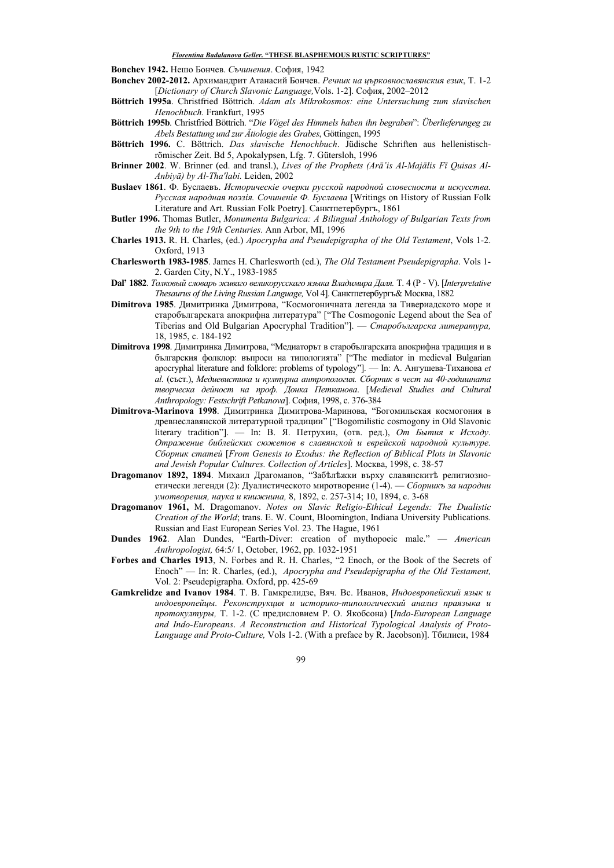**Bonchev 1942.** Нешо Бончев. Съчинения. София, 1942

- Bonchev 2002-2012. Архимандрит Атанасий Бончев. Речник на църковнославянския език, Т. 1-2 [Dictionary of Church Slavonic Language, Vols. 1-2]. София, 2002-2012
- Böttrich 1995a. Christfried Böttrich. Adam als Mikrokosmos: eine Untersuchung zum slavischen Henochbuch. Frankfurt, 1995
- Böttrich 1995b. Christfried Böttrich. "Die Vögel des Himmels haben ihn begraben": Überlieferungeg zu Abels Bestattung und zur Ätiologie des Grabes, Göttingen, 1995
- Böttrich 1996. C. Böttrich. Das slavische Henochbuch. Jüdische Schriften aus hellenistischrömischer Zeit. Bd 5, Apokalypsen, Lfg. 7. Gütersloh, 1996
- Brinner 2002. W. Brinner (ed. and transl.), Lives of the Prophets (Arā'is Al-Majālis Fī Ouisas Al-Anbivā) by Al-Tha'labi. Leiden, 2002
- Buslaev 1861. Ф. Буслаевъ. Историческіе очерки русской народной словесности и искусства. Русская народная поэзія. Сочиненіе Ф. Буслаева [Writings on History of Russian Folk Literature and Art. Russian Folk Poetry]. Санктпетербургъ, 1861
- Butler 1996. Thomas Butler, Monumenta Bulgarica: A Bilingual Anthology of Bulgarian Texts from the 9th to the 19th Centuries. Ann Arbor, MI, 1996
- Charles 1913. R. H. Charles, (ed.) Apocrypha and Pseudepigrapha of the Old Testament, Vols 1-2. Oxford, 1913
- Charlesworth 1983-1985. James H. Charlesworth (ed.), The Old Testament Pseudepigrapha. Vols 1-2. Garden City, N.Y., 1983-1985
- Dal' 1882. Толковый словарь живаго великорусскаго языка Владимира Даля. Т. 4 (P V). [Interpretative Thesaurus of the Living Russian Language, Vol 4]. Санктпетербургъ& Москва, 1882
- Dimitrova 1985. Димитринка Димитрова, "Космогоничната легенда за Тивериадското море и старобългарската апокрифна литература" ["The Cosmogonic Legend about the Sea of Tiberias and Old Bulgarian Apocryphal Tradition"]. — Старобългарска литература, 18, 1985. c. 184-192
- **Dimitrova 1998**. Димитринка Димитрова, "Медиаторът в старобългарската апокрифна традиция и в българския фолклор: въпроси на типологията" ["The mediator in medieval Bulgarian apocryphal literature and folklore: problems of typology"]. - In: А. Ангушева-Тиханова et аl. (съст.). Медиевистика и културна антропология. Сборник в чест на 40-годишната творческа дейност на проф. Донка Петканова. [Medieval Studies and Cultural Anthropology: Festschrift Petkanova]. София, 1998, с. 376-384
- Dimitrova-Marinova 1998. Димитринка Димитрова-Маринова, "Богомильская космогония в древнеславянской литературной традиции" ["Bogomilistic cosmogony in Old Slavonic literary tradition"]. — In: В. Я. Петрухин, (отв. ред.), От Бытия к Исходу. Отражение библейских сюжетов в славянской и еврейской народной культуре. Сборник статей [From Genesis to Exodus: the Reflection of Biblical Plots in Slavonic and Jewish Popular Cultures. Collection of Articles]. Mockba, 1998, c. 38-57
- Dragomanov 1892, 1894. Михаил Драгоманов, "Забельжки върху славянскить религиозноетически легенди (2): Дуалистическото миротворение (1-4). — Сборникъ за народни умотворения, наука и книжнина, 8, 1892, с. 257-314; 10, 1894, с. 3-68
- Dragomanov 1961, M. Dragomanov. Notes on Slavic Religio-Ethical Legends: The Dualistic Creation of the World; trans. E. W. Count, Bloomington, Indiana University Publications. Russian and East European Series Vol. 23. The Hague, 1961
- Dundes 1962. Alan Dundes, "Earth-Diver: creation of mythopoeic male." American Anthropologist, 64:5/1, October, 1962, pp. 1032-1951
- Forbes and Charles 1913, N. Forbes and R. H. Charles, "2 Enoch, or the Book of the Secrets of Enoch" - In: R. Charles, (ed.), Apocrypha and Pseudepigrapha of the Old Testament, Vol. 2: Pseudepigrapha. Oxford, pp. 425-69
- Gamkrelidze and Ivanov 1984. Т. В. Гамкрелидзе, Вяч. Вс. Иванов, Индоевропейский язык и индоевропейцы. Реконструкция и историко-типологический анализ праязыка и протокултуры, Т. 1-2. (С предисловием Р. О. Якобсона) [Indo-European Language and Indo-Europeans. A Reconstruction and Historical Typological Analysis of Proto-Language and Proto-Culture, Vols 1-2. (With a preface by R. Jacobson)]. Тбилиси, 1984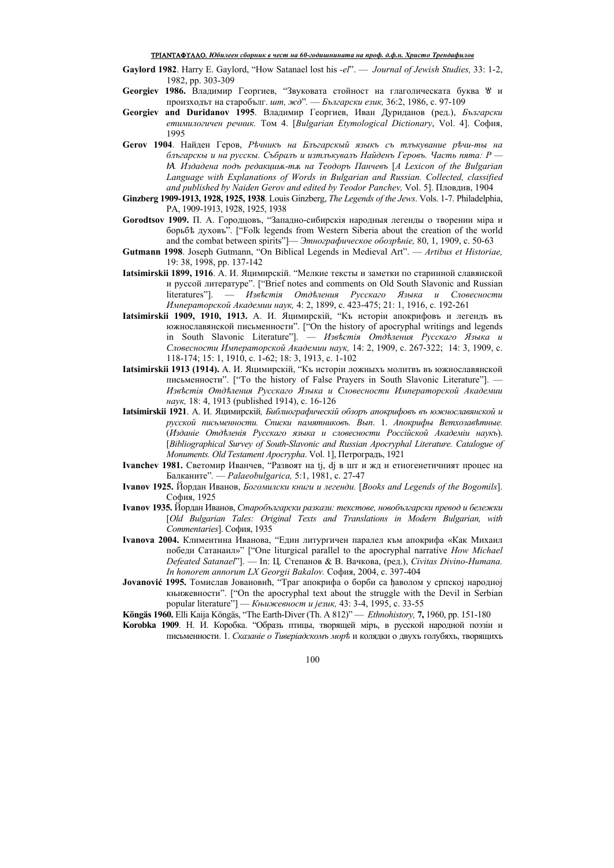### ТРІАNТАФҮЛЛО. *Юбилеен сборник в чест на 60-годишнината на проф. д.ф.н. Христо Трендафилов*

- **Gaylord 1982**. Harry E. Gaylord, "How Satanael lost his *-el*". *Journal of Jewish Studies,* 33: 1-2, 1982, pp. 303-309
- Georgiev 1986. Владимир Георгиев, "Звуковата стойност на глаголическата буква <sup>у</sup> и произходът на старобълг. *шт. жд*". — Български език, 36:2, 1986, с. 97-109
- Georgiev and Duridanov 1995. Владимир Георгиев, Иван Дуриданов (ред.), *Български етимилогичен речник.* Том 4. [*Bulgarian Etymological Dictionary*, Vol. 4]. София, 1995
- **Gerov 1904**. ɇɚɣɞɟɧ Ƚɟɪɨɜ, *Ɋѣɱɧɢɤъ ɧа Ȼɥъɝаɪɫɤɵɣ яɡɵɤъ ɫъ ɬɥъɤɭваɧɢɟ ɪѣɱɢ-ɬɵ ɧа*  $\tilde{\theta}$ лъгарскы и на русскы. Събралъ и изтлъкувалъ Найденъ Геровъ. Часть пята: Р  *Издадена подъ редакция-тя на Теодоръ Панчевъ [A Lexicon of the Bulgarian Language with Explanations of Words in Bulgarian and Russian. Collected, classified*  and published by Naiden Gerov and edited by Teodor Panchev, Vol. 5]. Пловдив, 1904
- **Ginzberg 1909-1913, 1928, 1925, 1938**. Louis Ginzberg, *The Legends of the Jews*. Vols. 1-7. Philadelphia, PA, 1909-1913, 1928, 1925, 1938
- Gorodtsov 1909. П. А. Городцовъ, "Западно-сибирскія народныя легенды о творении міра и борьбѣ духовъ". ["Folk legends from Western Siberia about the creation of the world and the combat between spirits"]— Этнографическое обозрѣніе, 80, 1, 1909, с. 50-63
- **Gutmann 1998**. Joseph Gutmann, "On Biblical Legends in Medieval Art". *Artibus et Historiae,*  19: 38, 1998, pp. 137-142
- **Iatsimirskii 1899, 1916**. А. И. Яцимирскій. "Мелкие тексты и заметки по старинной славянской и руссой литературе". ["Brief notes and comments on Old South Slavonic and Russian literatures"]. — Известія Отделения Русскаго Языка и Словесности Императорской Академии наук, 4: 2, 1899, с. 423-475; 21: 1, 1916, с. 192-261
- **Iatsimirskii 1909, 1910, 1913.** А. И. Яцимирскій, "Къ исторіи апокрифовъ и легендъ въ южнославянской письменности". ["On the history of apocryphal writings and legends in South Slavonic Literature"]. — Известія Отделения Русскаго Языка и Словесности Императорской Академии наук, 14: 2, 1909, с. 267-322; 14: 3, 1909, с.  $118-174$ ; 15: 1, 1910, c. 1-62; 18: 3, 1913, c. 1-102
- **Iatsimirskii 1913 (1914).** А. И. Яцимирскій, "Къ исторіи ложныхъ молитвъ въ южнославянской письменности". ["To the history of False Prayers in South Slavonic Literature"]. Известія Отделения Русскаго Языка и Словесности Императорской Академии *наук*, 18: 4, 1913 (published 1914), с. 16-126
- Iatsimirskii 1921. А. И. Яцимирскій, Библиографическій обзоръ апокрифовъ въ южнославянской и  $pycckoй письменности.$  Списки памятниковъ. Вып. 1. Апокрифы Ветхозавѣтные. (*ɂɡɞаɧiɟ Ɉɬɞѣɥɟɧiя Ɋɭɫɫɤаɝɨ яɡɵɤа ɢ ɫɥɨвɟɫɧɨɫɬɢ Ɋɨɫɫiɣɫɤɨɣ Аɤаɞɟɦiɢ ɧаɭɤъ*). [*Bibliographical Survey of South-Slavonic and Russian Apocryphal Literature. Catalogue of Monuments. Old Testament Apocrypha. Vol. 1]*, Петроградъ, 1921
- **Ivanchev 1981.** Светомир Иванчев, "Развоят на tj, dj в шт и жд и етногенетичният процес на Балканите". - *Palaeobulgarica*, 5:1, 1981, с. 27-47
- **Ivanov 1925.** Йордан Иванов, *Богомилски книги и легенди*. [Books and Legends of the Bogomils]. София, 1925
- **Ivanov 1935.** Йордан Иванов, Старобългарски разкази: текстове, новобългарски превод и бележки [*Old Bulgarian Tales: Original Texts and Translations in Modern Bulgarian, with*  Commentaries]. София, 1935
- **Ivanova 2004.** Климентина Иванова, "Един литургичен паралел към апокрифа «Как Михаил победи Сатанаил»" ["One liturgical parallel to the apocryphal narrative *How Michael Defeated Satanael*"]. — In: Ц. Степанов & В. Вачкова, (ред.), *Civitas Divino-Humana. In honorem annorum LX Georgii Bakalov.* София, 2004, с. 397-404
- **Jovanović** 1995. Томислав Јовановић, "Траг апокрифа о борби са ђаволом у српској народној ɤʃɢɠɟɜɧɨɫɬɢ". ["On the apocryphal text about the struggle with the Devil in Serbian popular literature"] — *Књижевност и језик*, 43: 3-4, 1995, с. 33-55
- Köngäs 1960. Elli Kaija Köngäs, "The Earth-Diver (Th. A 812)" *Ethnohistory*, 7, 1960, pp. 151-180
- Когоbka 1909. Н. И. Коробка. "Образь птицы, творящей мірь, в русской народной поэзіи и письменности. 1. Сказаніе о Тиверіадскомъ морь и колядки о двухь голубяхь, творящихъ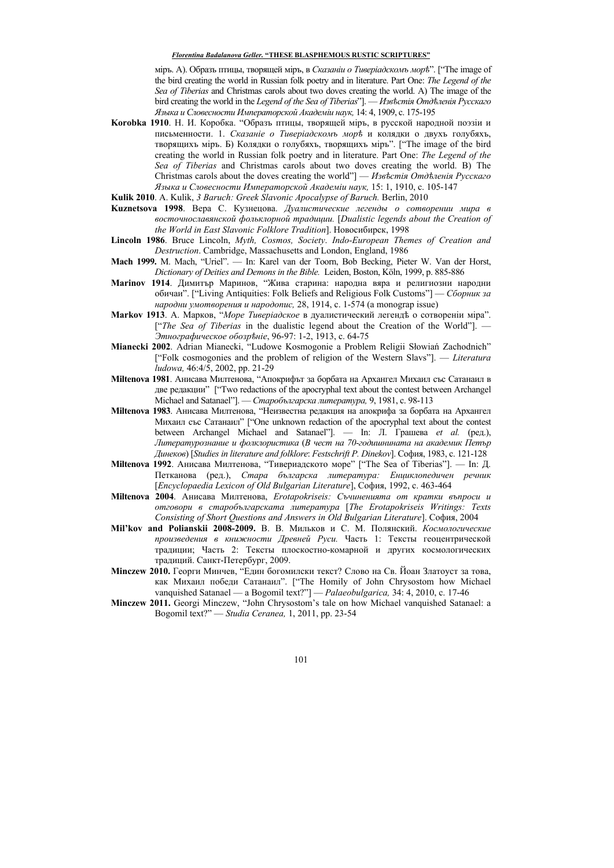мірь. А). Образь птицы, творящей мірь, в *Сказаніи о Тиверіадскомь мор* $\ddot{\sigma}$ ". ["The image of the bird creating the world in Russian folk poetry and in literature. Part One: *The Legend of the Sea of Tiberias* and Christmas carols about two doves creating the world. A) The image of the bird creating the world in the Legend of the Sea of Tiberias'']. — Известія Отделенія Русскаго *əɡɵɤа ɢ Сɥɨвɟɫɧɨɫɬɢ ɂɦɩɟɪаɬɨɪɫɤɨɣ Аɤаɞɟɦiɢ ɧаɭɤ,* 14: 4, 1909, ɫ. 175-195

Когоbka 1910. Н. И. Коробка. "Образъ птицы, творящей міръ, в русской народной поэзіи и письменности. 1. Сказаніе о Тиверіадскомъ морь и колядки о двухъ голубяхъ, творящихъ мірь. Б) Колядки о голубяхъ, творящихъ міръ". ["The image of the bird creating the world in Russian folk poetry and in literature. Part One: *The Legend of the Sea of Tiberias* and Christmas carols about two doves creating the world. B) The Christmas carols about the doves creating the world"] — Известія Отделенія Русскаго *əɡɵɤа ɢ Сɥɨвɟɫɧɨɫɬɢ ɂɦɩɟɪаɬɨɪɫɤɨɣ Аɤаɞɟɦiɢ ɧаɭɤ,* 15: 1, 1910, ɫ. 105-147

**Kulik 2010**. A. Kulik, *3 Baruch: Greek Slavonic Apocalypse of Baruch.* Berlin, 2010

- Киznetsova 1998. Вера С. Кузнецова. Дуалистические легенды о сотворении мира в восточнославянской фольклорной традиции. [Dualistic legends about the Creation of the World in East Slavonic Folklore Tradition]. *Hobech open*, 1998
- **Lincoln 1986**. Bruce Lincoln, *Myth, Cosmos, Society*. *Indo-European Themes of Creation and Destruction*. Cambridge, Massachusetts and London, England, 1986
- **Mach 1999.** M. Mach, "Uriel". In: Karel van der Toorn, Bob Becking, Pieter W. Van der Horst, *Dictionary of Deities and Demons in the Bible.* Leiden, Boston, Köln, 1999, ɪ. 885-886
- Магіпоv 1914. Димитър Маринов, "Жива старина: народна вяра и религиозни народни обичаи". ["Living Antiquities: Folk Beliefs and Religious Folk Customs"] — *Сборник за народни умотворения и народопис*, 28, 1914, с. 1-574 (а monograp issue)
- Магкоv 1913. А. Марков, "Море Тиверіадское в дуалистический легендъ о сотвореніи міра". ["*The Sea of Tiberias* in the dualistic legend about the Creation of the World"]. — *Эɬɧɨɝɪаɮɢɱɟɫɤɨɟ ɨɛɨɡɪѣɧiɟ*, 96-97: 1-2, 1913, ɫ. 64-75
- **Mianecki 2002**. Adrian Mianecki, "Ludowe Kosmogonie a Problem Religii Słowiań Zachodnich" ["Folk cosmogonies and the problem of religion of the Western Slavs"]. — *Literatura ludowa,* 46:4/5, 2002, pp. 21-29
- **Miltenova 1981**. Анисава Милтенова. "Апокрифът за борбата на Архангел Михаил със Сатанаил в две редакции" ["Two redactions of the apocryphal text about the contest between Archangel Michael and Satanael"]. — *Старобългарска литература*, 9, 1981, с. 98-113
- **Miltenova 1983**. Анисава Милтенова, "Неизвестна редакция на апокрифа за борбата на Архангел Михаил със Сатанаил" ["One unknown redaction of the apocryphal text about the contest between Archangel Michael and Satanael"]. — In:  $\overline{J}$ .  $\Gamma$ рашева *et al.* (ред.),  $J$ штературознание и фолклористика (В чест на 70-годишнината на академик Петър *Ⱦɢɧɟɤɨв*) [*Studies in literature and folklore*: *Festschrift P. Dinekov*]. ɋɨɮɢɹ, 1983, ɫ. 121-128
- **Miltenova 1992**. Анисава Милтенова, "Тивериадското море" ["The Sea of Tiberias"]. In: Д. Петканова (ред.), Стара българска литература: Енциклопедичен речник [*Encyclopaedia Lexicon of Old Bulgarian Literature*], София, 1992, с. 463-464
- Miltenova 2004. Анисава Милтенова, *Erotapokriseis: Съчиненията от кратки въпроси и*  $\alpha$  *в старобългарската литература* [The Erotapokriseis Writings: Texts *Consisting of Short Ouestions and Answers in Old Bulgarian Literature*]. София, 2004
- Mil'kov and Polianskii 2008-2009. В. В. Мильков и С. М. Полянский. Космологические произведения в книжности Древней Руси. Часть 1: Тексты геоцентрической традиции; Часть 2: Тексты плоскостно-комарной и других космологических традиций. Санкт-Петербург, 2009.
- **Minczew 2010.** Георги Минчев, "Един богомилски текст? Слово на Св. Йоан Златоуст за това, как Михаил победи Сатанаил". ["The Homily of John Chrysostom how Michael vanquished Satanael — a Bogomil text?"] — *Palaeobulgarica*, 34: 4, 2010, c. 17-46
- **Minczew 2011.** Georgi Minczew, "John Chrysostom's tale on how Michael vanquished Satanael: a Bogomil text?" — *Studia Ceranea,* 1, 2011, pp. 23-54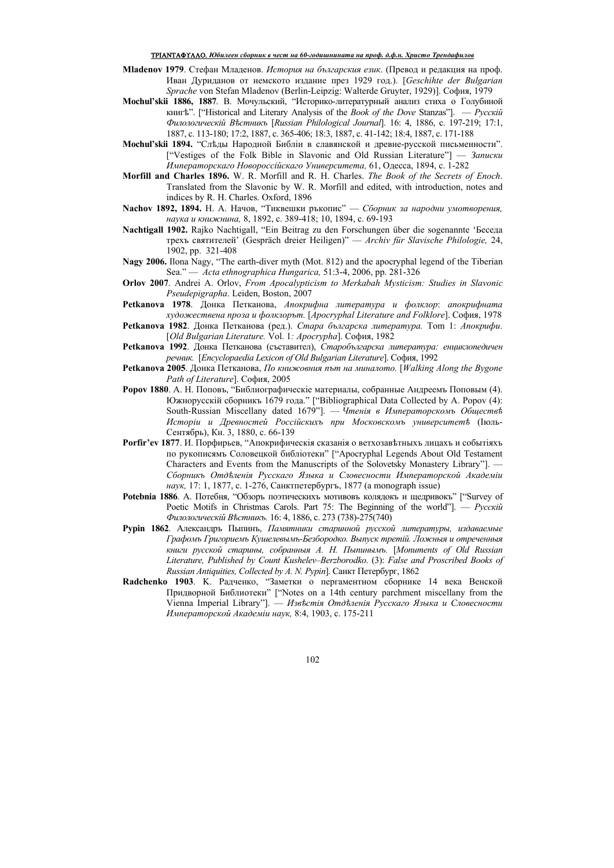### TRIANTAFULLO. *Юɛиɥɟɟɧ ɫɛɨɪɧиɤ ɜ ɱɟɫɬ ɧɚ 60-ɝɨɞиɲɧиɧɚɬɚ ɧɚ ɩɪɨф. ɞ.ф.ɧ. Хɪиɫɬɨ Тɪɟɧɞɚфиɥɨɜ*

- **Mladenov 1979**. Стефан Младенов. *История на българския език*. (Превод и редакция на проф. Иван Дуриданов от немското издание през 1929 год.). [*Geschihte der Bulgarian* Sprache von Stefan Mladenov (Berlin-Leipzig: Walterde Gruyter, 1929)]. София, 1979
- **Mochul'skii 1886, 1887**. В. Мочульский. "Историко-литературный анализ стиха о Голубиной **κ**Ημη<sup>λ</sup><sup>*x*</sup>. ["Historical and Literary Analysis of the *Book of the Dove* Stanzas"]. — *Ργςκκι*ά *Фɢɥɨɥɨɝɢɱɟɫɤiɣ ȼѣɫɬɧɢɤъ* [*Russian Philological Journal*]. 16: 4, 1886, ɫ. 197-219; 17:1, 1887, c. 113-180; 17:2, 1887, c. 365-406; 18:3, 1887, c. 41-142; 18:4, 1887, c. 171-188
- **Mochul'skii 1894.** "Следы Народной Библіи в славянской и древне-русской письменности". ["Vestiges of the Folk Bible in Slavonic and Old Russian Literature"] — *3 απισκι ɂɦɩɟɪаɬɨɪɫɤаɝɨ ɇɨвɨɪɨɫɫiɣɫɤаɝɨ ɍɧɢвɟɪɫɢɬɟɬа,* 61, Ɉɞɟɫɫɚ, 1894, ɫ. 1-282
- **Morfill and Charles 1896.** W. R. Morfill and R. H. Charles. *The Book of the Secrets of Enoch*. Translated from the Slavonic by W. R. Morfill and edited, with introduction, notes and indices by R. H. Charles. Oxford, 1896
- **Nachov 1892, 1894.** Н. А. Начов, "Тиквешки ръкопис" Сборник за народни умотворения, *ɧаɭɤа ɢ ɤɧɢɠɧɢɧа,* 8, 1892, ɫ. 389-418; 10, 1894, ɫ. 69-193
- Nachtigall 1902. Rajko Nachtigall, "Ein Beitrag zu den Forschungen über die sogenannte 'Eece<sub>na</sub> ɬɪɟɯɴ ɫɜɹɬɢɬɟɥɟɣ' (Gespräch dreier Heiligen)" — *Archiv für Slavische Philologie,* 24, 1902, pp. 321-408
- **Nagy 2006.** Ilona Nagy, "The earth-diver myth (Mot. 812) and the apocryphal legend of the Tiberian Sea." — *Acta ethnographica Hungarica*, 51:3-4, 2006, pp. 281-326
- **Orlov 2007**. Andrei A. Orlov, *From Apocalypticism to Merkabah Mysticism: Studies in Slavonic Pseudepigrapha*. Leiden, Boston, 2007
- Реtkanova 1978. Донка Петканова, Апокрифна литература и фолклор: апокрифната *художествена проза и фолклорът.* [*Apocryphal Literature and Folklore*]. София, 1978
- Petkanova 1982. Донка Петканова (ред.). *Стара българска литература*. Тот 1: *Апокрифи*. [*Old Bulgarian Literature.* Vol. 1*: Apocrypha*]. София, 1982
- Реtkanova 1992. Донка Петканова (съставител), Старобългарска литература: еншклопедичен peчник. [Encyclopaedia Lexicon of Old Bulgarian Literature]. София, 1992
- **Petkanova 2005**. Донка Петканова, *По книжовния път на миналото*. [Walking Along the Bygone *Path of Literature*]. София. 2005
- **Ророv 1880**. A. H. Поповъ, "Библиографическіе материалы, собранные Андреемъ Поповым (4). Южнорусскій сборникъ 1679 года." ["Bibliographical Data Collected by A. Popov (4): South-Russian Miscellany dated 1679"]. — Чтенія в Императорскомъ Обществѣ Исторіи и Древностей Россійскихъ при Московскомъ университетѣ (Іюль-Сентябрь), Кн. 3, 1880, с. 66-139
- **Porfir'ev 1877**. И. Порфирьев, "Апокрифическія сказанія о ветхозаветныхь лицахь и событіяхь по рукописямъ Соловецкой библіотеки" ["Apocryphal Legends About Old Testament Characters and Events from the Manuscripts of the Solovetsky Monastery Library"]. — Сборникъ Отделенія Русскаго Языка и Словесности Императорской Академіи *наук*, 17: 1, 1877, с. 1-276, Санктпетербургъ, 1877 (a monograph issue)
- **Potebnia 1886**. А. Потебня, "Обзорь поэтическихъ мотивовъ колядокъ и щедривокъ" ["Survey of Poetic Motifs in Christmas Carols. Part 75: The Beginning of the world"]. — *Ργς εκὶῦ Фɢɥɨɥɨɝɢɱɟɫɤiɣ ȼѣɫɬɧɢɤъ.* 16: 4, 1886, ɫ. 273 (738)-275(740)
- Руріп 1862. Александръ Пыпинъ, *Памятники старинной русской литературы, издаваемые*  $I$ рафомъ Григориемъ Кушелевымъ-Безбородко. Выпуск третій. Ложныя и отреченныя *ɤɧɢɝɢ ɪɭɫɫɤɨɣ ɫɬаɪɢɧɵ, ɫɨɛɪаɧɧɵя А. ɇ. Пɵɩɢɧɵɦъ.* [*Monuments of Old Russian Literature, Published by Count Kushelev–Berzborodko*. (3): *False and Proscribed Books of Russian Antiquities, Collected by A. N. Pypin*]. Санкт Петербург, 1862
- Radchenko 1903. К. Радченко, "Заметки о пергаментном сборнике 14 века Венской Придворной Библиотеки" ["Notes on a 14th century parchment miscellany from the Vienna Imperial Library"]. — Известія Отделенія Русскаго Языка и Словесности *ɂɦɩɟɪаɬɨɪɫɤɨɣ Аɤаɞɟɦiɢ ɧаɭɤ,* 8:4, 1903, ɫ. 175-211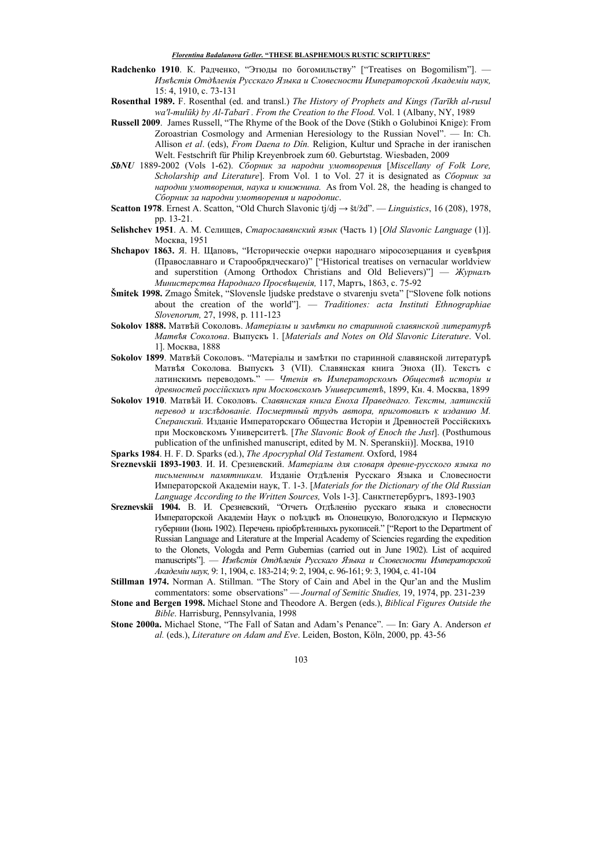- Radchenko 1910. К. Радченко, "Этюды по богомильству" ["Treatises on Bogomilism"]. *ɂɡвѣɫɬiя Ɉɬɞѣɥɟɧiя Ɋɭɫɫɤаɝɨ əɡɵɤа ɢ Сɥɨвɟɫɧɨɫɬɢ ɂɦɩɟɪаɬɨɪɫɤɨɣ Аɤаɞɟɦiɢ ɧаɭɤ,*  15: 4, 1910, c. 73-131
- **Rosenthal 1989.** F. Rosenthal (ed. and transl.) *The History of Prophets and Kings (Tarīkh al-rusul wa'l-mulūk) by Al-Tabarī . From the Creation to the Flood.* Vol. 1 (Albany, NY, 1989
- **Russell 2009**. James Russell, "The Rhyme of the Book of the Dove (Stikh o Golubinoi Knige): From Zoroastrian Cosmology and Armenian Heresiology to the Russian Novel". — In: Ch. Allison *et al*. (eds), *From Daena to Dîn.* Religion, Kultur und Sprache in der iranischen Welt. Festschrift für Philip Kreyenbroek zum 60. Geburtstag. Wiesbaden, 2009
- *SbNU* 1889-2002 (Vols 1-62). *Сборник за народни умотворения* [Miscellany of Folk Lore, *Scholarship and Literature*]. From Vol. 1 to Vol. 27 it is designated as *Сборник за ɧаɪɨɞɧɢ ɭɦɨɬвɨɪɟɧɢя, ɧаɭɤа ɢ ɤɧɢɠɧɢɧа.* As from Vol. 28, the heading is changed to Сборник за народни умотворения и народопис.
- **Scatton 1978**. Ernest A. Scatton, "Old Church Slavonic tj/dj → št/žd". *Linguistics*, 16 (208), 1978, pp. 13-21.
- Selishchev 1951. A. М. Селищев, *Старославянский язык* (Часть 1) [*Old Slavonic Language* (1)]. Москва, 1951
- Shchapov 1863. Я. Н. Щаповъ, "Исторические очерки народнаго міросозерцания и суеверия (Православнаго и Старообрядческаго)" ["Historical treatises on vernacular worldview and superstition (Among Orthodox Christians and Old Believers)"] — *Журналъ Ɇɢɧɢɫɬɟɪɫɬва ɇаɪɨɞɧаɝɨ Пɪɨɫвѣɳɟɧiя,* 117, Ɇɚɪɬɴ, 1863, ɫ. 75-92
- **Šmitek 1998.** Zmago Šmitek, "Slovensle ljudske predstave o stvarenju sveta" ["Slovene folk notions about the creation of the world"]. — *Traditiones: acta Instituti Ethnographiae Slovenorum, 27, 1998, p. 111-123*
- Sokolov 1888. Матвѣй Соколовъ. Матеріалы и замѣтки по старинной славянской литературѣ *Mamвѣя Соколова. Выпускъ* 1. [*Materials and Notes on Old Slavonic Literature*. Vol. 1]. Москва, 1888
- **Sokolov 1899**. Матвей Соколовъ. "Матеріалы и заметки по старинной славянской литературе Матвея Соколова. Выпускъ 3 (VII). Славянская книга Эноха (II). Тексть с датинскимъ переволомъ." — Чтенія въ Императорскомъ Обшествѣ исторіи и древностей россійскихъ при Московскомъ Университетѣ, 1899, Кн. 4. Москва, 1899
- $Sokolov$  1910. Матвѣй И. Соколовъ. Славянская книга Еноха Праведнаго. Тексты, латинскій  $n_e$ *изользование. Посмертный трудъ автора, приготовилъ к изданию М.* Сперанский. Изданіе Императорскаго Общества Исторіи и Древностей Россійскихъ при Московскомъ Университетѣ. [*The Slavonic Book of Enoch the Just*]. (Posthumous publication of the unfinished manuscript, edited by M. N. Speranskii)]. MocκBa, 1910
- **Sparks 1984**. H. F. D. Sparks (ed.), *The Apocryphal Old Testament.* Oxford, 1984
- Sreznevskii 1893-1903. И. И. Срезневский. Матеріалы для словаря древне-русского языка по письменным памятникам. Изданіе Отделенія Русскаго Языка и Словесности Императорской Академіи наук, Т. 1-3. [*Materials for the Dictionary of the Old Russian* Language According to the Written Sources, Vols 1-3]. Санктпетербургъ, 1893-1903
- Sreznevskii 1904. В. И. Срезневский, "Отчеть Отделенно русскаго языка и словесности Императорской Академіи Наук о пођздкђ въ Олонецкую, Вологодскую и Пермскую губернии (Іюнь 1902). Перечень пріобретенныхь рукописей." ["Report to the Department of Russian Language and Literature at the Imperial Academy of Sciencies regarding the expedition to the Olonets, Vologda and Perm Gubernias (carried out in June 1902). List of acquired тапизстірts"]. — Известія Отделенія Русскаго Языка и Словесности Императорской *Аɤаɞɟɦiɢ ɧаɭɤ,* 9: 1, 1904, ɫ. 183-214; 9: 2, 1904, ɫ. 96-161; 9: 3, 1904, ɫ. 41-104
- **Stillman 1974.** Norman A. Stillman. "The Story of Cain and Abel in the Qur'an and the Muslim commentators: some observations" — *Journal of Semitic Studies*, 19, 1974, pp. 231-239
- **Stone and Bergen 1998.** Michael Stone and Theodore A. Bergen (eds.), *Biblical Figures Outside the Bible*. Harrisburg, Pennsylvania, 1998
- **Stone 2000a.** Michael Stone, "The Fall of Satan and Adam's Penance". In: Gary A. Anderson *et*  al. (eds.), *Literature on Adam and Eve*. Leiden, Boston, Köln, 2000, pp. 43-56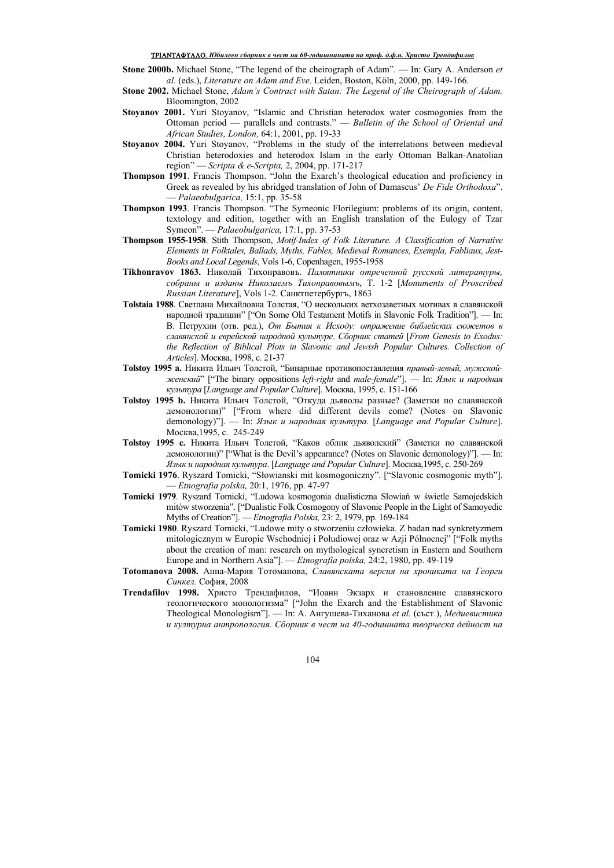### TRIANTAFULLO. *Юɛиɥɟɟɧ ɫɛɨɪɧиɤ ɜ ɱɟɫɬ ɧɚ 60-ɝɨɞиɲɧиɧɚɬɚ ɧɚ ɩɪɨф. ɞ.ф.ɧ. Хɪиɫɬɨ Тɪɟɧɞɚфиɥɨɜ*

- **Stone 2000b.** Michael Stone, "The legend of the cheirograph of Adam". In: Gary A. Anderson *et al.* (eds.), *Literature on Adam and Eve*. Leiden, Boston, Köln, 2000, pp. 149-166.
- **Stone 2002.** Michael Stone, *Adam's Contract with Satan: The Legend of the Cheirograph of Adam.*  Bloomington, 2002
- **Stoyanov 2001.** Yuri Stoyanov, "Islamic and Christian heterodox water cosmogonies from the Ottoman period — parallels and contrasts." — *Bulletin of the School of Oriental and African Studies, London,* 64:1, 2001, ɪp. 19-33
- **Stoyanov 2004.** Yuri Stoyanov, "Problems in the study of the interrelations between medieval Christian heterodoxies and heterodox Islam in the early Ottoman Balkan-Anatolian region" — *Scripta & e-Scripta*, 2, 2004, pp. 171-217
- **Thompson 1991**. Francis Thompson. "John the Exarch's theological education and proficiency in Greek as revealed by his abridged translation of John of Damascus' *De Fide Orthodoxa*". — *Palaeobulgarica,* 15:1, pp. 35-58
- **Thompson 1993**. Francis Thompson. "The Symeonic Florilegium: problems of its origin, content, textology and edition, together with an English translation of the Eulogy of Tzar Symeon". — *Palaeobulgarica,* 17:1, pp. 37-53
- **Thompson 1955-1958**. Stith Thompson, *Motif-Index of Folk Literature. A Classification of Narrative Elements in Folktales, Ballads, Myths, Fables, Medieval Romances, Exempla, Fabliaux, Jest-Books and Local Legends*, Vols 1-6, Copenhagen, 1955-1958
- **Tikhonravov 1863.** Николай Тихонравовъ. *Памятники отреченной русской литературы*,  $co6$ раны и изданы Николаемъ Тихонравовымъ, Т. 1-2 [Monuments of Proscribed Russian Literature], Vols 1-2. Санктпетербургъ, 1863
- **Tolstaia 1988**. Светлана Михайловна Толстая. "О нескольких ветхозаветных мотивах в славянской народной традиции" ["On Some Old Testament Motifs in Slavonic Folk Tradition"]. — In: В. Петрухин (отв. ред.), *От Бытия к Исходу: отражение библейских сюжетов в ɫɥавяɧɫɤɨɣ ɢ ɟвɪɟɣɫɤɨɣ ɧаɪɨɞɧɨɣ ɤɭɥьɬɭɪɟ*. *Сɛɨɪɧɢɤ ɫɬаɬɟɣ* [*From Genesis to Exodus: the Reflection of Biblical Plots in Slavonic and Jewish Popular Cultures. Collection of Articles*]. Москва, 1998, с. 21-37
- **Tolstov 1995 а.** Никита Ильич Толстой, "Бинарные противопоставления правый-левый, мужской $jee$ *Hccku* $\tilde{u}$ " ["The binary oppositions *left-right* and *male-female*"]. — In: *Язык и народная культура* [*Language and Popular Culture*]. Москва, 1995, с. 151-166
- **Tolstoy 1995 b.** Никита Ильич Толстой, "Откуда дьяволы разные? (Заметки по славянской демонологии)" ["From where did different devils come? (Notes on Slavonic demonology)"]. — In: Язык и народная культура. [Language and Popular Culture]. Москва, 1995, с. 245-249
- **Tolstoy 1995 с.** Никита Ильич Толстой, "Каков облик дьяволский" (Заметки по славянской демонологии)" ["What is the Devil's appearance? (Notes on Slavonic demonology)"]. -Язык и народная культура. [Language and Popular Culture]. Москва,1995, с. 250-269
- **Tomicki 1976**. Ryszard Tomicki, "Słowianski mit kosmogoniczny". ["Slavonic cosmogonic myth"]. — *Etnografia polska,* 20:1, 1976, ɪp. 47-97
- **Tomicki 1979**. Ryszard Tomicki, "Ludowa kosmogonia dualisticzna Slowiań w świetle Samojedskich mitów stworzenia". ["Dualistic Folk Cosmogony of Slavonic People in the Light of Samoyedic Myths of Creation"]. — *Etnografia Polska*, 23: 2, 1979, pp. 169-184
- **Tomicki 1980**. Ryszard Tomicki, "Ludowe mity o stworzeniu człowieka. Z badan nad synkretyzmem mitologicznym w Europie Wschodniej i Połudiowej oraz w Azji Północnej" ["Folk myths about the creation of man: research on mythological syncretism in Eastern and Southern Europe and in Northern Asia"]. — *Etnografia polska*, 24:2, 1980, pp. 49-119
- Тоtomanova 2008. Анна-Мария Тотоманова, Славянската версия на хрониката на Георги Синкел. София, 2008
- **Trendafilov 1998.** Христо Трендафилов, "Иоанн Экзарх и становление славянского теологического монологизма" ["John the Exarch and the Establishment of Slavonic Theological Monologism"]. — In: А. Ангушева-Тиханова et al. (съст.), Медиевистика  $u$  културна антропология. Сборник в чест на 40-годишната творческа дейност на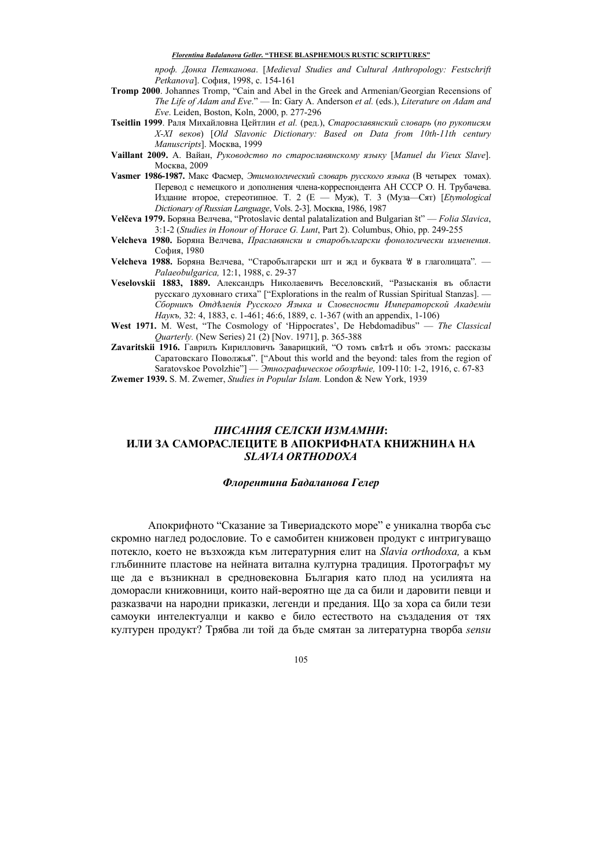*ɩɪɨɮ. Ⱦɨɧɤа Пɟɬɤаɧɨва*. [*Medieval Studies and Cultural Anthropology: Festschrift Petkanova*]. София, 1998, с. 154-161

- **Tromp 2000**. Johannes Tromp, "Cain and Abel in the Greek and Armenian/Georgian Recensions of *The Life of Adam and Eve*." — In: Gary A. Anderson *et al.* (eds.), *Literature on Adam and Eve.* Leiden, Boston, Koln, 2000, p. 277-296
- **Tseitlin 1999**. Раля Михайловна Цейтлин et al. (ред.), Старославянский словарь (по рукописям *X-XI вɟɤɨв*) [*Old Slavonic Dictionary: Based on Data from 10th-11th century Manuscripts*]. MocκBa, 1999
- Vaillant 2009. A. Вайан, Руководство по старославянскому языку [Manuel du Vieux Slave]. Москва, 2009
- **Vasmer 1986-1987.** Макс Фасмер, Этимологический словарь русского языка (В четырех томах). Перевод с немецкого и дополнения члена-корреспондента АН СССР О. Н. Трубачева. Издание второе, стереотипное. Т. 2 (Е — Муж), Т. 3 (Муза-Сят) [*Etymological Dictionary of Russian Language*, Vols. 2-3]. Москва, 1986, 1987
- Velčeva 1979. Боряна Велчева, "Protoslavic dental palatalization and Bulgarian št" *Folia Slavica*, 3:1-2 (*Studies in Honour of Horace G. Lunt*, Part 2). Columbus, Ohio, pp. 249-255
- Velcheva 1980. Боряна Велчева, *Праславянски и старобългарски фонологически изменения*. София, 1980
- Velcheva 1988. Боряна Велчева, "Старобългарски шт и жд и буквата <sup>у</sup> в глаголицата". *Palaeobulgarica,* 12:1, 1988, c. 29-37
- Veselovskii 1883, 1889. Александръ Николаевичъ Веселовский, "Разысканія въ области русскаго духовнаго стиха<sup>"</sup> ["Explorations in the realm of Russian Spiritual Stanzas]. — *Сɛɨɪɧɢɤъ Ɉɬɞѣɥɟɧiя Ɋɭɫɫɤɨɝɨ əɡɵɤа ɢ Сɥɨвɟɫɧɨɫɬɢ ɂɦɩɟɪаɬɨɪɫɤɨɣ Аɤаɞɟɦiɢ Наукъ*, 32: 4, 1883, c. 1-461; 46:6, 1889, c. 1-367 (with an appendix, 1-106)
- **West 1971.** M. West, "The Cosmology of 'Hippocrates', De Hebdomadibus" *The Classical Quarterly.* (New Series) 21 (2) [Nov. 1971], p. 365-388
- **Zavaritskii 1916.** Гаврилъ Кирилловичъ Заварицкий, "О томъ светъ и объ этомъ: рассказы Саратовскаго Поволжья". ["About this world and the beyond: tales from the region of Saratovskoe Povolzhie"] — Этнографическое обозрѣніе, 109-110: 1-2, 1916, с. 67-83

**Zwemer 1939.** S. M. Zwemer, *Studies in Popular Islam.* London & New York, 1939

# *ПИɋАɇИə ɋЕɅɋКИ ИЗМАМɇИ***: ИЛИ ɁА ɋАɆОɊАɋЛEЦИТЕ В АɉОКɊИФɇАТА КɇИɀɇИɇА ɇА** *SLAVIA ORTHODOXA*

### $\Phi$ лорентина Бадаланова Гелер

Апокрифното "Сказание за Тивериалското море" е уникална творба със скромно наглел родословие. То е самобитен книжовен продукт с интригуващо потекло, което не възхожда към литературния елит на Slavia orthodoxa, а към глъбинните пластове на нейната витална културна традиция. Протографът му ще да е възникнал в средновековна България като плод на усилията на доморасли книжовници, които най-вероятно ще да са били и даровити певци и разказвачи на народни приказки, легенди и предания. Що за хора са били тези самоуки интелектуалци и какво е било естеството на създадения от тях културен продукт? Трябва ли той да бъде смятан за литературна творба sensu